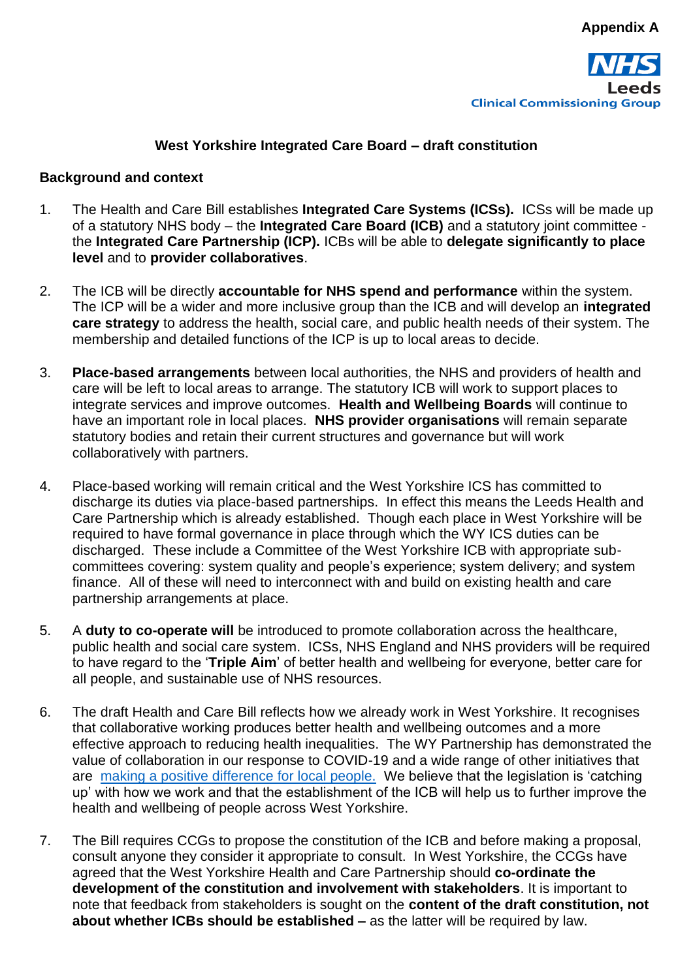

#### **West Yorkshire Integrated Care Board – draft constitution**

#### **Background and context**

- 1. The Health and Care Bill establishes **Integrated Care Systems (ICSs).** ICSs will be made up of a statutory NHS body – the **Integrated Care Board (ICB)** and a statutory joint committee the **Integrated Care Partnership (ICP).** ICBs will be able to **delegate significantly to place level** and to **provider collaboratives**.
- 2. The ICB will be directly **accountable for NHS spend and performance** within the system. The ICP will be a wider and more inclusive group than the ICB and will develop an **integrated care strategy** to address the health, social care, and public health needs of their system. The membership and detailed functions of the ICP is up to local areas to decide.
- 3. **Place-based arrangements** between local authorities, the NHS and providers of health and care will be left to local areas to arrange. The statutory ICB will work to support places to integrate services and improve outcomes. **Health and Wellbeing Boards** will continue to have an important role in local places. **NHS provider organisations** will remain separate statutory bodies and retain their current structures and governance but will work collaboratively with partners.
- 4. Place-based working will remain critical and the West Yorkshire ICS has committed to discharge its duties via place-based partnerships. In effect this means the Leeds Health and Care Partnership which is already established. Though each place in West Yorkshire will be required to have formal governance in place through which the WY ICS duties can be discharged. These include a Committee of the West Yorkshire ICB with appropriate subcommittees covering: system quality and people's experience; system delivery; and system finance. All of these will need to interconnect with and build on existing health and care partnership arrangements at place.
- 5. A **duty to co-operate will** be introduced to promote collaboration across the healthcare, public health and social care system. ICSs, NHS England and NHS providers will be required to have regard to the '**Triple Aim**' of better health and wellbeing for everyone, better care for all people, and sustainable use of NHS resources.
- 6. The draft Health and Care Bill reflects how we already work in West Yorkshire. It recognises that collaborative working produces better health and wellbeing outcomes and a more effective approach to reducing health inequalities. The WY Partnership has demonstrated the value of collaboration in our response to COVID-19 and a wide range of other initiatives that are [making a positive difference for local people.](https://www.wyhpartnership.co.uk/our-priorities/difference-our-partnership-making) We believe that the legislation is 'catching up' with how we work and that the establishment of the ICB will help us to further improve the health and wellbeing of people across West Yorkshire.
- 7. The Bill requires CCGs to propose the constitution of the ICB and before making a proposal, consult anyone they consider it appropriate to consult. In West Yorkshire, the CCGs have agreed that the West Yorkshire Health and Care Partnership should **co-ordinate the development of the constitution and involvement with stakeholders**. It is important to note that feedback from stakeholders is sought on the **content of the draft constitution, not about whether ICBs should be established –** as the latter will be required by law.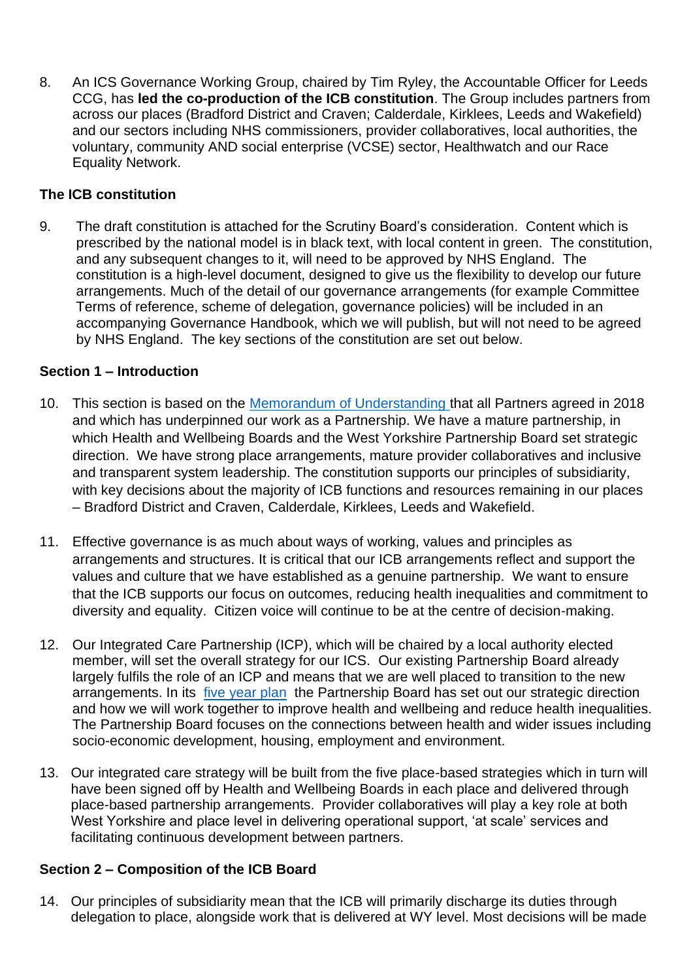8. An ICS Governance Working Group, chaired by Tim Ryley, the Accountable Officer for Leeds CCG, has **led the co-production of the ICB constitution**. The Group includes partners from across our places (Bradford District and Craven; Calderdale, Kirklees, Leeds and Wakefield) and our sectors including NHS commissioners, provider collaboratives, local authorities, the voluntary, community AND social enterprise (VCSE) sector, Healthwatch and our Race Equality Network.

#### **The ICB constitution**

9. The draft constitution is attached for the Scrutiny Board's consideration. Content which is prescribed by the national model is in black text, with local content in green. The constitution, and any subsequent changes to it, will need to be approved by NHS England. The constitution is a high-level document, designed to give us the flexibility to develop our future arrangements. Much of the detail of our governance arrangements (for example Committee Terms of reference, scheme of delegation, governance policies) will be included in an accompanying Governance Handbook, which we will publish, but will not need to be agreed by NHS England. The key sections of the constitution are set out below.

#### **Section 1 – Introduction**

- 10. This section is based on the [Memorandum of Understanding](https://www.wypartnership.co.uk/application/files/6016/1434/8348/WYH_MoU.pdf) that all Partners agreed in 2018 and which has underpinned our work as a Partnership. We have a mature partnership, in which Health and Wellbeing Boards and the West Yorkshire Partnership Board set strategic direction. We have strong place arrangements, mature provider collaboratives and inclusive and transparent system leadership. The constitution supports our principles of subsidiarity, with key decisions about the majority of ICB functions and resources remaining in our places – Bradford District and Craven, Calderdale, Kirklees, Leeds and Wakefield.
- 11. Effective governance is as much about ways of working, values and principles as arrangements and structures. It is critical that our ICB arrangements reflect and support the values and culture that we have established as a genuine partnership. We want to ensure that the ICB supports our focus on outcomes, reducing health inequalities and commitment to diversity and equality. Citizen voice will continue to be at the centre of decision-making.
- 12. Our Integrated Care Partnership (ICP), which will be chaired by a local authority elected member, will set the overall strategy for our ICS. Our existing Partnership Board already largely fulfils the role of an ICP and means that we are well placed to transition to the new arrangements. In its [five year plan](https://www.wypartnership.co.uk/publications/our-five-year-plan) the Partnership Board has set out our strategic direction and how we will work together to improve health and wellbeing and reduce health inequalities. The Partnership Board focuses on the connections between health and wider issues including socio-economic development, housing, employment and environment.
- 13. Our integrated care strategy will be built from the five place-based strategies which in turn will have been signed off by Health and Wellbeing Boards in each place and delivered through place-based partnership arrangements. Provider collaboratives will play a key role at both West Yorkshire and place level in delivering operational support, 'at scale' services and facilitating continuous development between partners.

#### **Section 2 – Composition of the ICB Board**

14. Our principles of subsidiarity mean that the ICB will primarily discharge its duties through delegation to place, alongside work that is delivered at WY level. Most decisions will be made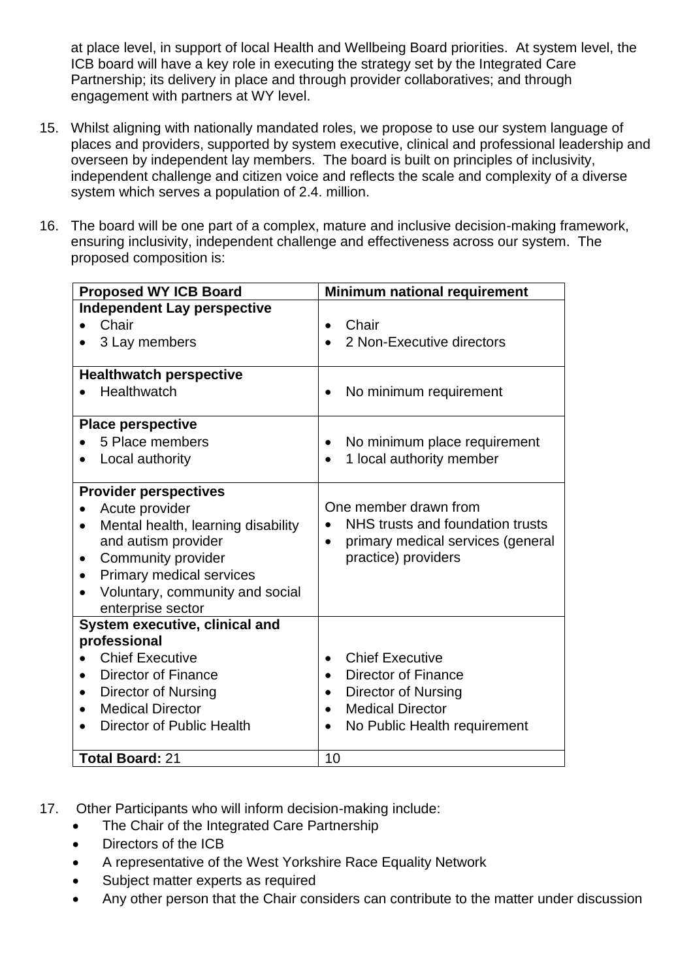at place level, in support of local Health and Wellbeing Board priorities. At system level, the ICB board will have a key role in executing the strategy set by the Integrated Care Partnership; its delivery in place and through provider collaboratives; and through engagement with partners at WY level.

- 15. Whilst aligning with nationally mandated roles, we propose to use our system language of places and providers, supported by system executive, clinical and professional leadership and overseen by independent lay members. The board is built on principles of inclusivity, independent challenge and citizen voice and reflects the scale and complexity of a diverse system which serves a population of 2.4. million.
- 16. The board will be one part of a complex, mature and inclusive decision-making framework, ensuring inclusivity, independent challenge and effectiveness across our system. The proposed composition is:

| <b>Proposed WY ICB Board</b>                    | Minimum national requirement                                          |  |  |
|-------------------------------------------------|-----------------------------------------------------------------------|--|--|
| <b>Independent Lay perspective</b>              |                                                                       |  |  |
| Chair                                           | Chair                                                                 |  |  |
| 3 Lay members                                   | 2 Non-Executive directors                                             |  |  |
| <b>Healthwatch perspective</b>                  |                                                                       |  |  |
| Healthwatch                                     | No minimum requirement                                                |  |  |
| <b>Place perspective</b>                        |                                                                       |  |  |
| 5 Place members                                 | No minimum place requirement                                          |  |  |
| Local authority                                 | 1 local authority member<br>$\bullet$                                 |  |  |
| <b>Provider perspectives</b>                    |                                                                       |  |  |
| Acute provider                                  | One member drawn from                                                 |  |  |
| Mental health, learning disability<br>$\bullet$ | NHS trusts and foundation trusts                                      |  |  |
| and autism provider<br>Community provider       | primary medical services (general<br>$\bullet$<br>practice) providers |  |  |
| $\bullet$<br>Primary medical services           |                                                                       |  |  |
| Voluntary, community and social                 |                                                                       |  |  |
| enterprise sector                               |                                                                       |  |  |
| System executive, clinical and                  |                                                                       |  |  |
| professional                                    |                                                                       |  |  |
| <b>Chief Executive</b>                          | <b>Chief Executive</b><br>$\bullet$                                   |  |  |
| <b>Director of Finance</b>                      | Director of Finance<br>$\bullet$                                      |  |  |
| Director of Nursing                             | <b>Director of Nursing</b><br>$\bullet$                               |  |  |
| <b>Medical Director</b>                         | <b>Medical Director</b><br>$\bullet$                                  |  |  |
| Director of Public Health                       | No Public Health requirement                                          |  |  |
| <b>Total Board: 21</b>                          | 10                                                                    |  |  |

- 17. Other Participants who will inform decision-making include:
	- The Chair of the Integrated Care Partnership
	- Directors of the ICB
	- A representative of the West Yorkshire Race Equality Network
	- Subject matter experts as required
	- Any other person that the Chair considers can contribute to the matter under discussion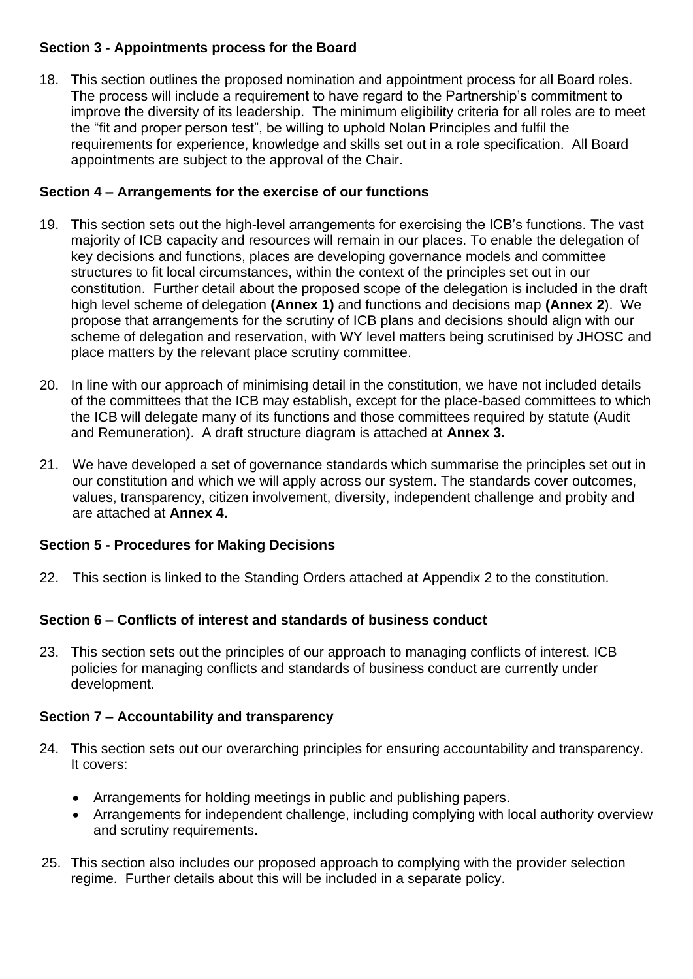### **Section 3 - Appointments process for the Board**

18. This section outlines the proposed nomination and appointment process for all Board roles. The process will include a requirement to have regard to the Partnership's commitment to improve the diversity of its leadership. The minimum eligibility criteria for all roles are to meet the "fit and proper person test", be willing to uphold Nolan Principles and fulfil the requirements for experience, knowledge and skills set out in a role specification. All Board appointments are subject to the approval of the Chair.

#### **Section 4 – Arrangements for the exercise of our functions**

- 19. This section sets out the high-level arrangements for exercising the ICB's functions. The vast majority of ICB capacity and resources will remain in our places. To enable the delegation of key decisions and functions, places are developing governance models and committee structures to fit local circumstances, within the context of the principles set out in our constitution. Further detail about the proposed scope of the delegation is included in the draft high level scheme of delegation **(Annex 1)** and functions and decisions map **(Annex 2**). We propose that arrangements for the scrutiny of ICB plans and decisions should align with our scheme of delegation and reservation, with WY level matters being scrutinised by JHOSC and place matters by the relevant place scrutiny committee.
- 20. In line with our approach of minimising detail in the constitution, we have not included details of the committees that the ICB may establish, except for the place-based committees to which the ICB will delegate many of its functions and those committees required by statute (Audit and Remuneration). A draft structure diagram is attached at **Annex 3.**
- 21. We have developed a set of governance standards which summarise the principles set out in our constitution and which we will apply across our system. The standards cover outcomes, values, transparency, citizen involvement, diversity, independent challenge and probity and are attached at **Annex 4.**

### **Section 5 - Procedures for Making Decisions**

22. This section is linked to the Standing Orders attached at Appendix 2 to the constitution.

#### **Section 6 – Conflicts of interest and standards of business conduct**

23. This section sets out the principles of our approach to managing conflicts of interest. ICB policies for managing conflicts and standards of business conduct are currently under development.

#### **Section 7 – Accountability and transparency**

- 24. This section sets out our overarching principles for ensuring accountability and transparency. It covers:
	- Arrangements for holding meetings in public and publishing papers.
	- Arrangements for independent challenge, including complying with local authority overview and scrutiny requirements.
- 25. This section also includes our proposed approach to complying with the provider selection regime. Further details about this will be included in a separate policy.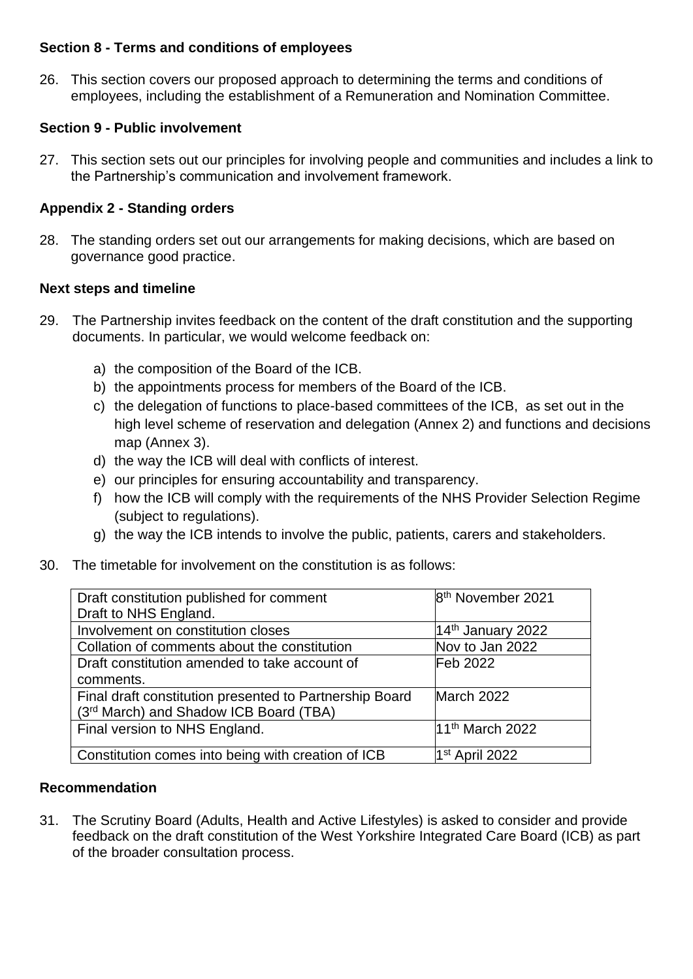#### **Section 8 - Terms and conditions of employees**

26. This section covers our proposed approach to determining the terms and conditions of employees, including the establishment of a Remuneration and Nomination Committee.

#### **Section 9 - Public involvement**

27. This section sets out our principles for involving people and communities and includes a link to the Partnership's communication and involvement framework.

#### **Appendix 2 - Standing orders**

28. The standing orders set out our arrangements for making decisions, which are based on governance good practice.

#### **Next steps and timeline**

- 29. The Partnership invites feedback on the content of the draft constitution and the supporting documents. In particular, we would welcome feedback on:
	- a) the composition of the Board of the ICB.
	- b) the appointments process for members of the Board of the ICB.
	- c) the delegation of functions to place-based committees of the ICB, as set out in the high level scheme of reservation and delegation (Annex 2) and functions and decisions map (Annex 3).
	- d) the way the ICB will deal with conflicts of interest.
	- e) our principles for ensuring accountability and transparency.
	- f) how the ICB will comply with the requirements of the NHS Provider Selection Regime (subject to regulations).
	- g) the way the ICB intends to involve the public, patients, carers and stakeholders.
- 30. The timetable for involvement on the constitution is as follows:

| Draft constitution published for comment<br>Draft to NHS England. | 8 <sup>th</sup> November 2021 |
|-------------------------------------------------------------------|-------------------------------|
| Involvement on constitution closes                                | $14th$ January 2022           |
| Collation of comments about the constitution                      | Nov to Jan 2022               |
| Draft constitution amended to take account of                     | Feb 2022                      |
| comments.                                                         |                               |
| Final draft constitution presented to Partnership Board           | March 2022                    |
| (3rd March) and Shadow ICB Board (TBA)                            |                               |
| Final version to NHS England.                                     | 11 <sup>th</sup> March 2022   |
| Constitution comes into being with creation of ICB                | $1st$ April 2022              |

#### **Recommendation**

31. The Scrutiny Board (Adults, Health and Active Lifestyles) is asked to consider and provide feedback on the draft constitution of the West Yorkshire Integrated Care Board (ICB) as part of the broader consultation process.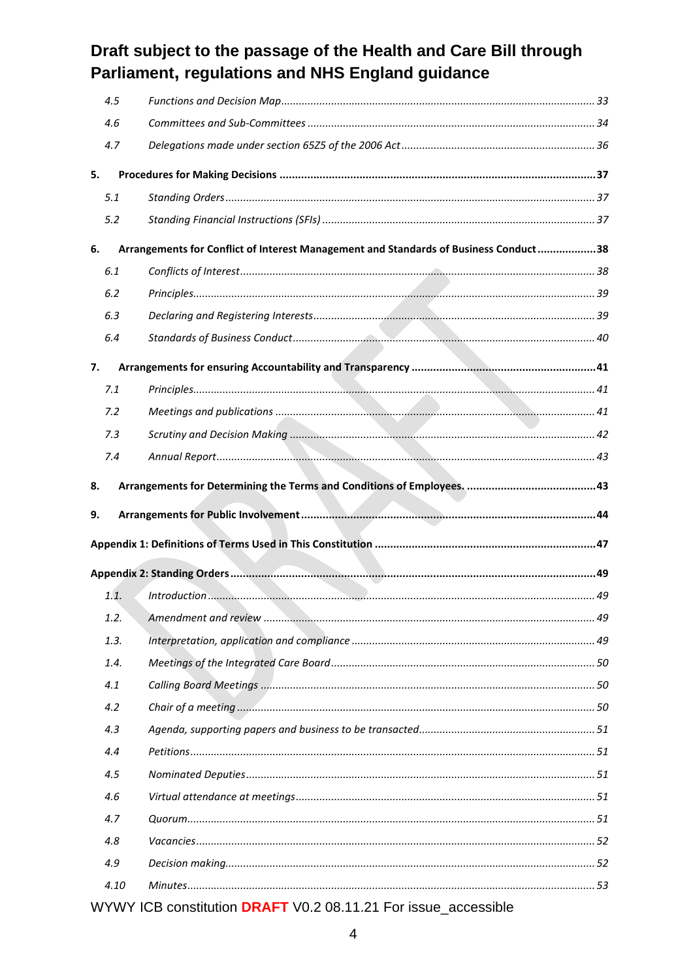| 4.5  |                                                                                      |  |
|------|--------------------------------------------------------------------------------------|--|
| 4.6  |                                                                                      |  |
| 4.7  |                                                                                      |  |
| 5.   |                                                                                      |  |
| 5.1  |                                                                                      |  |
| 5.2  |                                                                                      |  |
| 6.   | Arrangements for Conflict of Interest Management and Standards of Business Conduct38 |  |
| 6.1  |                                                                                      |  |
| 6.2  |                                                                                      |  |
| 6.3  |                                                                                      |  |
| 6.4  |                                                                                      |  |
| 7.   |                                                                                      |  |
| 7.1  |                                                                                      |  |
| 7.2  |                                                                                      |  |
| 7.3  |                                                                                      |  |
| 7.4  |                                                                                      |  |
| 8.   |                                                                                      |  |
|      |                                                                                      |  |
|      |                                                                                      |  |
| 9.   |                                                                                      |  |
|      |                                                                                      |  |
|      |                                                                                      |  |
| 1.1. |                                                                                      |  |
| 1.2. |                                                                                      |  |
| 1.3. |                                                                                      |  |
| 1.4. |                                                                                      |  |
| 4.1  |                                                                                      |  |
| 4.2  |                                                                                      |  |
| 4.3  |                                                                                      |  |
| 4.4  |                                                                                      |  |
| 4.5  |                                                                                      |  |
| 4.6  |                                                                                      |  |
| 4.7  |                                                                                      |  |
| 4.8  |                                                                                      |  |
| 4.9  |                                                                                      |  |
| 4.10 |                                                                                      |  |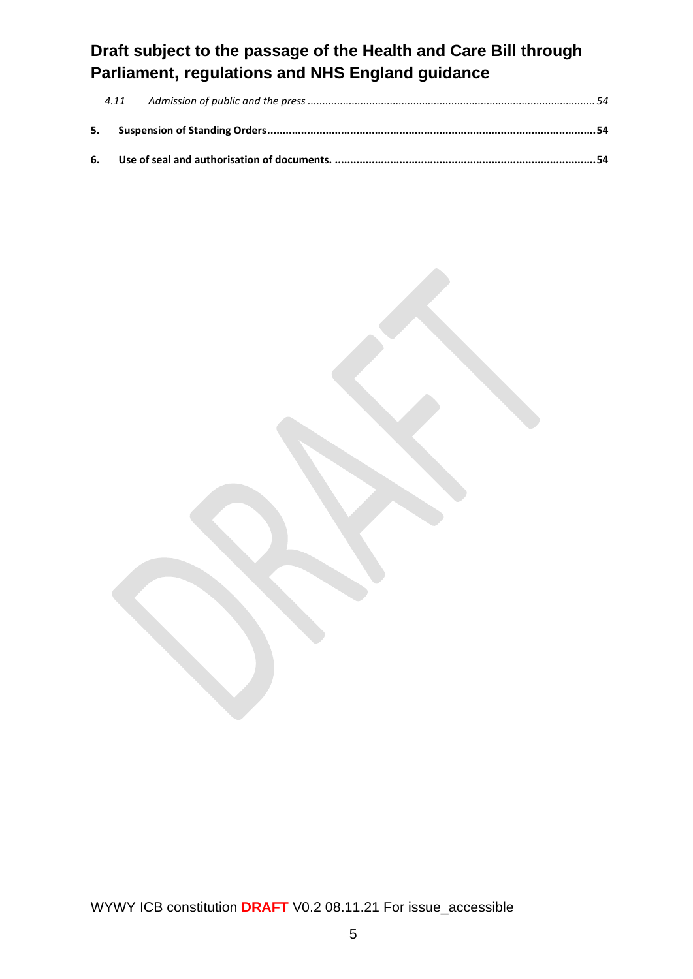| 4.11 |  |
|------|--|
|      |  |
|      |  |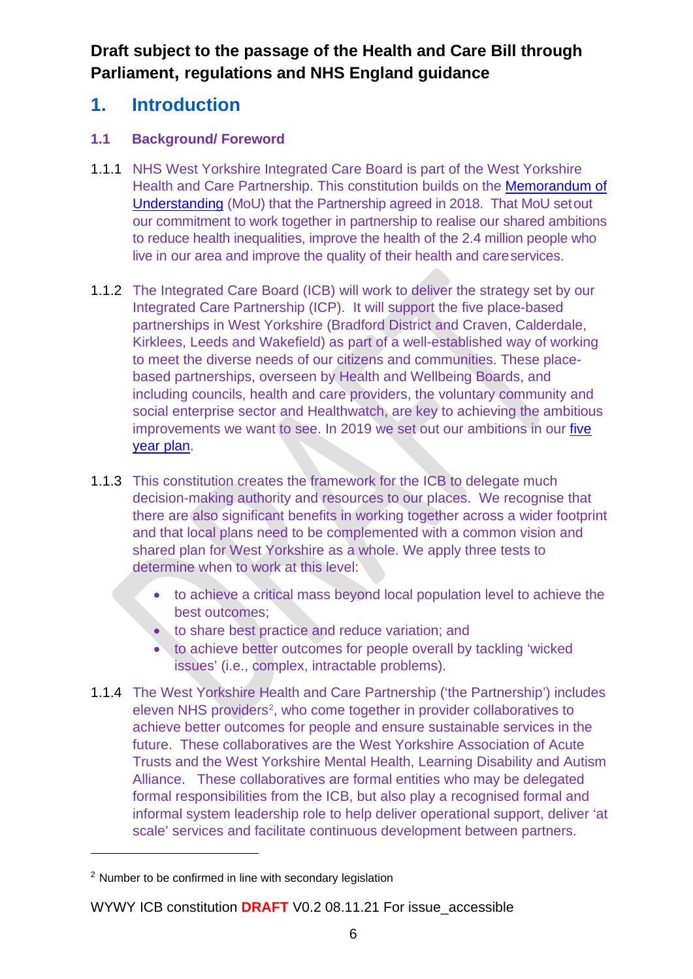# **1. Introduction**

### **1.1 Background/ Foreword**

- 1.1.1 NHS West Yorkshire Integrated Care Board is part of the West Yorkshire Health and Care Partnership. This constitution builds on the [Memorandum of](https://www.wypartnership.co.uk/application/files/6016/1434/8348/WYH_MoU.pdf)  [Understanding](https://www.wypartnership.co.uk/application/files/6016/1434/8348/WYH_MoU.pdf) (MoU) that the Partnership agreed in 2018. That MoU setout our commitment to work together in partnership to realise our shared ambitions to reduce health inequalities, improve the health of the 2.4 million people who live in our area and improve the quality of their health and careservices.
- 1.1.2 The Integrated Care Board (ICB) will work to deliver the strategy set by our Integrated Care Partnership (ICP). It will support the five place-based partnerships in West Yorkshire (Bradford District and Craven, Calderdale, Kirklees, Leeds and Wakefield) as part of a well-established way of working to meet the diverse needs of our citizens and communities. These placebased partnerships, overseen by Health and Wellbeing Boards, and including councils, health and care providers, the voluntary community and social enterprise sector and Healthwatch, are key to achieving the ambitious improvements we want to see. In 2019 we set out our ambitions in our [five](https://www.wypartnership.co.uk/publications/our-five-year-plan)  [year plan.](https://www.wypartnership.co.uk/publications/our-five-year-plan)
- 1.1.3 This constitution creates the framework for the ICB to delegate much decision-making authority and resources to our places. We recognise that there are also significant benefits in working together across a wider footprint and that local plans need to be complemented with a common vision and shared plan for West Yorkshire as a whole. We apply three tests to determine when to work at this level:
	- to achieve a critical mass beyond local population level to achieve the best outcomes;
	- to share best practice and reduce variation; and
	- to achieve better outcomes for people overall by tackling 'wicked issues' (i.e., complex, intractable problems).
- 1.1.4 The West Yorkshire Health and Care Partnership ('the Partnership') includes eleven NHS providers<sup>[2](#page-10-0)</sup>, who come together in provider collaboratives to achieve better outcomes for people and ensure sustainable services in the future. These collaboratives are the West Yorkshire Association of Acute Trusts and the West Yorkshire Mental Health, Learning Disability and Autism Alliance. These collaboratives are formal entities who may be delegated formal responsibilities from the ICB, but also play a recognised formal and informal system leadership role to help deliver operational support, deliver 'at scale' services and facilitate continuous development between partners.

<span id="page-10-0"></span><sup>2</sup> Number to be confirmed in line with secondary legislation

WYWY ICB constitution **DRAFT** V0.2 08.11.21 For issue\_accessible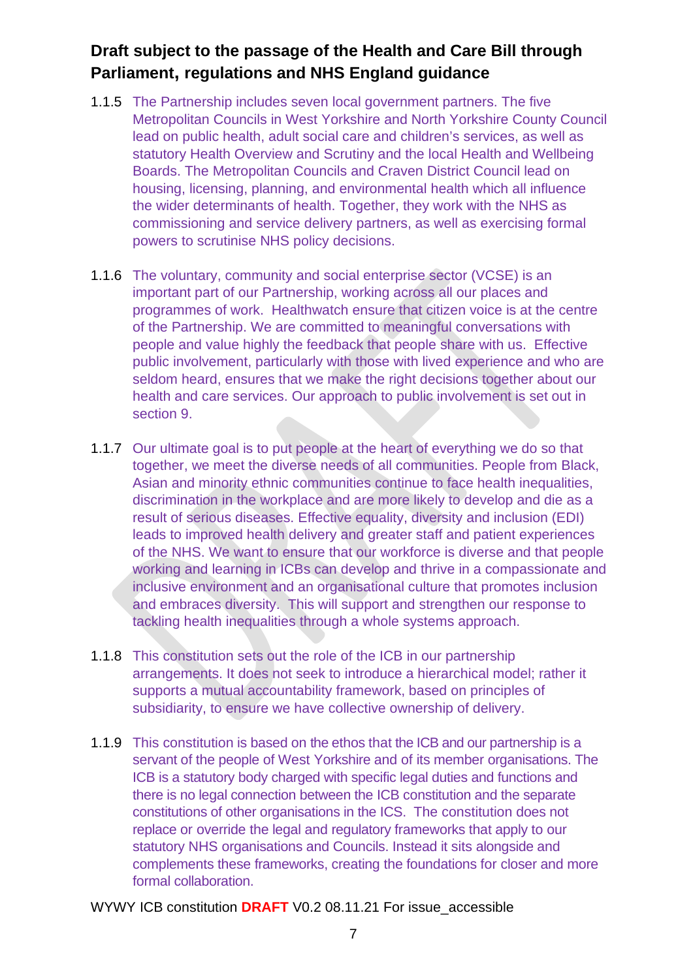- 1.1.5 The Partnership includes seven local government partners. The five Metropolitan Councils in West Yorkshire and North Yorkshire County Council lead on public health, adult social care and children's services, as well as statutory Health Overview and Scrutiny and the local Health and Wellbeing Boards. The Metropolitan Councils and Craven District Council lead on housing, licensing, planning, and environmental health which all influence the wider determinants of health. Together, they work with the NHS as commissioning and service delivery partners, as well as exercising formal powers to scrutinise NHS policy decisions.
- 1.1.6 The voluntary, community and social enterprise sector (VCSE) is an important part of our Partnership, working across all our places and programmes of work. Healthwatch ensure that citizen voice is at the centre of the Partnership. We are committed to meaningful conversations with people and value highly the feedback that people share with us. Effective public involvement, particularly with those with lived experience and who are seldom heard, ensures that we make the right decisions together about our health and care services. Our approach to public involvement is set out in section 9.
- 1.1.7 Our ultimate goal is to put people at the heart of everything we do so that together, we meet the diverse needs of all communities. People from Black, Asian and minority ethnic communities continue to face health inequalities, discrimination in the workplace and are more likely to develop and die as a result of serious diseases. Effective equality, diversity and inclusion (EDI) leads to improved health delivery and greater staff and patient experiences of the NHS. We want to ensure that our workforce is diverse and that people working and learning in ICBs can develop and thrive in a compassionate and inclusive environment and an organisational culture that promotes inclusion and embraces diversity. This will support and strengthen our response to tackling health inequalities through a whole systems approach.
- 1.1.8 This constitution sets out the role of the ICB in our partnership arrangements. It does not seek to introduce a hierarchical model; rather it supports a mutual accountability framework, based on principles of subsidiarity, to ensure we have collective ownership of delivery.
- 1.1.9 This constitution is based on the ethos that the ICB and our partnership is a servant of the people of West Yorkshire and of its member organisations. The ICB is a statutory body charged with specific legal duties and functions and there is no legal connection between the ICB constitution and the separate constitutions of other organisations in the ICS. The constitution does not replace or override the legal and regulatory frameworks that apply to our statutory NHS organisations and Councils. Instead it sits alongside and complements these frameworks, creating the foundations for closer and more formal collaboration.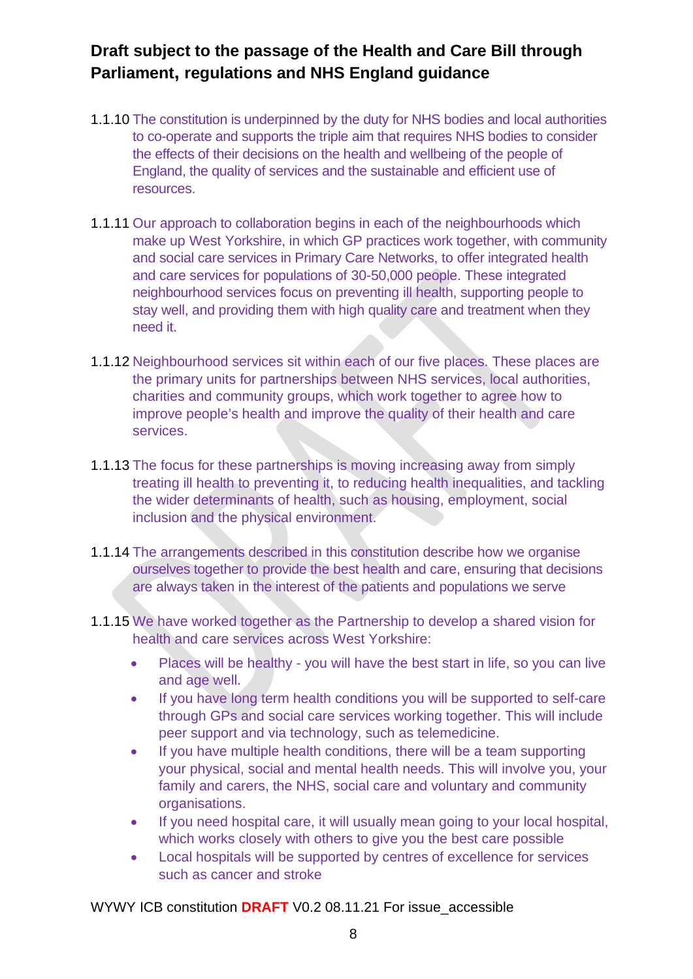- 1.1.10 The constitution is underpinned by the duty for NHS bodies and local authorities to co-operate and supports the triple aim that requires NHS bodies to consider the effects of their decisions on the health and wellbeing of the people of England, the quality of services and the sustainable and efficient use of resources.
- 1.1.11 Our approach to collaboration begins in each of the neighbourhoods which make up West Yorkshire, in which GP practices work together, with community and social care services in Primary Care Networks, to offer integrated health and care services for populations of 30-50,000 people. These integrated neighbourhood services focus on preventing ill health, supporting people to stay well, and providing them with high quality care and treatment when they need it.
- 1.1.12 Neighbourhood services sit within each of our five places. These places are the primary units for partnerships between NHS services, local authorities, charities and community groups, which work together to agree how to improve people's health and improve the quality of their health and care services.
- 1.1.13 The focus for these partnerships is moving increasing away from simply treating ill health to preventing it, to reducing health inequalities, and tackling the wider determinants of health, such as housing, employment, social inclusion and the physical environment.
- 1.1.14 The arrangements described in this constitution describe how we organise ourselves together to provide the best health and care, ensuring that decisions are always taken in the interest of the patients and populations we serve
- 1.1.15 We have worked together as the Partnership to develop a shared vision for health and care services across West Yorkshire:
	- Places will be healthy you will have the best start in life, so you can live and age well.
	- If you have long term health conditions you will be supported to self-care through GPs and social care services working together. This will include peer support and via technology, such as telemedicine.
	- If you have multiple health conditions, there will be a team supporting your physical, social and mental health needs. This will involve you, your family and carers, the NHS, social care and voluntary and community organisations.
	- If you need hospital care, it will usually mean going to your local hospital, which works closely with others to give you the best care possible
	- Local hospitals will be supported by centres of excellence for services such as cancer and stroke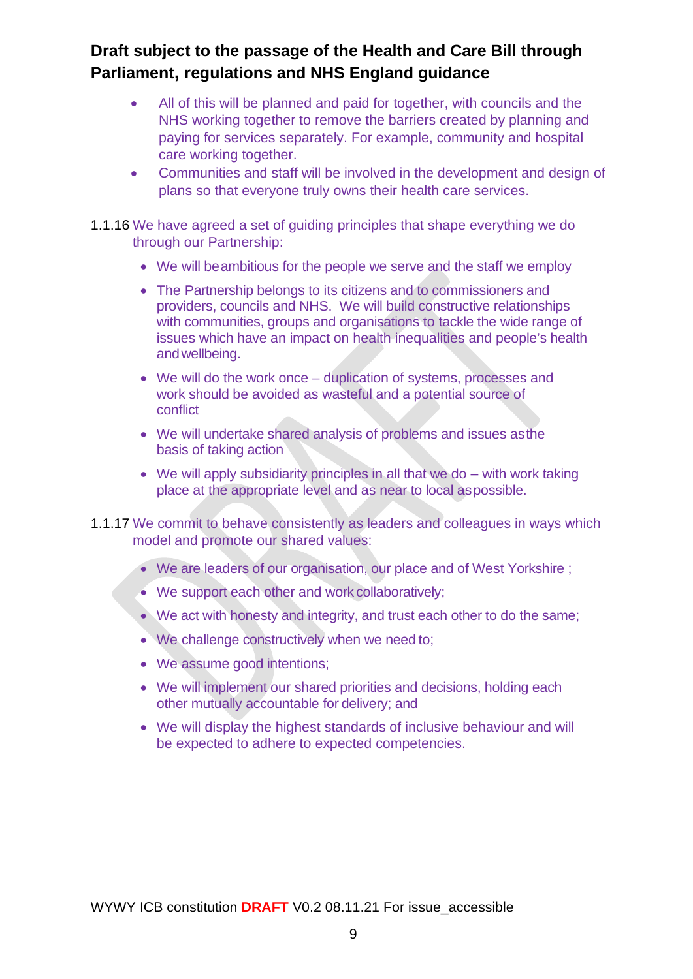- All of this will be planned and paid for together, with councils and the NHS working together to remove the barriers created by planning and paying for services separately. For example, community and hospital care working together.
- Communities and staff will be involved in the development and design of plans so that everyone truly owns their health care services.
- 1.1.16 We have agreed a set of guiding principles that shape everything we do through our Partnership:
	- We will beambitious for the people we serve and the staff we employ
	- The Partnership belongs to its citizens and to commissioners and providers, councils and NHS. We will build constructive relationships with communities, groups and organisations to tackle the wide range of issues which have an impact on health inequalities and people's health andwellbeing.
	- We will do the work once duplication of systems, processes and work should be avoided as wasteful and a potential source of conflict
	- We will undertake shared analysis of problems and issues asthe basis of taking action
	- We will apply subsidiarity principles in all that we do with work taking place at the appropriate level and as near to local aspossible.
- 1.1.17 We commit to behave consistently as leaders and colleagues in ways which model and promote our shared values:
	- We are leaders of our organisation, our place and of West Yorkshire :
	- We support each other and work collaboratively;
	- We act with honesty and integrity, and trust each other to do the same;
	- We challenge constructively when we need to;
	- We assume good intentions;
	- We will implement our shared priorities and decisions, holding each other mutually accountable for delivery; and
	- We will display the highest standards of inclusive behaviour and will be expected to adhere to expected competencies.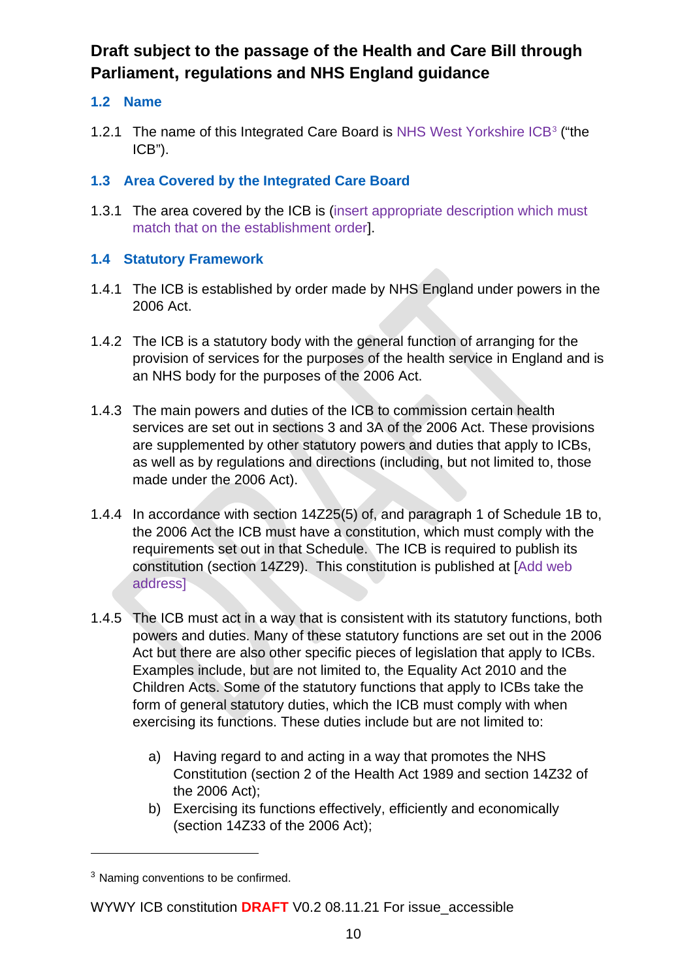### **1.2 Name**

1.2.1 The name of this Integrated Care Board is NHS West Yorkshire ICB<sup>[3](#page-14-0)</sup> ("the ICB").

### **1.3 Area Covered by the Integrated Care Board**

1.3.1 The area covered by the ICB is (insert appropriate description which must match that on the establishment order].

### **1.4 Statutory Framework**

- 1.4.1 The ICB is established by order made by NHS England under powers in the 2006 Act.
- 1.4.2 The ICB is a statutory body with the general function of arranging for the provision of services for the purposes of the health service in England and is an NHS body for the purposes of the 2006 Act.
- 1.4.3 The main powers and duties of the ICB to commission certain health services are set out in sections 3 and 3A of the 2006 Act. These provisions are supplemented by other statutory powers and duties that apply to ICBs, as well as by regulations and directions (including, but not limited to, those made under the 2006 Act).
- 1.4.4 In accordance with section 14Z25(5) of, and paragraph 1 of Schedule 1B to, the 2006 Act the ICB must have a constitution, which must comply with the requirements set out in that Schedule. The ICB is required to publish its constitution (section 14Z29). This constitution is published at [Add web address]
- 1.4.5 The ICB must act in a way that is consistent with its statutory functions, both powers and duties. Many of these statutory functions are set out in the 2006 Act but there are also other specific pieces of legislation that apply to ICBs. Examples include, but are not limited to, the Equality Act 2010 and the Children Acts. Some of the statutory functions that apply to ICBs take the form of general statutory duties, which the ICB must comply with when exercising its functions. These duties include but are not limited to:
	- a) Having regard to and acting in a way that promotes the NHS Constitution (section 2 of the Health Act 1989 and section 14Z32 of the 2006 Act);
	- b) Exercising its functions effectively, efficiently and economically (section 14Z33 of the 2006 Act);

<span id="page-14-0"></span><sup>&</sup>lt;sup>3</sup> Naming conventions to be confirmed.

WYWY ICB constitution **DRAFT** V0.2 08.11.21 For issue\_accessible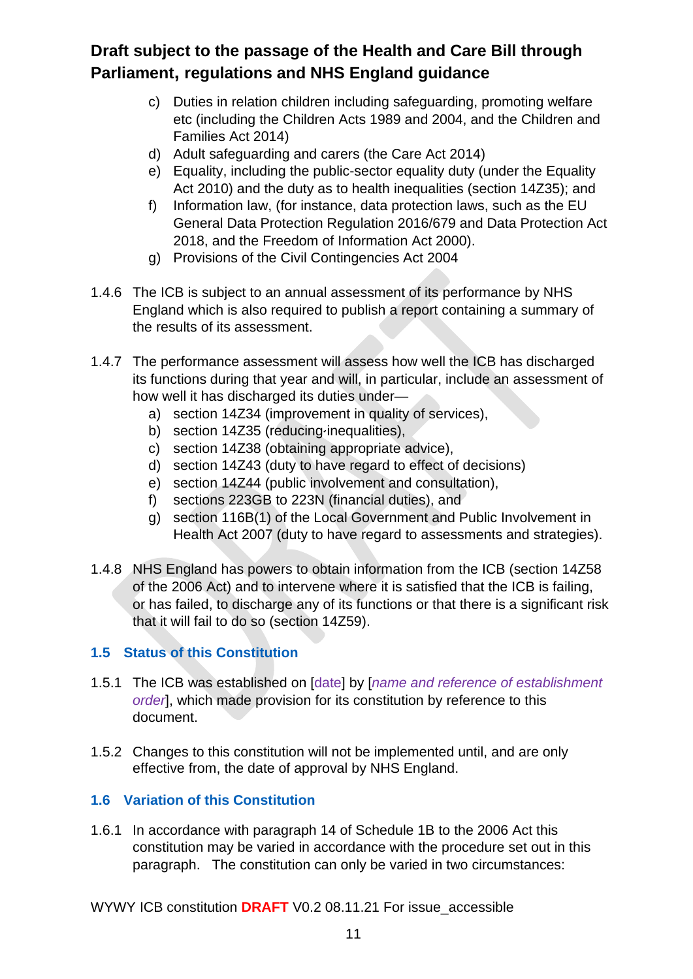- c) Duties in relation children including safeguarding, promoting welfare etc (including the Children Acts 1989 and 2004, and the Children and Families Act 2014)
- d) Adult safeguarding and carers (the Care Act 2014)
- e) Equality, including the public-sector equality duty (under the Equality Act 2010) and the duty as to health inequalities (section 14Z35); and
- f) Information law, (for instance, data protection laws, such as the EU General Data Protection Regulation 2016/679 and Data Protection Act 2018, and the Freedom of Information Act 2000).
- g) Provisions of the Civil Contingencies Act 2004
- 1.4.6 The ICB is subject to an annual assessment of its performance by NHS England which is also required to publish a report containing a summary of the results of its assessment.
- 1.4.7 The performance assessment will assess how well the ICB has discharged its functions during that year and will, in particular, include an assessment of how well it has discharged its duties under
	- a) section 14Z34 (improvement in quality of services),
	- b) section 14Z35 (reducing inequalities),
	- c) section 14Z38 (obtaining appropriate advice),
	- d) section 14Z43 (duty to have regard to effect of decisions)
	- e) section 14Z44 (public involvement and consultation),
	- f) sections 223GB to 223N (financial duties), and
	- g) section 116B(1) of the Local Government and Public Involvement in Health Act 2007 (duty to have regard to assessments and strategies).
- 1.4.8 NHS England has powers to obtain information from the ICB (section 14Z58 of the 2006 Act) and to intervene where it is satisfied that the ICB is failing, or has failed, to discharge any of its functions or that there is a significant risk that it will fail to do so (section 14Z59).

### **1.5 Status of this Constitution**

- 1.5.1 The ICB was established on [date] by [*name and reference of establishment order*], which made provision for its constitution by reference to this document.
- 1.5.2 Changes to this constitution will not be implemented until, and are only effective from, the date of approval by NHS England.

### **1.6 Variation of this Constitution**

1.6.1 In accordance with paragraph 14 of Schedule 1B to the 2006 Act this constitution may be varied in accordance with the procedure set out in this paragraph. The constitution can only be varied in two circumstances: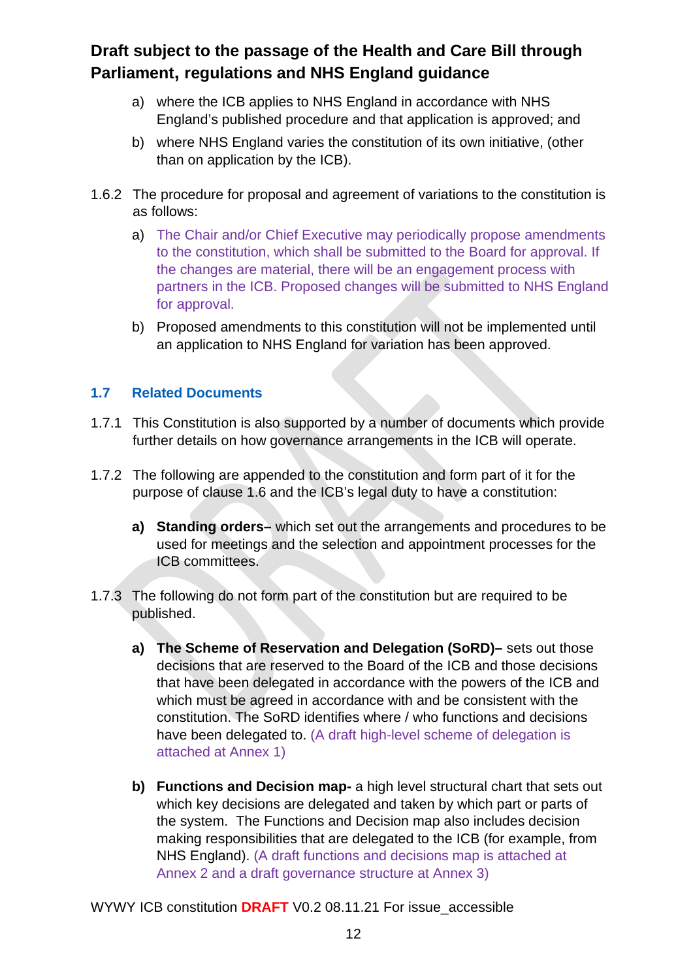- a) where the ICB applies to NHS England in accordance with NHS England's published procedure and that application is approved; and
- b) where NHS England varies the constitution of its own initiative, (other than on application by the ICB).
- 1.6.2 The procedure for proposal and agreement of variations to the constitution is as follows:
	- a) The Chair and/or Chief Executive may periodically propose amendments to the constitution, which shall be submitted to the Board for approval. If the changes are material, there will be an engagement process with partners in the ICB. Proposed changes will be submitted to NHS England for approval.
	- b) Proposed amendments to this constitution will not be implemented until an application to NHS England for variation has been approved.

#### **1.7 Related Documents**

- 1.7.1 This Constitution is also supported by a number of documents which provide further details on how governance arrangements in the ICB will operate.
- 1.7.2 The following are appended to the constitution and form part of it for the purpose of clause 1.6 and the ICB's legal duty to have a constitution:
	- **a) Standing orders–** which set out the arrangements and procedures to be used for meetings and the selection and appointment processes for the ICB committees.
- 1.7.3 The following do not form part of the constitution but are required to be published.
	- **a) The Scheme of Reservation and Delegation (SoRD)–** sets out those decisions that are reserved to the Board of the ICB and those decisions that have been delegated in accordance with the powers of the ICB and which must be agreed in accordance with and be consistent with the constitution. The SoRD identifies where / who functions and decisions have been delegated to. (A draft high-level scheme of delegation is attached at Annex 1)
	- **b) Functions and Decision map-** a high level structural chart that sets out which key decisions are delegated and taken by which part or parts of the system. The Functions and Decision map also includes decision making responsibilities that are delegated to the ICB (for example, from NHS England). (A draft functions and decisions map is attached at Annex 2 and a draft governance structure at Annex 3)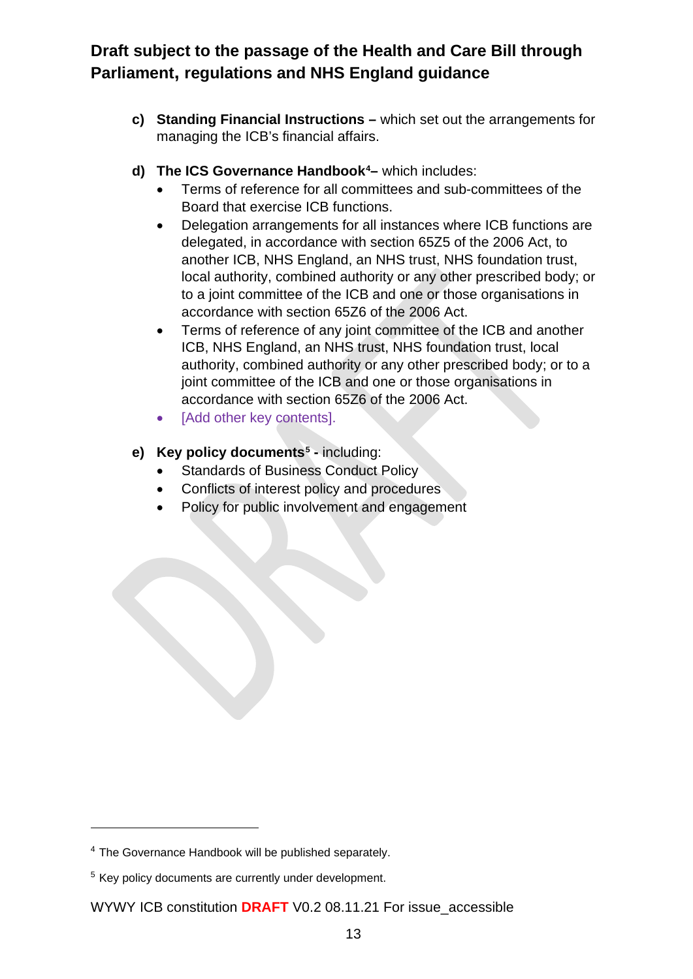- **c) Standing Financial Instructions –** which set out the arrangements for managing the ICB's financial affairs.
- **d) The ICS Governance Handbook[4](#page-17-0) –** which includes:
	- Terms of reference for all committees and sub-committees of the Board that exercise ICB functions.
	- Delegation arrangements for all instances where ICB functions are delegated, in accordance with section 65Z5 of the 2006 Act, to another ICB, NHS England, an NHS trust, NHS foundation trust, local authority, combined authority or any other prescribed body; or to a joint committee of the ICB and one or those organisations in accordance with section 65Z6 of the 2006 Act.
	- Terms of reference of any joint committee of the ICB and another ICB, NHS England, an NHS trust, NHS foundation trust, local authority, combined authority or any other prescribed body; or to a joint committee of the ICB and one or those organisations in accordance with section 65Z6 of the 2006 Act.
	- [Add other key contents].
- **e) Key policy documents[5](#page-17-1) -** including:
	- Standards of Business Conduct Policy
	- Conflicts of interest policy and procedures
	- Policy for public involvement and engagement

<span id="page-17-0"></span><sup>4</sup> The Governance Handbook will be published separately.

<span id="page-17-1"></span><sup>&</sup>lt;sup>5</sup> Key policy documents are currently under development.

WYWY ICB constitution **DRAFT** V0.2 08.11.21 For issue\_accessible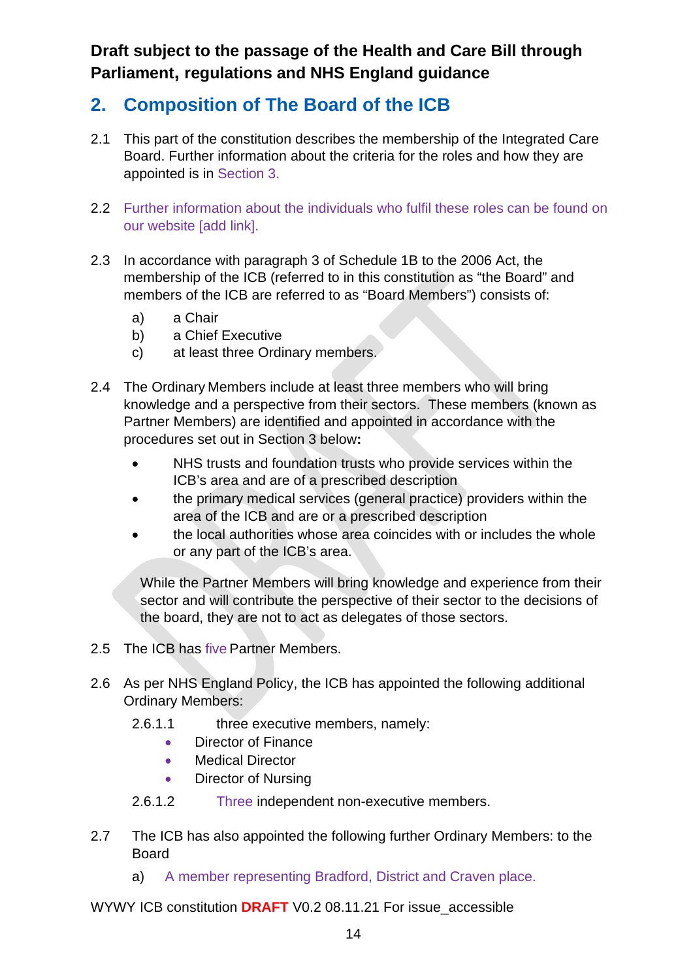# **2. Composition of The Board of the ICB**

- 2.1 This part of the constitution describes the membership of the Integrated Care Board. Further information about the criteria for the roles and how they are appointed is in Section 3.
- 2.2 Further information about the individuals who fulfil these roles can be found on our website [add link].
- 2.3 In accordance with paragraph 3 of Schedule 1B to the 2006 Act, the membership of the ICB (referred to in this constitution as "the Board" and members of the ICB are referred to as "Board Members") consists of:
	- a) a Chair
	- b) a Chief Executive
	- c) at least three Ordinary members.
- 2.4 The Ordinary Members include at least three members who will bring knowledge and a perspective from their sectors. These members (known as Partner Members) are identified and appointed in accordance with the procedures set out in Section 3 below**:**
	- NHS trusts and foundation trusts who provide services within the ICB's area and are of a prescribed description
	- the primary medical services (general practice) providers within the area of the ICB and are or a prescribed description
	- the local authorities whose area coincides with or includes the whole or any part of the ICB's area.

While the Partner Members will bring knowledge and experience from their sector and will contribute the perspective of their sector to the decisions of the board, they are not to act as delegates of those sectors.

- 2.5 The ICB has five Partner Members.
- 2.6 As per NHS England Policy, the ICB has appointed the following additional Ordinary Members:
	- 2.6.1.1 three executive members, namely:
		- Director of Finance
		- Medical Director
		- Director of Nursing
	- 2.6.1.2 Three independent non-executive members.
- 2.7 The ICB has also appointed the following further Ordinary Members: to the Board
	- a) A member representing Bradford, District and Craven place.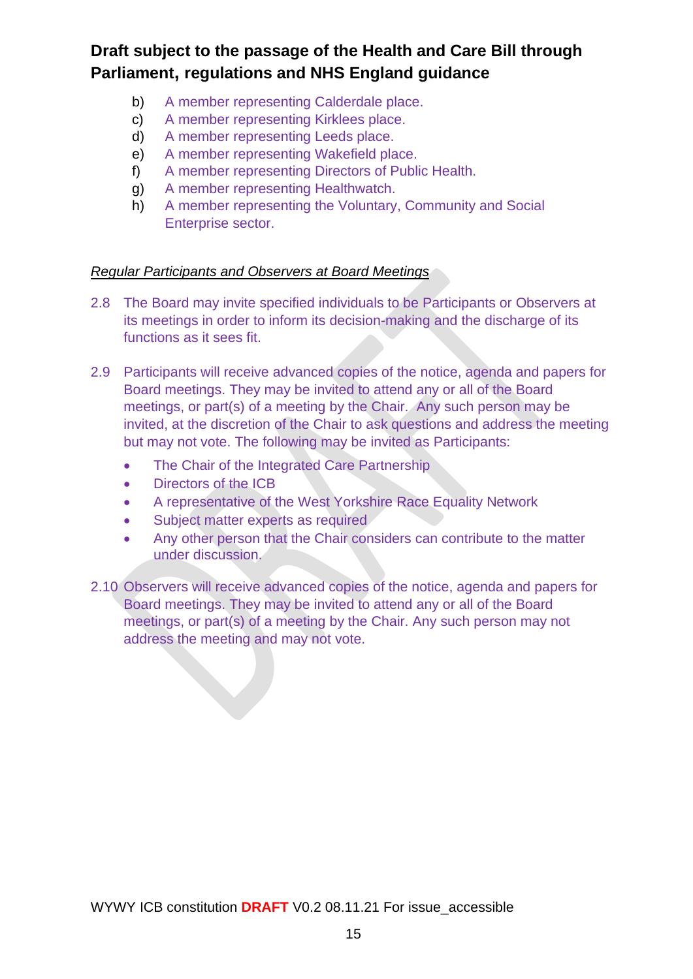- b) A member representing Calderdale place.
- c) A member representing Kirklees place.
- d) A member representing Leeds place.
- e) A member representing Wakefield place.
- f) A member representing Directors of Public Health.
- g) A member representing Healthwatch.
- h) A member representing the Voluntary, Community and Social Enterprise sector.

#### *Regular Participants and Observers at Board Meetings*

- 2.8 The Board may invite specified individuals to be Participants or Observers at its meetings in order to inform its decision-making and the discharge of its functions as it sees fit.
- 2.9 Participants will receive advanced copies of the notice, agenda and papers for Board meetings. They may be invited to attend any or all of the Board meetings, or part(s) of a meeting by the Chair. Any such person may be invited, at the discretion of the Chair to ask questions and address the meeting but may not vote. The following may be invited as Participants:
	- The Chair of the Integrated Care Partnership
	- Directors of the ICB
	- A representative of the West Yorkshire Race Equality Network
	- Subject matter experts as required
	- Any other person that the Chair considers can contribute to the matter under discussion.
- 2.10 Observers will receive advanced copies of the notice, agenda and papers for Board meetings. They may be invited to attend any or all of the Board meetings, or part(s) of a meeting by the Chair. Any such person may not address the meeting and may not vote.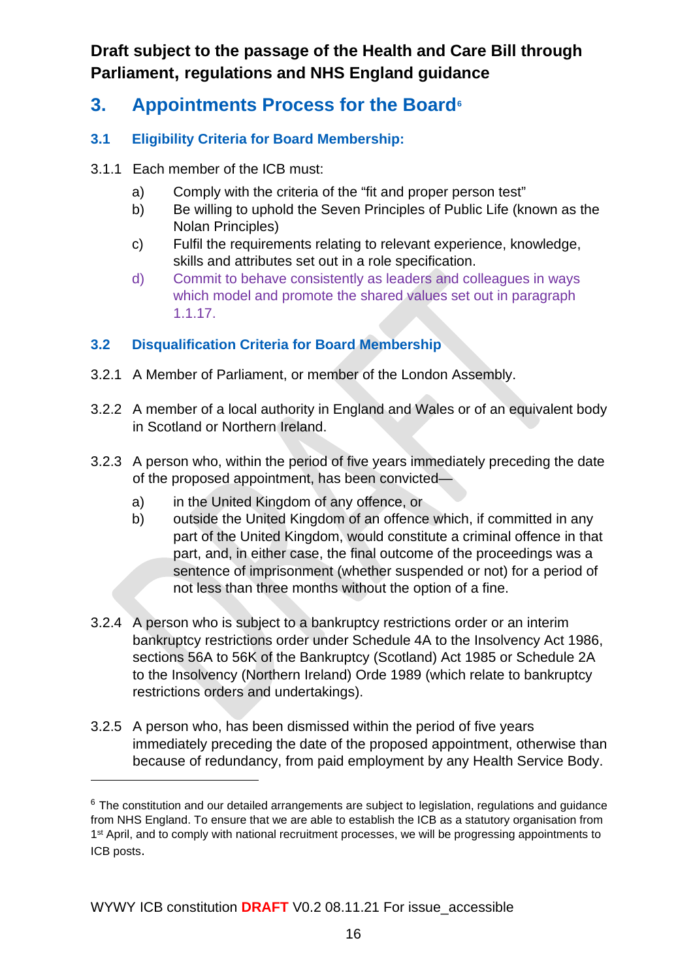- **3. Appointments Process for the Board[6](#page-20-0)**
- **3.1 Eligibility Criteria for Board Membership:**
- 3.1.1 Each member of the ICB must:
	- a) Comply with the criteria of the "fit and proper person test"
	- b) Be willing to uphold the Seven Principles of Public Life (known as the Nolan Principles)
	- c) Fulfil the requirements relating to relevant experience, knowledge, skills and attributes set out in a role specification.
	- d) Commit to behave consistently as leaders and colleagues in ways which model and promote the shared values set out in paragraph 1.1.17.

### **3.2 Disqualification Criteria for Board Membership**

- 3.2.1 A Member of Parliament, or member of the London Assembly.
- 3.2.2 A member of a local authority in England and Wales or of an equivalent body in Scotland or Northern Ireland.
- 3.2.3 A person who, within the period of five years immediately preceding the date of the proposed appointment, has been convicted
	- a) in the United Kingdom of any offence, or
	- b) outside the United Kingdom of an offence which, if committed in any part of the United Kingdom, would constitute a criminal offence in that part, and, in either case, the final outcome of the proceedings was a sentence of imprisonment (whether suspended or not) for a period of not less than three months without the option of a fine.
- 3.2.4 A person who is subject to a bankruptcy restrictions order or an interim bankruptcy restrictions order under Schedule 4A to the Insolvency Act 1986, sections 56A to 56K of the Bankruptcy (Scotland) Act 1985 or Schedule 2A to the Insolvency (Northern Ireland) Orde 1989 (which relate to bankruptcy restrictions orders and undertakings).
- 3.2.5 A person who, has been dismissed within the period of five years immediately preceding the date of the proposed appointment, otherwise than because of redundancy, from paid employment by any Health Service Body.

<span id="page-20-0"></span> $6$  The constitution and our detailed arrangements are subject to legislation, regulations and guidance from NHS England. To ensure that we are able to establish the ICB as a statutory organisation from 1<sup>st</sup> April, and to comply with national recruitment processes, we will be progressing appointments to ICB posts.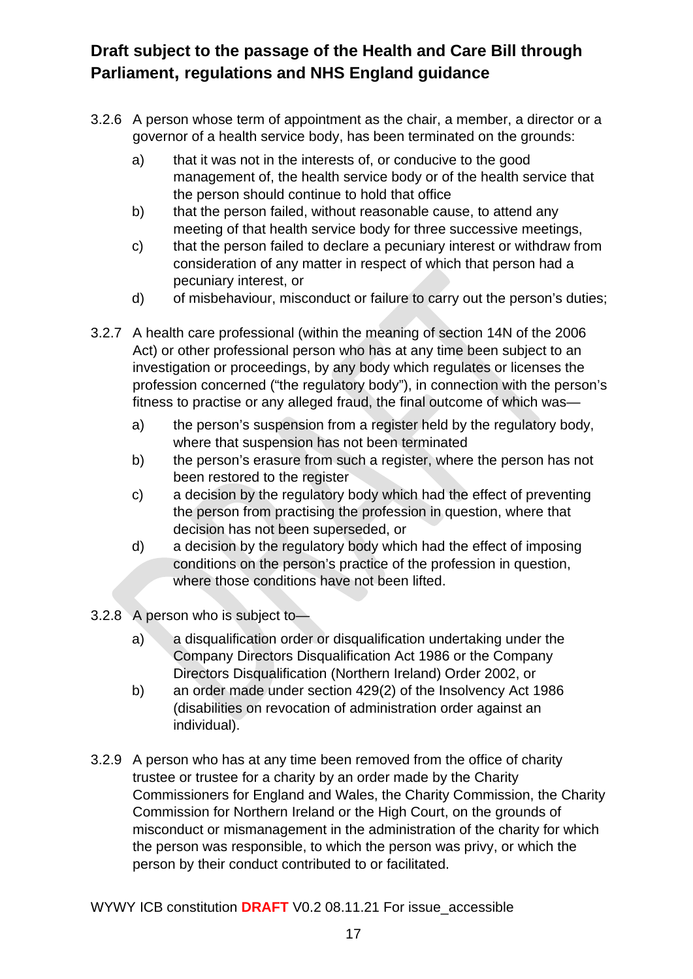- 3.2.6 A person whose term of appointment as the chair, a member, a director or a governor of a health service body, has been terminated on the grounds:
	- a) that it was not in the interests of, or conducive to the good management of, the health service body or of the health service that the person should continue to hold that office
	- b) that the person failed, without reasonable cause, to attend any meeting of that health service body for three successive meetings,
	- c) that the person failed to declare a pecuniary interest or withdraw from consideration of any matter in respect of which that person had a pecuniary interest, or
	- d) of misbehaviour, misconduct or failure to carry out the person's duties;
- 3.2.7 A health care professional (within the meaning of section 14N of the 2006 Act) or other professional person who has at any time been subject to an investigation or proceedings, by any body which regulates or licenses the profession concerned ("the regulatory body"), in connection with the person's fitness to practise or any alleged fraud, the final outcome of which was
	- a) the person's suspension from a register held by the regulatory body, where that suspension has not been terminated
	- b) the person's erasure from such a register, where the person has not been restored to the register
	- c) a decision by the regulatory body which had the effect of preventing the person from practising the profession in question, where that decision has not been superseded, or
	- d) a decision by the regulatory body which had the effect of imposing conditions on the person's practice of the profession in question, where those conditions have not been lifted.
- 3.2.8 A person who is subject to
	- a) a disqualification order or disqualification undertaking under the Company Directors Disqualification Act 1986 or the Company Directors Disqualification (Northern Ireland) Order 2002, or
	- b) an order made under section 429(2) of the Insolvency Act 1986 (disabilities on revocation of administration order against an individual).
- 3.2.9 A person who has at any time been removed from the office of charity trustee or trustee for a charity by an order made by the Charity Commissioners for England and Wales, the Charity Commission, the Charity Commission for Northern Ireland or the High Court, on the grounds of misconduct or mismanagement in the administration of the charity for which the person was responsible, to which the person was privy, or which the person by their conduct contributed to or facilitated.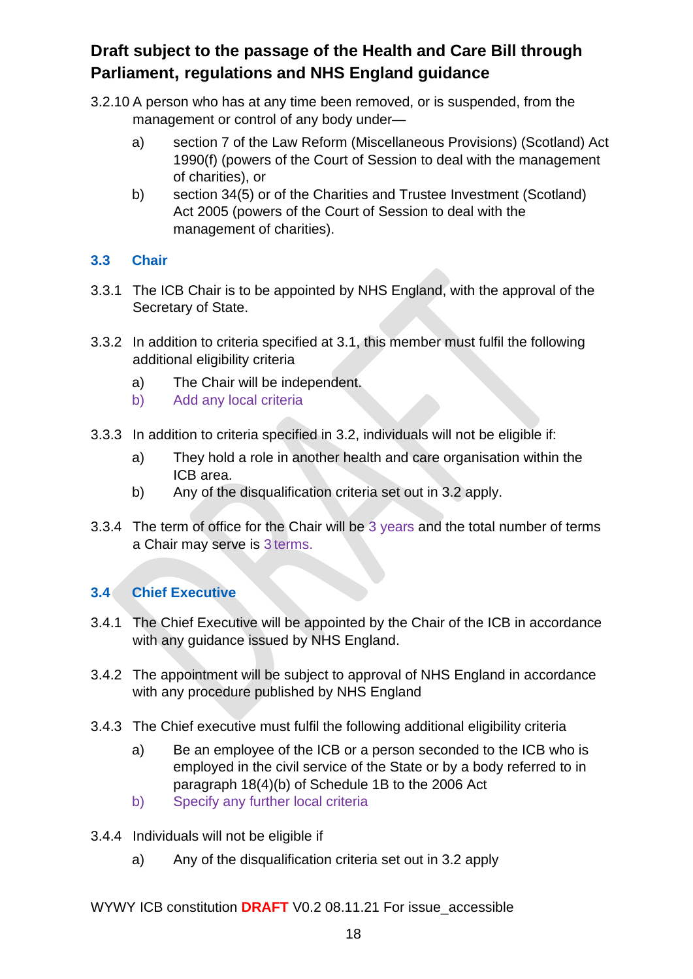- 3.2.10 A person who has at any time been removed, or is suspended, from the management or control of any body under
	- a) section 7 of the Law Reform (Miscellaneous Provisions) (Scotland) Act 1990(f) (powers of the Court of Session to deal with the management of charities), or
	- b) section 34(5) or of the Charities and Trustee Investment (Scotland) Act 2005 (powers of the Court of Session to deal with the management of charities).

#### **3.3 Chair**

- 3.3.1 The ICB Chair is to be appointed by NHS England, with the approval of the Secretary of State.
- 3.3.2 In addition to criteria specified at 3.1, this member must fulfil the following additional eligibility criteria
	- a) The Chair will be independent.
	- b) Add any local criteria
- 3.3.3 In addition to criteria specified in 3.2, individuals will not be eligible if:
	- a) They hold a role in another health and care organisation within the ICB area.
	- b) Any of the disqualification criteria set out in 3.2 apply.
- 3.3.4 The term of office for the Chair will be 3 years and the total number of terms a Chair may serve is 3 terms.

### **3.4 Chief Executive**

- 3.4.1 The Chief Executive will be appointed by the Chair of the ICB in accordance with any guidance issued by NHS England.
- 3.4.2 The appointment will be subject to approval of NHS England in accordance with any procedure published by NHS England
- 3.4.3 The Chief executive must fulfil the following additional eligibility criteria
	- a) Be an employee of the ICB or a person seconded to the ICB who is employed in the civil service of the State or by a body referred to in paragraph 18(4)(b) of Schedule 1B to the 2006 Act
	- b) Specify any further local criteria
- 3.4.4 Individuals will not be eligible if
	- a) Any of the disqualification criteria set out in 3.2 apply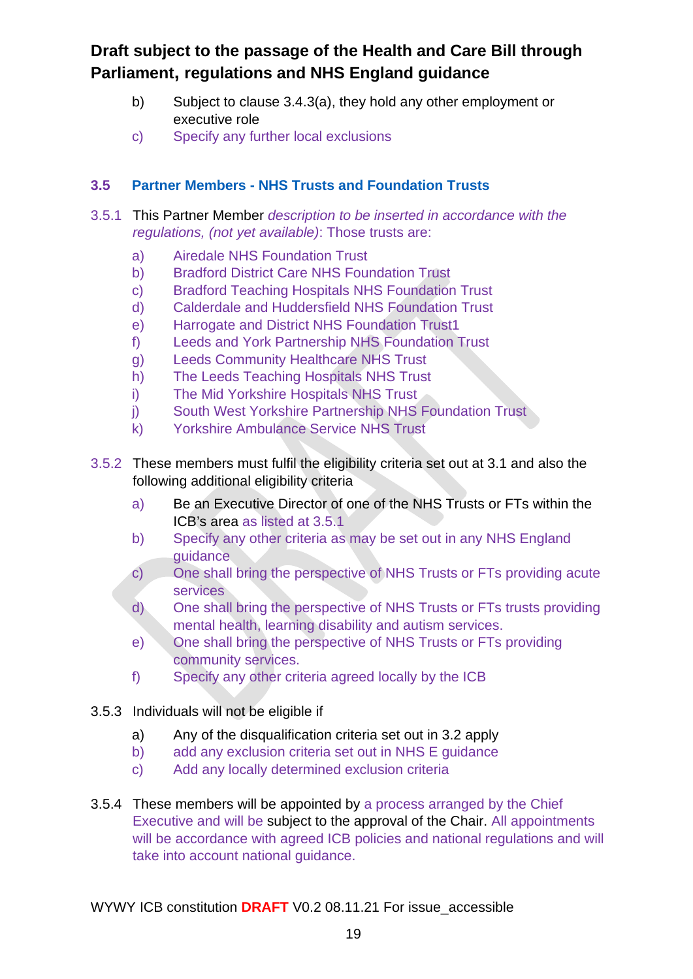- b) Subject to clause 3.4.3(a), they hold any other employment or executive role
- c) Specify any further local exclusions

#### **3.5 Partner Members - NHS Trusts and Foundation Trusts**

- 3.5.1 This Partner Member *description to be inserted in accordance with the regulations, (not yet available)*: Those trusts are:
	- a) Airedale NHS Foundation Trust
	- b) Bradford District Care NHS Foundation Trust
	- c) Bradford Teaching Hospitals NHS Foundation Trust
	- d) Calderdale and Huddersfield NHS Foundation Trust
	- e) Harrogate and District NHS Foundation Trust1
	- f) Leeds and York Partnership NHS Foundation Trust
	- g) Leeds Community Healthcare NHS Trust
	- h) The Leeds Teaching Hospitals NHS Trust
	- i) The Mid Yorkshire Hospitals NHS Trust
	- j) South West Yorkshire Partnership NHS Foundation Trust
	- k) Yorkshire Ambulance Service NHS Trust
- 3.5.2 These members must fulfil the eligibility criteria set out at 3.1 and also the following additional eligibility criteria
	- a) Be an Executive Director of one of the NHS Trusts or FTs within the ICB's area as listed at 3.5.1
	- b) Specify any other criteria as may be set out in any NHS England guidance
	- c) One shall bring the perspective of NHS Trusts or FTs providing acute services
	- d) One shall bring the perspective of NHS Trusts or FTs trusts providing mental health, learning disability and autism services.
	- e) One shall bring the perspective of NHS Trusts or FTs providing community services.
	- f) Specify any other criteria agreed locally by the ICB
- 3.5.3 Individuals will not be eligible if
	- a) Any of the disqualification criteria set out in 3.2 apply
	- b) add any exclusion criteria set out in NHS E guidance
	- c) Add any locally determined exclusion criteria
- 3.5.4 These members will be appointed by a process arranged by the Chief Executive and will be subject to the approval of the Chair. All appointments will be accordance with agreed ICB policies and national regulations and will take into account national guidance.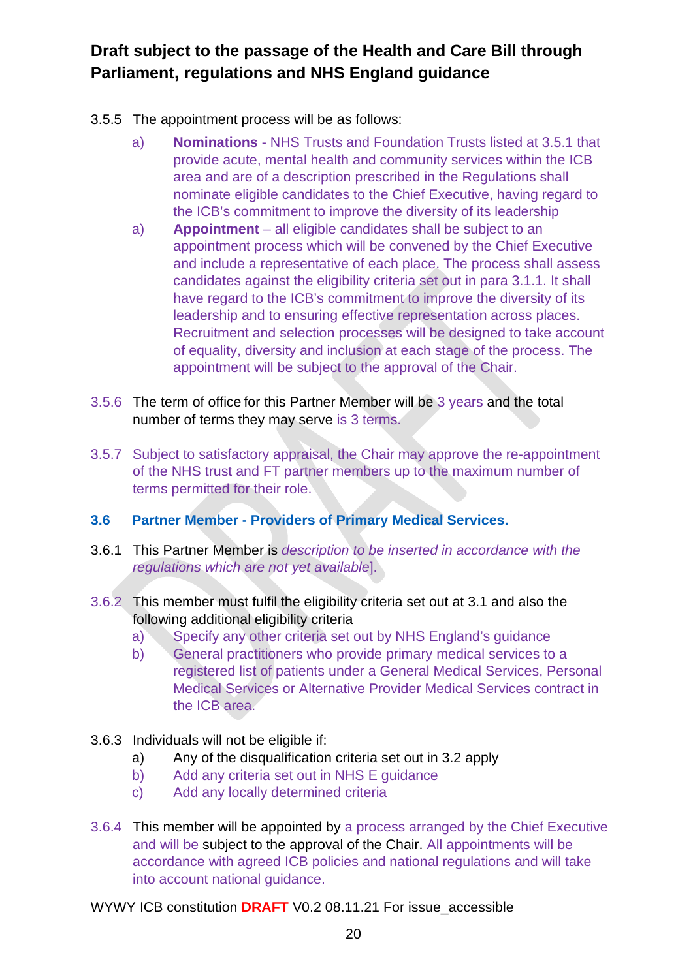- 3.5.5 The appointment process will be as follows:
	- a) **Nominations** NHS Trusts and Foundation Trusts listed at 3.5.1 that provide acute, mental health and community services within the ICB area and are of a description prescribed in the Regulations shall nominate eligible candidates to the Chief Executive, having regard to the ICB's commitment to improve the diversity of its leadership
	- a) **Appointment** all eligible candidates shall be subject to an appointment process which will be convened by the Chief Executive and include a representative of each place. The process shall assess candidates against the eligibility criteria set out in para 3.1.1. It shall have regard to the ICB's commitment to improve the diversity of its leadership and to ensuring effective representation across places. Recruitment and selection processes will be designed to take account of equality, diversity and inclusion at each stage of the process. The appointment will be subject to the approval of the Chair.
- 3.5.6 The term of office for this Partner Member will be 3 years and the total number of terms they may serve is 3 terms.
- 3.5.7 Subject to satisfactory appraisal, the Chair may approve the re-appointment of the NHS trust and FT partner members up to the maximum number of terms permitted for their role.
- **3.6 Partner Member - Providers of Primary Medical Services.**
- 3.6.1 This Partner Member is *description to be inserted in accordance with the regulations which are not yet available*].
- 3.6.2 This member must fulfil the eligibility criteria set out at 3.1 and also the following additional eligibility criteria
	- a) Specify any other criteria set out by NHS England's guidance
	- b) General practitioners who provide primary medical services to a registered list of patients under a General Medical Services, Personal Medical Services or Alternative Provider Medical Services contract in the ICB area.
- 3.6.3 Individuals will not be eligible if:
	- a) Any of the disqualification criteria set out in 3.2 apply
	- b) Add any criteria set out in NHS E guidance
	- c) Add any locally determined criteria
- 3.6.4 This member will be appointed by a process arranged by the Chief Executive and will be subject to the approval of the Chair. All appointments will be accordance with agreed ICB policies and national regulations and will take into account national guidance.
- WYWY ICB constitution **DRAFT** V0.2 08.11.21 For issue\_accessible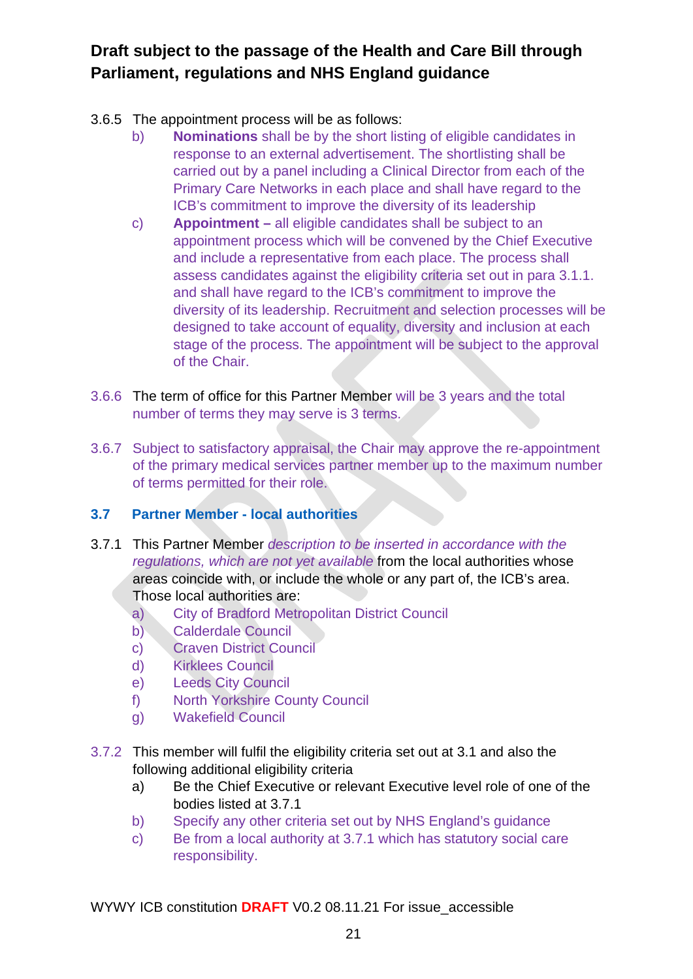- 3.6.5 The appointment process will be as follows:
	- b) **Nominations** shall be by the short listing of eligible candidates in response to an external advertisement. The shortlisting shall be carried out by a panel including a Clinical Director from each of the Primary Care Networks in each place and shall have regard to the ICB's commitment to improve the diversity of its leadership
	- c) **Appointment –** all eligible candidates shall be subject to an appointment process which will be convened by the Chief Executive and include a representative from each place. The process shall assess candidates against the eligibility criteria set out in para 3.1.1. and shall have regard to the ICB's commitment to improve the diversity of its leadership. Recruitment and selection processes will be designed to take account of equality, diversity and inclusion at each stage of the process. The appointment will be subject to the approval of the Chair.
- 3.6.6 The term of office for this Partner Member will be 3 years and the total number of terms they may serve is 3 terms.
- 3.6.7 Subject to satisfactory appraisal, the Chair may approve the re-appointment of the primary medical services partner member up to the maximum number of terms permitted for their role.

### **3.7 Partner Member - local authorities**

- 3.7.1 This Partner Member *description to be inserted in accordance with the regulations, which are not yet available* from the local authorities whose areas coincide with, or include the whole or any part of, the ICB's area. Those local authorities are:
	- a) City of Bradford Metropolitan District Council
	- b) Calderdale Council
	- c) Craven District Council
	- d) Kirklees Council
	- e) Leeds City Council
	- f) North Yorkshire County Council
	- g) Wakefield Council
- 3.7.2 This member will fulfil the eligibility criteria set out at 3.1 and also the following additional eligibility criteria
	- a) Be the Chief Executive or relevant Executive level role of one of the bodies listed at 3.7.1
	- b) Specify any other criteria set out by NHS England's guidance
	- c) Be from a local authority at 3.7.1 which has statutory social care responsibility.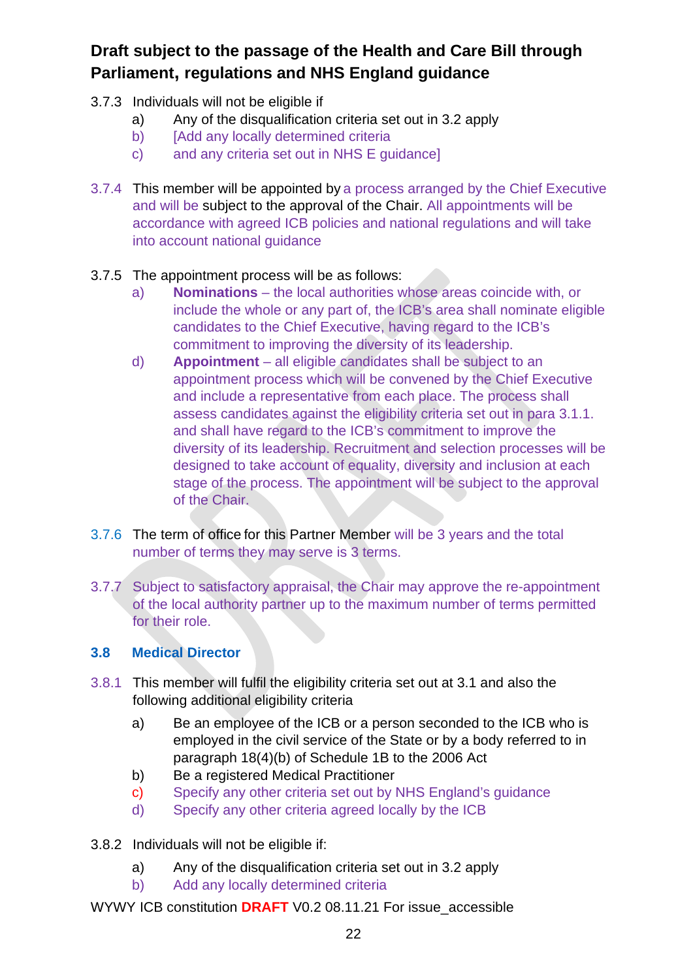- 3.7.3 Individuals will not be eligible if
	- a) Any of the disqualification criteria set out in 3.2 apply
	- b) [Add any locally determined criteria
	- c) and any criteria set out in NHS E guidance]
- 3.7.4 This member will be appointed by a process arranged by the Chief Executive and will be subject to the approval of the Chair. All appointments will be accordance with agreed ICB policies and national regulations and will take into account national guidance

#### 3.7.5 The appointment process will be as follows:

- a) **Nominations**  the local authorities whose areas coincide with, or include the whole or any part of, the ICB's area shall nominate eligible candidates to the Chief Executive, having regard to the ICB's commitment to improving the diversity of its leadership.
- d) **Appointment** all eligible candidates shall be subject to an appointment process which will be convened by the Chief Executive and include a representative from each place. The process shall assess candidates against the eligibility criteria set out in para 3.1.1. and shall have regard to the ICB's commitment to improve the diversity of its leadership. Recruitment and selection processes will be designed to take account of equality, diversity and inclusion at each stage of the process. The appointment will be subject to the approval of the Chair.
- 3.7.6 The term of office for this Partner Member will be 3 years and the total number of terms they may serve is 3 terms.
- 3.7.7 Subject to satisfactory appraisal, the Chair may approve the re-appointment of the local authority partner up to the maximum number of terms permitted for their role.

#### **3.8 Medical Director**

- 3.8.1 This member will fulfil the eligibility criteria set out at 3.1 and also the following additional eligibility criteria
	- a) Be an employee of the ICB or a person seconded to the ICB who is employed in the civil service of the State or by a body referred to in paragraph 18(4)(b) of Schedule 1B to the 2006 Act
	- b) Be a registered Medical Practitioner
	- c) Specify any other criteria set out by NHS England's guidance
	- d) Specify any other criteria agreed locally by the ICB
- 3.8.2 Individuals will not be eligible if:
	- a) Any of the disqualification criteria set out in 3.2 apply
	- b) Add any locally determined criteria
- WYWY ICB constitution **DRAFT** V0.2 08.11.21 For issue\_accessible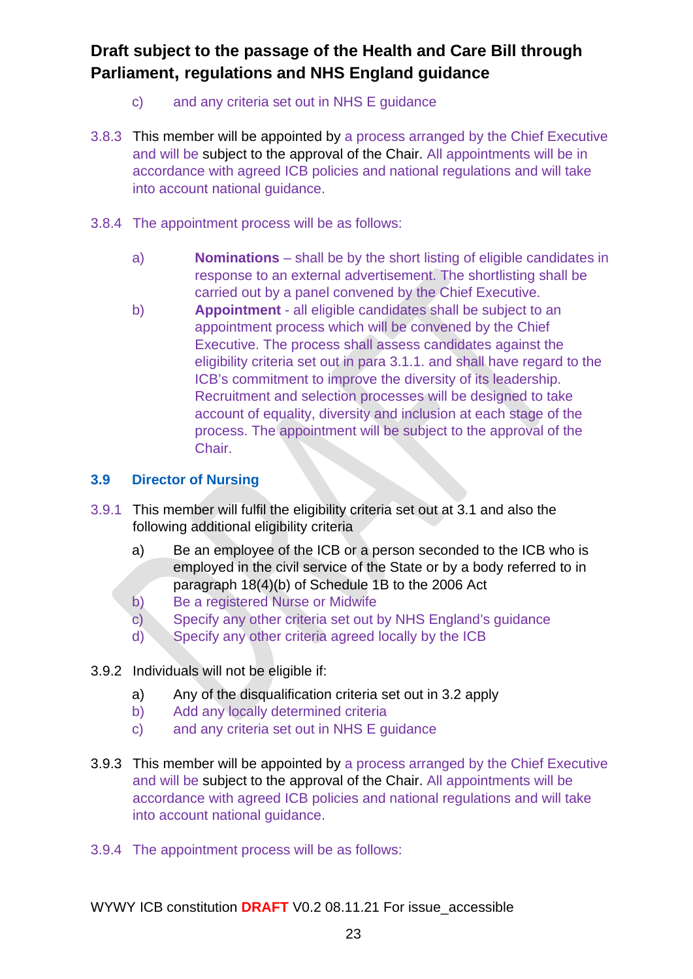- c) and any criteria set out in NHS E guidance
- 3.8.3 This member will be appointed by a process arranged by the Chief Executive and will be subject to the approval of the Chair. All appointments will be in accordance with agreed ICB policies and national regulations and will take into account national guidance.
- 3.8.4 The appointment process will be as follows:
	- a) **Nominations** shall be by the short listing of eligible candidates in response to an external advertisement. The shortlisting shall be carried out by a panel convened by the Chief Executive.
	- b) **Appointment**  all eligible candidates shall be subject to an appointment process which will be convened by the Chief Executive. The process shall assess candidates against the eligibility criteria set out in para 3.1.1. and shall have regard to the ICB's commitment to improve the diversity of its leadership. Recruitment and selection processes will be designed to take account of equality, diversity and inclusion at each stage of the process. The appointment will be subject to the approval of the Chair.

#### **3.9 Director of Nursing**

- 3.9.1 This member will fulfil the eligibility criteria set out at 3.1 and also the following additional eligibility criteria
	- a) Be an employee of the ICB or a person seconded to the ICB who is employed in the civil service of the State or by a body referred to in paragraph 18(4)(b) of Schedule 1B to the 2006 Act
	- b) Be a registered Nurse or Midwife
	- c) Specify any other criteria set out by NHS England's guidance
	- d) Specify any other criteria agreed locally by the ICB

#### 3.9.2 Individuals will not be eligible if:

- a) Any of the disqualification criteria set out in 3.2 apply
- b) Add any locally determined criteria
- c) and any criteria set out in NHS E guidance
- 3.9.3 This member will be appointed by a process arranged by the Chief Executive and will be subject to the approval of the Chair. All appointments will be accordance with agreed ICB policies and national regulations and will take into account national guidance.
- 3.9.4 The appointment process will be as follows: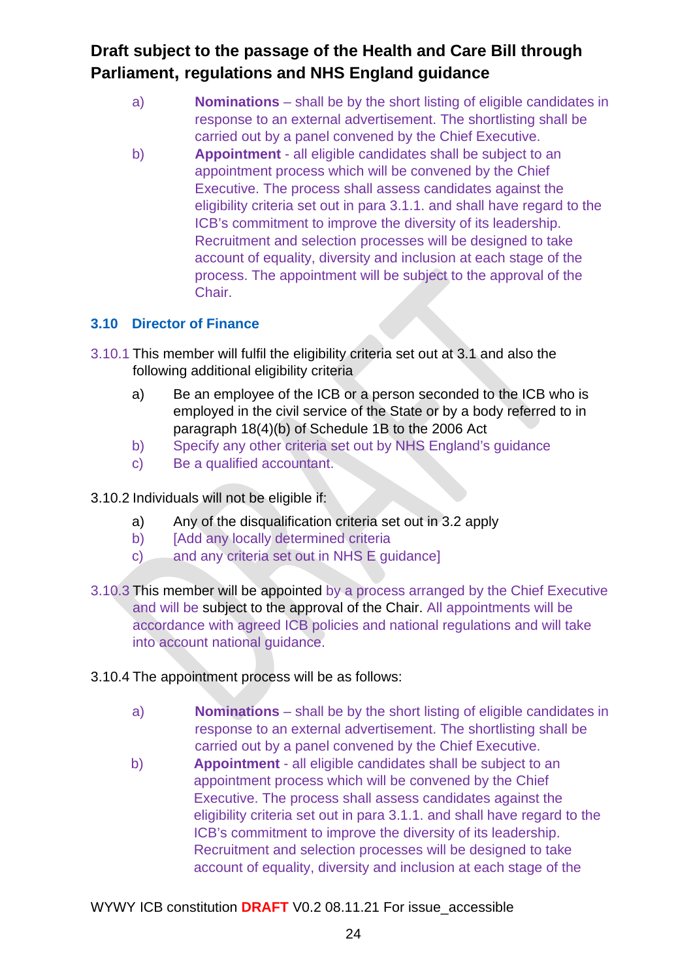- a) **Nominations** shall be by the short listing of eligible candidates in response to an external advertisement. The shortlisting shall be carried out by a panel convened by the Chief Executive.
- b) **Appointment** all eligible candidates shall be subject to an appointment process which will be convened by the Chief Executive. The process shall assess candidates against the eligibility criteria set out in para 3.1.1. and shall have regard to the ICB's commitment to improve the diversity of its leadership. Recruitment and selection processes will be designed to take account of equality, diversity and inclusion at each stage of the process. The appointment will be subject to the approval of the Chair.

### **3.10 Director of Finance**

- 3.10.1 This member will fulfil the eligibility criteria set out at 3.1 and also the following additional eligibility criteria
	- a) Be an employee of the ICB or a person seconded to the ICB who is employed in the civil service of the State or by a body referred to in paragraph 18(4)(b) of Schedule 1B to the 2006 Act
	- b) Specify any other criteria set out by NHS England's guidance
	- c) Be a qualified accountant.
- 3.10.2 Individuals will not be eligible if:
	- a) Any of the disqualification criteria set out in 3.2 apply
	- b) [Add any locally determined criteria
	- c) and any criteria set out in NHS E guidance]
- 3.10.3 This member will be appointed by a process arranged by the Chief Executive and will be subject to the approval of the Chair. All appointments will be accordance with agreed ICB policies and national regulations and will take into account national guidance.
- 3.10.4 The appointment process will be as follows:
	- a) **Nominations** shall be by the short listing of eligible candidates in response to an external advertisement. The shortlisting shall be carried out by a panel convened by the Chief Executive.
	- b) **Appointment** all eligible candidates shall be subject to an appointment process which will be convened by the Chief Executive. The process shall assess candidates against the eligibility criteria set out in para 3.1.1. and shall have regard to the ICB's commitment to improve the diversity of its leadership. Recruitment and selection processes will be designed to take account of equality, diversity and inclusion at each stage of the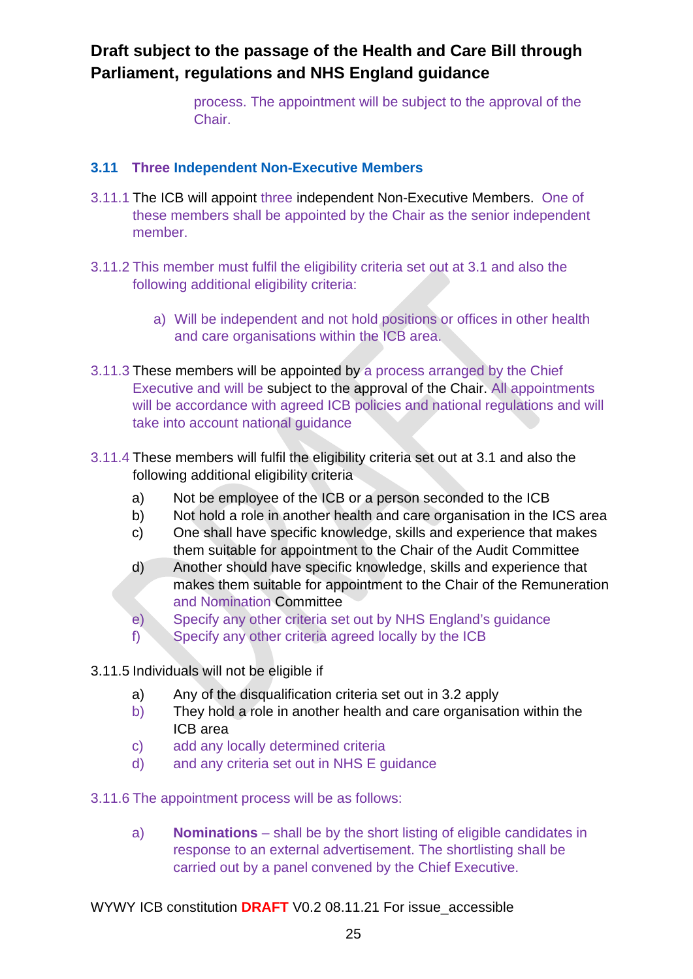process. The appointment will be subject to the approval of the Chair.

#### **3.11 Three Independent Non-Executive Members**

- 3.11.1 The ICB will appoint three independent Non-Executive Members. One of these members shall be appointed by the Chair as the senior independent member.
- 3.11.2 This member must fulfil the eligibility criteria set out at 3.1 and also the following additional eligibility criteria:
	- a) Will be independent and not hold positions or offices in other health and care organisations within the ICB area.
- 3.11.3 These members will be appointed by a process arranged by the Chief Executive and will be subject to the approval of the Chair. All appointments will be accordance with agreed ICB policies and national regulations and will take into account national guidance
- 3.11.4 These members will fulfil the eligibility criteria set out at 3.1 and also the following additional eligibility criteria
	- a) Not be employee of the ICB or a person seconded to the ICB
	- b) Not hold a role in another health and care organisation in the ICS area
	- c) One shall have specific knowledge, skills and experience that makes them suitable for appointment to the Chair of the Audit Committee
	- d) Another should have specific knowledge, skills and experience that makes them suitable for appointment to the Chair of the Remuneration and Nomination Committee
	- e) Specify any other criteria set out by NHS England's guidance
	- f) Specify any other criteria agreed locally by the ICB
- 3.11.5 Individuals will not be eligible if
	- a) Any of the disqualification criteria set out in 3.2 apply
	- b) They hold a role in another health and care organisation within the ICB area
	- c) add any locally determined criteria
	- d) and any criteria set out in NHS E guidance
- 3.11.6 The appointment process will be as follows:
	- a) **Nominations** shall be by the short listing of eligible candidates in response to an external advertisement. The shortlisting shall be carried out by a panel convened by the Chief Executive.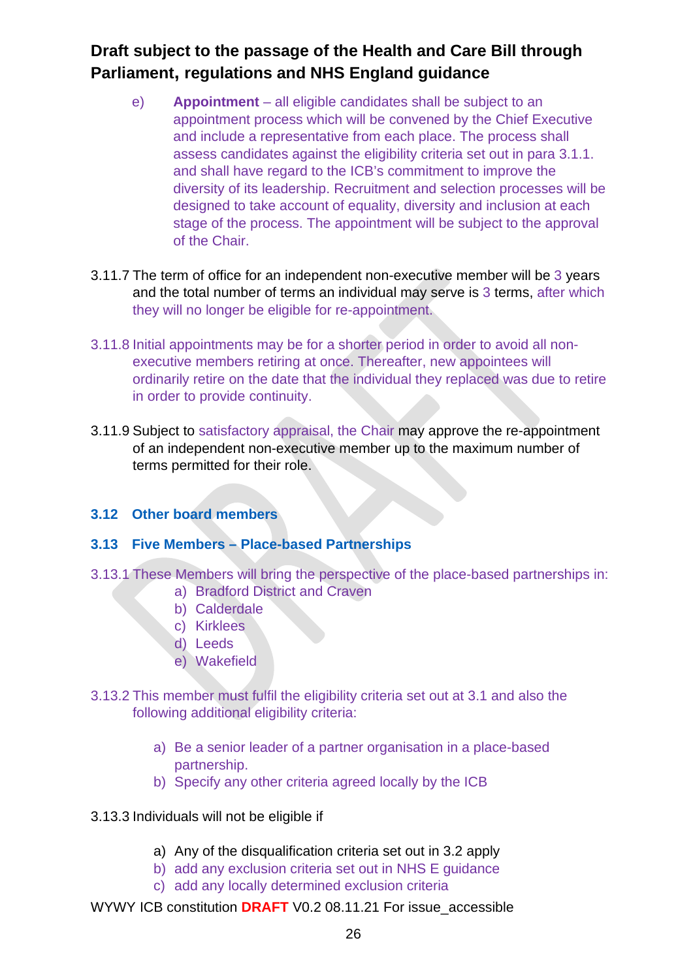- e) **Appointment** all eligible candidates shall be subject to an appointment process which will be convened by the Chief Executive and include a representative from each place. The process shall assess candidates against the eligibility criteria set out in para 3.1.1. and shall have regard to the ICB's commitment to improve the diversity of its leadership. Recruitment and selection processes will be designed to take account of equality, diversity and inclusion at each stage of the process. The appointment will be subject to the approval of the Chair.
- 3.11.7 The term of office for an independent non-executive member will be 3 years and the total number of terms an individual may serve is 3 terms, after which they will no longer be eligible for re-appointment.
- 3.11.8 Initial appointments may be for a shorter period in order to avoid all nonexecutive members retiring at once. Thereafter, new appointees will ordinarily retire on the date that the individual they replaced was due to retire in order to provide continuity.
- 3.11.9 Subject to satisfactory appraisal, the Chair may approve the re-appointment of an independent non-executive member up to the maximum number of terms permitted for their role.

#### **3.12 Other board members**

#### **3.13 Five Members – Place-based Partnerships**

- 3.13.1 These Members will bring the perspective of the place-based partnerships in:
	- a) Bradford District and Craven
	- b) Calderdale
	- c) Kirklees
	- d) Leeds
	- e) Wakefield
- 3.13.2 This member must fulfil the eligibility criteria set out at 3.1 and also the following additional eligibility criteria:
	- a) Be a senior leader of a partner organisation in a place-based partnership.
	- b) Specify any other criteria agreed locally by the ICB
- 3.13.3 Individuals will not be eligible if
	- a) Any of the disqualification criteria set out in 3.2 apply
	- b) add any exclusion criteria set out in NHS E guidance
	- c) add any locally determined exclusion criteria
- WYWY ICB constitution **DRAFT** V0.2 08.11.21 For issue\_accessible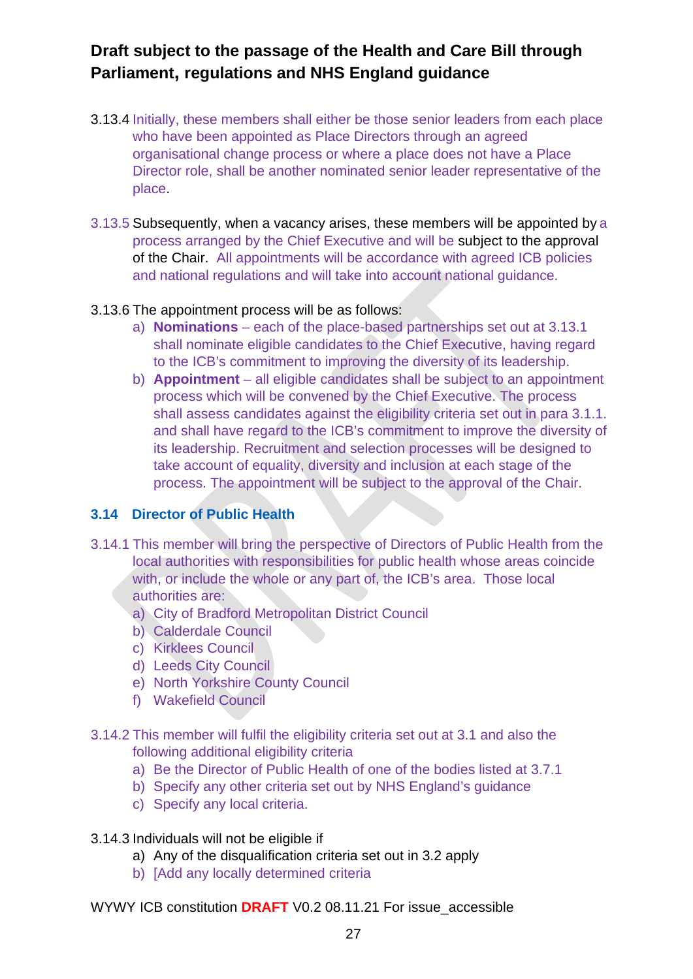- 3.13.4 Initially, these members shall either be those senior leaders from each place who have been appointed as Place Directors through an agreed organisational change process or where a place does not have a Place Director role, shall be another nominated senior leader representative of the place.
- 3.13.5 Subsequently, when a vacancy arises, these members will be appointed by a process arranged by the Chief Executive and will be subject to the approval of the Chair. All appointments will be accordance with agreed ICB policies and national regulations and will take into account national guidance.

#### 3.13.6 The appointment process will be as follows:

- a) **Nominations**  each of the place-based partnerships set out at 3.13.1 shall nominate eligible candidates to the Chief Executive, having regard to the ICB's commitment to improving the diversity of its leadership.
- b) **Appointment** all eligible candidates shall be subject to an appointment process which will be convened by the Chief Executive. The process shall assess candidates against the eligibility criteria set out in para 3.1.1. and shall have regard to the ICB's commitment to improve the diversity of its leadership. Recruitment and selection processes will be designed to take account of equality, diversity and inclusion at each stage of the process. The appointment will be subject to the approval of the Chair.

### **3.14 Director of Public Health**

- 3.14.1 This member will bring the perspective of Directors of Public Health from the local authorities with responsibilities for public health whose areas coincide with, or include the whole or any part of, the ICB's area. Those local authorities are:
	- a) City of Bradford Metropolitan District Council
	- b) Calderdale Council
	- c) Kirklees Council
	- d) Leeds City Council
	- e) North Yorkshire County Council
	- f) Wakefield Council
- 3.14.2 This member will fulfil the eligibility criteria set out at 3.1 and also the following additional eligibility criteria
	- a) Be the Director of Public Health of one of the bodies listed at 3.7.1
	- b) Specify any other criteria set out by NHS England's guidance
	- c) Specify any local criteria.
- 3.14.3 Individuals will not be eligible if
	- a) Any of the disqualification criteria set out in 3.2 apply
	- b) [Add any locally determined criteria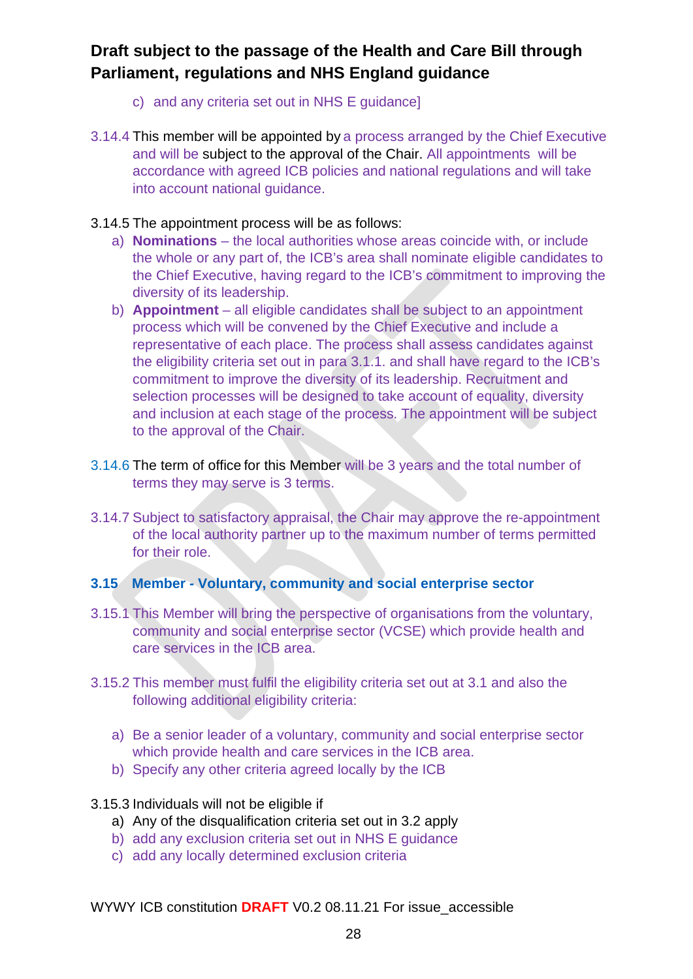- c) and any criteria set out in NHS E guidance]
- 3.14.4 This member will be appointed by a process arranged by the Chief Executive and will be subject to the approval of the Chair. All appointments will be accordance with agreed ICB policies and national regulations and will take into account national guidance.
- 3.14.5 The appointment process will be as follows:
	- a) **Nominations**  the local authorities whose areas coincide with, or include the whole or any part of, the ICB's area shall nominate eligible candidates to the Chief Executive, having regard to the ICB's commitment to improving the diversity of its leadership.
	- b) **Appointment** all eligible candidates shall be subject to an appointment process which will be convened by the Chief Executive and include a representative of each place. The process shall assess candidates against the eligibility criteria set out in para 3.1.1. and shall have regard to the ICB's commitment to improve the diversity of its leadership. Recruitment and selection processes will be designed to take account of equality, diversity and inclusion at each stage of the process. The appointment will be subject to the approval of the Chair.
- 3.14.6 The term of office for this Member will be 3 years and the total number of terms they may serve is 3 terms.
- 3.14.7 Subject to satisfactory appraisal, the Chair may approve the re-appointment of the local authority partner up to the maximum number of terms permitted for their role.

#### **3.15 Member - Voluntary, community and social enterprise sector**

- 3.15.1 This Member will bring the perspective of organisations from the voluntary, community and social enterprise sector (VCSE) which provide health and care services in the ICB area.
- 3.15.2 This member must fulfil the eligibility criteria set out at 3.1 and also the following additional eligibility criteria:
	- a) Be a senior leader of a voluntary, community and social enterprise sector which provide health and care services in the ICB area.
	- b) Specify any other criteria agreed locally by the ICB
- 3.15.3 Individuals will not be eligible if
	- a) Any of the disqualification criteria set out in 3.2 apply
	- b) add any exclusion criteria set out in NHS E guidance
	- c) add any locally determined exclusion criteria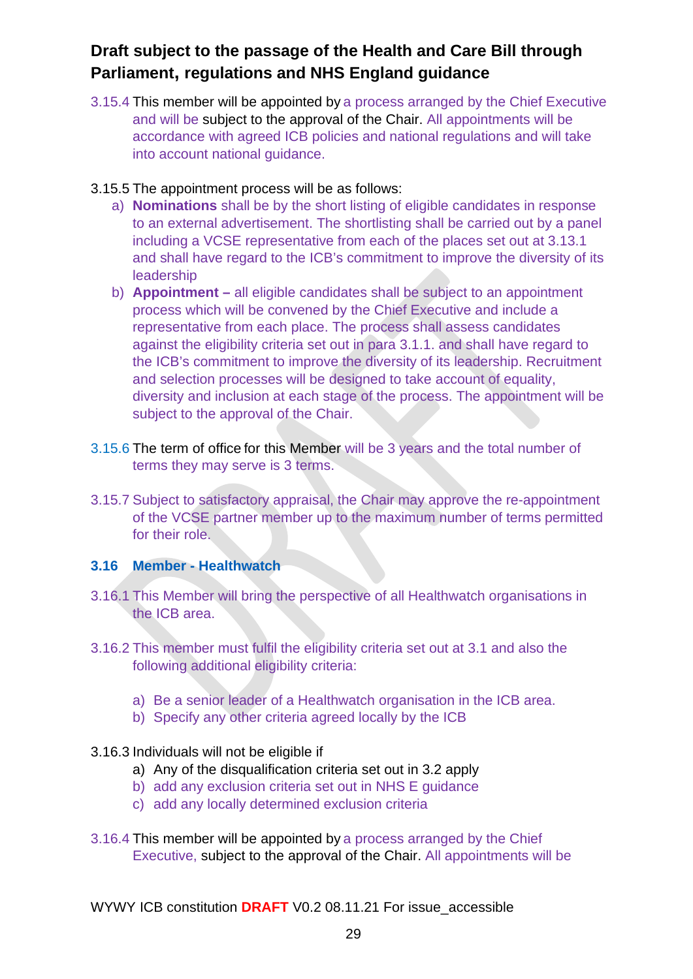3.15.4 This member will be appointed by a process arranged by the Chief Executive and will be subject to the approval of the Chair. All appointments will be accordance with agreed ICB policies and national regulations and will take into account national guidance.

#### 3.15.5 The appointment process will be as follows:

- a) **Nominations** shall be by the short listing of eligible candidates in response to an external advertisement. The shortlisting shall be carried out by a panel including a VCSE representative from each of the places set out at 3.13.1 and shall have regard to the ICB's commitment to improve the diversity of its leadership
- b) **Appointment –** all eligible candidates shall be subject to an appointment process which will be convened by the Chief Executive and include a representative from each place. The process shall assess candidates against the eligibility criteria set out in para 3.1.1. and shall have regard to the ICB's commitment to improve the diversity of its leadership. Recruitment and selection processes will be designed to take account of equality, diversity and inclusion at each stage of the process. The appointment will be subject to the approval of the Chair.
- 3.15.6 The term of office for this Member will be 3 years and the total number of terms they may serve is 3 terms.
- 3.15.7 Subject to satisfactory appraisal, the Chair may approve the re-appointment of the VCSE partner member up to the maximum number of terms permitted for their role.

#### **3.16 Member - Healthwatch**

- 3.16.1 This Member will bring the perspective of all Healthwatch organisations in the ICB area.
- 3.16.2 This member must fulfil the eligibility criteria set out at 3.1 and also the following additional eligibility criteria:
	- a) Be a senior leader of a Healthwatch organisation in the ICB area.
	- b) Specify any other criteria agreed locally by the ICB

#### 3.16.3 Individuals will not be eligible if

- a) Any of the disqualification criteria set out in 3.2 apply
- b) add any exclusion criteria set out in NHS E guidance
- c) add any locally determined exclusion criteria
- 3.16.4 This member will be appointed by a process arranged by the Chief Executive, subject to the approval of the Chair. All appointments will be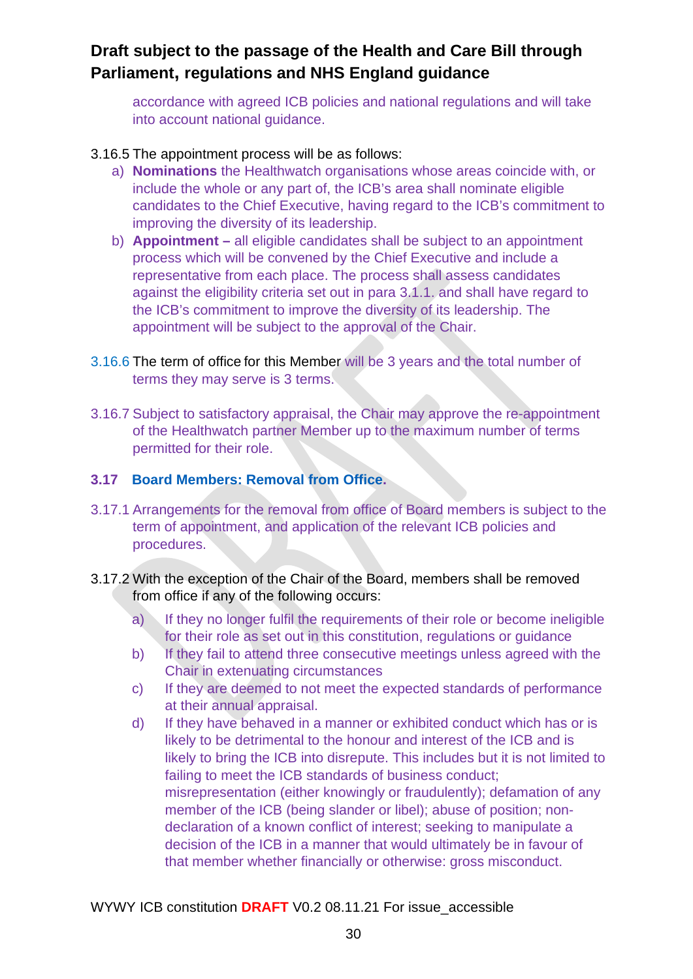accordance with agreed ICB policies and national regulations and will take into account national guidance.

#### 3.16.5 The appointment process will be as follows:

- a) **Nominations** the Healthwatch organisations whose areas coincide with, or include the whole or any part of, the ICB's area shall nominate eligible candidates to the Chief Executive, having regard to the ICB's commitment to improving the diversity of its leadership.
- b) **Appointment –** all eligible candidates shall be subject to an appointment process which will be convened by the Chief Executive and include a representative from each place. The process shall assess candidates against the eligibility criteria set out in para 3.1.1. and shall have regard to the ICB's commitment to improve the diversity of its leadership. The appointment will be subject to the approval of the Chair.
- 3.16.6 The term of office for this Member will be 3 years and the total number of terms they may serve is 3 terms.
- 3.16.7 Subject to satisfactory appraisal, the Chair may approve the re-appointment of the Healthwatch partner Member up to the maximum number of terms permitted for their role.

#### **3.17 Board Members: Removal from Office.**

- 3.17.1 Arrangements for the removal from office of Board members is subject to the term of appointment, and application of the relevant ICB policies and procedures.
- 3.17.2 With the exception of the Chair of the Board, members shall be removed from office if any of the following occurs:
	- a) If they no longer fulfil the requirements of their role or become ineligible for their role as set out in this constitution, regulations or guidance
	- b) If they fail to attend three consecutive meetings unless agreed with the Chair in extenuating circumstances
	- c) If they are deemed to not meet the expected standards of performance at their annual appraisal.
	- d) If they have behaved in a manner or exhibited conduct which has or is likely to be detrimental to the honour and interest of the ICB and is likely to bring the ICB into disrepute. This includes but it is not limited to failing to meet the ICB standards of business conduct; misrepresentation (either knowingly or fraudulently); defamation of any member of the ICB (being slander or libel); abuse of position; nondeclaration of a known conflict of interest; seeking to manipulate a decision of the ICB in a manner that would ultimately be in favour of that member whether financially or otherwise: gross misconduct.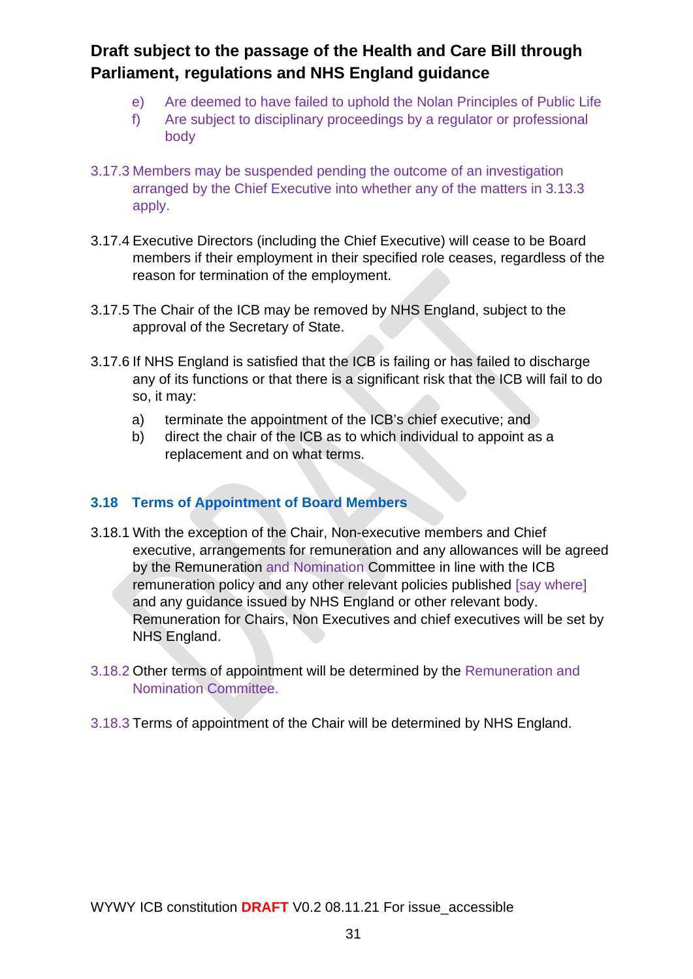- e) Are deemed to have failed to uphold the Nolan Principles of Public Life
- f) Are subject to disciplinary proceedings by a regulator or professional body
- 3.17.3 Members may be suspended pending the outcome of an investigation arranged by the Chief Executive into whether any of the matters in 3.13.3 apply.
- 3.17.4 Executive Directors (including the Chief Executive) will cease to be Board members if their employment in their specified role ceases, regardless of the reason for termination of the employment.
- 3.17.5 The Chair of the ICB may be removed by NHS England, subject to the approval of the Secretary of State.
- 3.17.6 If NHS England is satisfied that the ICB is failing or has failed to discharge any of its functions or that there is a significant risk that the ICB will fail to do so, it may:
	- a) terminate the appointment of the ICB's chief executive; and
	- b) direct the chair of the ICB as to which individual to appoint as a replacement and on what terms.

#### **3.18 Terms of Appointment of Board Members**

- 3.18.1 With the exception of the Chair, Non-executive members and Chief executive, arrangements for remuneration and any allowances will be agreed by the Remuneration and Nomination Committee in line with the ICB remuneration policy and any other relevant policies published [say where] and any guidance issued by NHS England or other relevant body. Remuneration for Chairs, Non Executives and chief executives will be set by NHS England.
- 3.18.2 Other terms of appointment will be determined by the Remuneration and Nomination Committee.
- 3.18.3 Terms of appointment of the Chair will be determined by NHS England.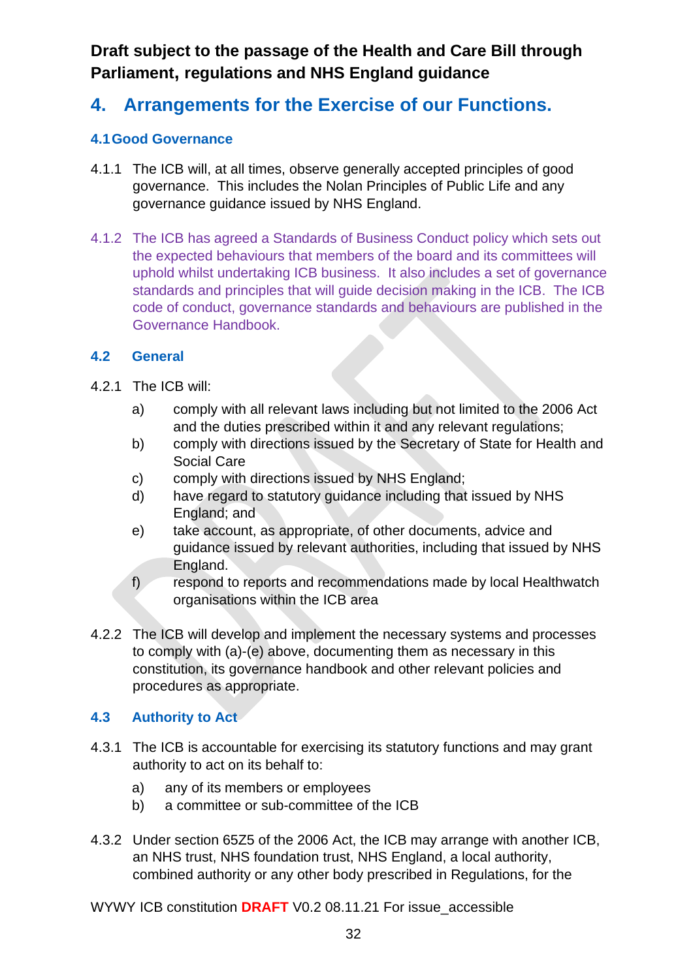# **4. Arrangements for the Exercise of our Functions.**

### **4.1Good Governance**

- 4.1.1 The ICB will, at all times, observe generally accepted principles of good governance. This includes the Nolan Principles of Public Life and any governance guidance issued by NHS England.
- 4.1.2 The ICB has agreed a Standards of Business Conduct policy which sets out the expected behaviours that members of the board and its committees will uphold whilst undertaking ICB business. It also includes a set of governance standards and principles that will guide decision making in the ICB. The ICB code of conduct, governance standards and behaviours are published in the Governance Handbook.

#### **4.2 General**

- 4.2.1 The ICB will:
	- a) comply with all relevant laws including but not limited to the 2006 Act and the duties prescribed within it and any relevant regulations;
	- b) comply with directions issued by the Secretary of State for Health and Social Care
	- c) comply with directions issued by NHS England;
	- d) have regard to statutory guidance including that issued by NHS England; and
	- e) take account, as appropriate, of other documents, advice and guidance issued by relevant authorities, including that issued by NHS England.
	- f) respond to reports and recommendations made by local Healthwatch organisations within the ICB area
- 4.2.2 The ICB will develop and implement the necessary systems and processes to comply with (a)-(e) above, documenting them as necessary in this constitution, its governance handbook and other relevant policies and procedures as appropriate.

### **4.3 Authority to Act**

- 4.3.1 The ICB is accountable for exercising its statutory functions and may grant authority to act on its behalf to:
	- a) any of its members or employees
	- b) a committee or sub-committee of the ICB
- 4.3.2 Under section 65Z5 of the 2006 Act, the ICB may arrange with another ICB, an NHS trust, NHS foundation trust, NHS England, a local authority, combined authority or any other body prescribed in Regulations, for the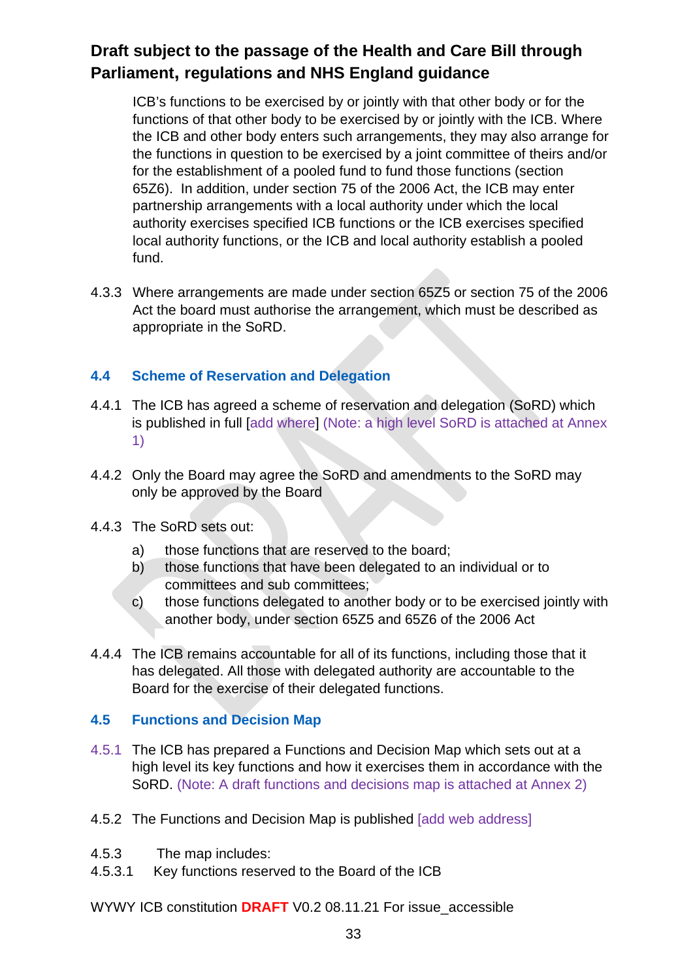ICB's functions to be exercised by or jointly with that other body or for the functions of that other body to be exercised by or jointly with the ICB. Where the ICB and other body enters such arrangements, they may also arrange for the functions in question to be exercised by a joint committee of theirs and/or for the establishment of a pooled fund to fund those functions (section 65Z6). In addition, under section 75 of the 2006 Act, the ICB may enter partnership arrangements with a local authority under which the local authority exercises specified ICB functions or the ICB exercises specified local authority functions, or the ICB and local authority establish a pooled fund.

4.3.3 Where arrangements are made under section 65Z5 or section 75 of the 2006 Act the board must authorise the arrangement, which must be described as appropriate in the SoRD.

#### **4.4 Scheme of Reservation and Delegation**

- 4.4.1 The ICB has agreed a scheme of reservation and delegation (SoRD) which is published in full [add where] (Note: a high level SoRD is attached at Annex 1)
- 4.4.2 Only the Board may agree the SoRD and amendments to the SoRD may only be approved by the Board
- 4.4.3 The SoRD sets out:
	- a) those functions that are reserved to the board;
	- b) those functions that have been delegated to an individual or to committees and sub committees;
	- c) those functions delegated to another body or to be exercised jointly with another body, under section 65Z5 and 65Z6 of the 2006 Act
- 4.4.4 The ICB remains accountable for all of its functions, including those that it has delegated. All those with delegated authority are accountable to the Board for the exercise of their delegated functions.

#### **4.5 Functions and Decision Map**

- 4.5.1 The ICB has prepared a Functions and Decision Map which sets out at a high level its key functions and how it exercises them in accordance with the SoRD. (Note: A draft functions and decisions map is attached at Annex 2)
- 4.5.2 The Functions and Decision Map is published [add web address]
- 4.5.3 The map includes:
- 4.5.3.1 Key functions reserved to the Board of the ICB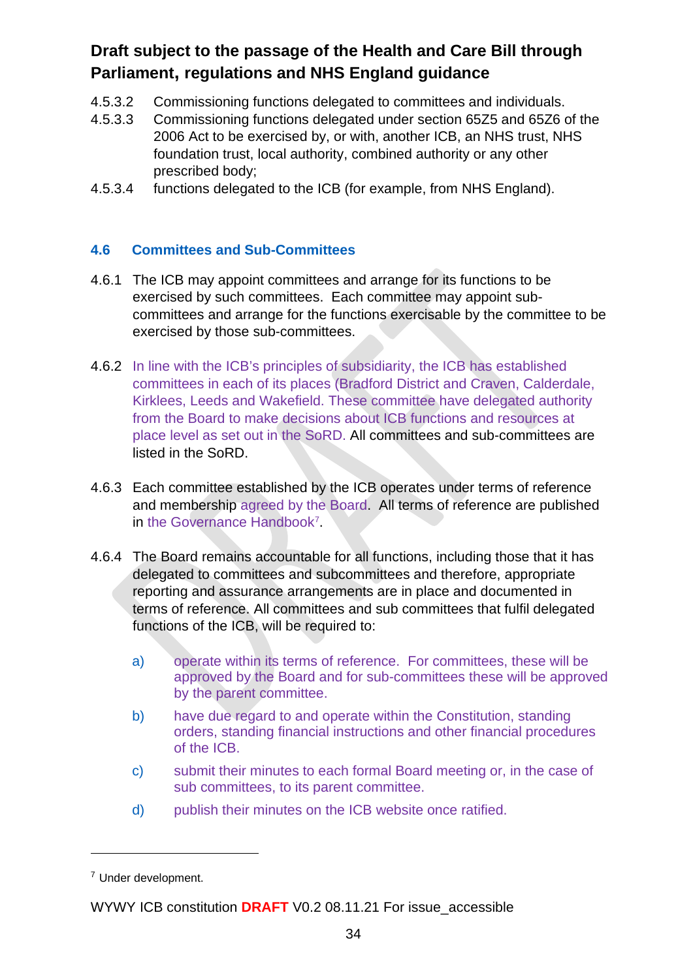- 4.5.3.2 Commissioning functions delegated to committees and individuals.
- 4.5.3.3 Commissioning functions delegated under section 65Z5 and 65Z6 of the 2006 Act to be exercised by, or with, another ICB, an NHS trust, NHS foundation trust, local authority, combined authority or any other prescribed body;
- 4.5.3.4 functions delegated to the ICB (for example, from NHS England).

#### **4.6 Committees and Sub-Committees**

- 4.6.1 The ICB may appoint committees and arrange for its functions to be exercised by such committees. Each committee may appoint subcommittees and arrange for the functions exercisable by the committee to be exercised by those sub-committees.
- 4.6.2 In line with the ICB's principles of subsidiarity, the ICB has established committees in each of its places (Bradford District and Craven, Calderdale, Kirklees, Leeds and Wakefield. These committee have delegated authority from the Board to make decisions about ICB functions and resources at place level as set out in the SoRD. All committees and sub-committees are listed in the SoRD.
- 4.6.3 Each committee established by the ICB operates under terms of reference and membership agreed by the Board. All terms of reference are published in the Governance Handbook[7](#page-38-0) .
- 4.6.4 The Board remains accountable for all functions, including those that it has delegated to committees and subcommittees and therefore, appropriate reporting and assurance arrangements are in place and documented in terms of reference. All committees and sub committees that fulfil delegated functions of the ICB, will be required to:
	- a) operate within its terms of reference. For committees, these will be approved by the Board and for sub-committees these will be approved by the parent committee.
	- b) have due regard to and operate within the Constitution, standing orders, standing financial instructions and other financial procedures of the ICB.
	- c) submit their minutes to each formal Board meeting or, in the case of sub committees, to its parent committee.
	- d) publish their minutes on the ICB website once ratified.

<span id="page-38-0"></span><sup>7</sup> Under development.

WYWY ICB constitution **DRAFT** V0.2 08.11.21 For issue\_accessible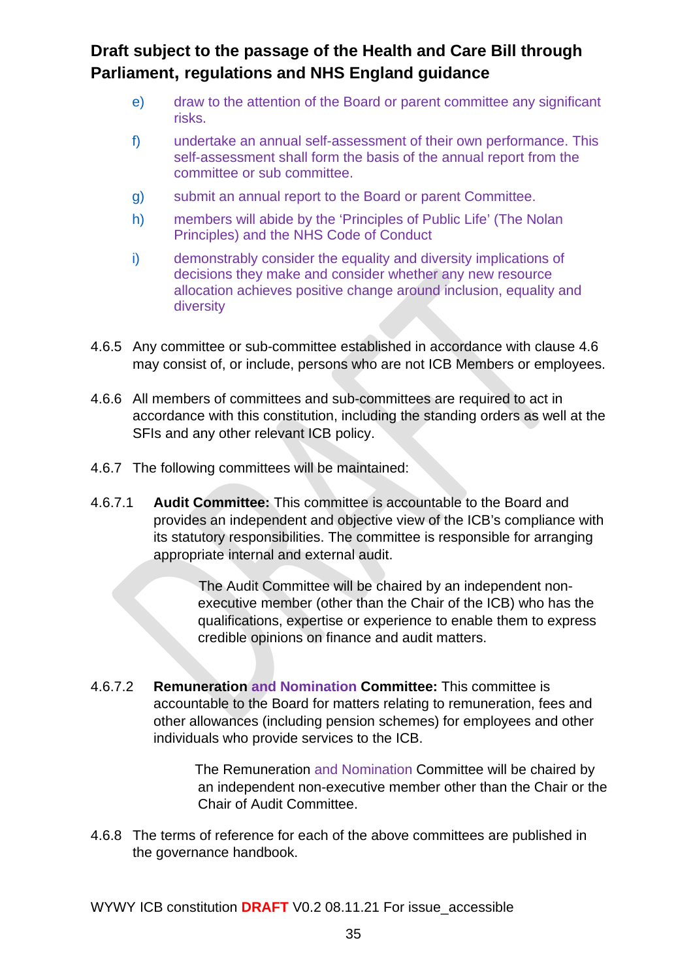- e) draw to the attention of the Board or parent committee any significant risks.
- f) undertake an annual self-assessment of their own performance. This self-assessment shall form the basis of the annual report from the committee or sub committee.
- g) submit an annual report to the Board or parent Committee.
- h) members will abide by the 'Principles of Public Life' (The Nolan Principles) and the NHS Code of Conduct
- i) demonstrably consider the equality and diversity implications of decisions they make and consider whether any new resource allocation achieves positive change around inclusion, equality and diversity
- 4.6.5 Any committee or sub-committee established in accordance with clause 4.6 may consist of, or include, persons who are not ICB Members or employees.
- 4.6.6 All members of committees and sub-committees are required to act in accordance with this constitution, including the standing orders as well at the SFIs and any other relevant ICB policy.
- 4.6.7 The following committees will be maintained:
- 4.6.7.1 **Audit Committee:** This committee is accountable to the Board and provides an independent and objective view of the ICB's compliance with its statutory responsibilities. The committee is responsible for arranging appropriate internal and external audit.

The Audit Committee will be chaired by an independent nonexecutive member (other than the Chair of the ICB) who has the qualifications, expertise or experience to enable them to express credible opinions on finance and audit matters.

4.6.7.2 **Remuneration and Nomination Committee:** This committee is accountable to the Board for matters relating to remuneration, fees and other allowances (including pension schemes) for employees and other individuals who provide services to the ICB.

> The Remuneration and Nomination Committee will be chaired by an independent non-executive member other than the Chair or the Chair of Audit Committee.

4.6.8 The terms of reference for each of the above committees are published in the governance handbook.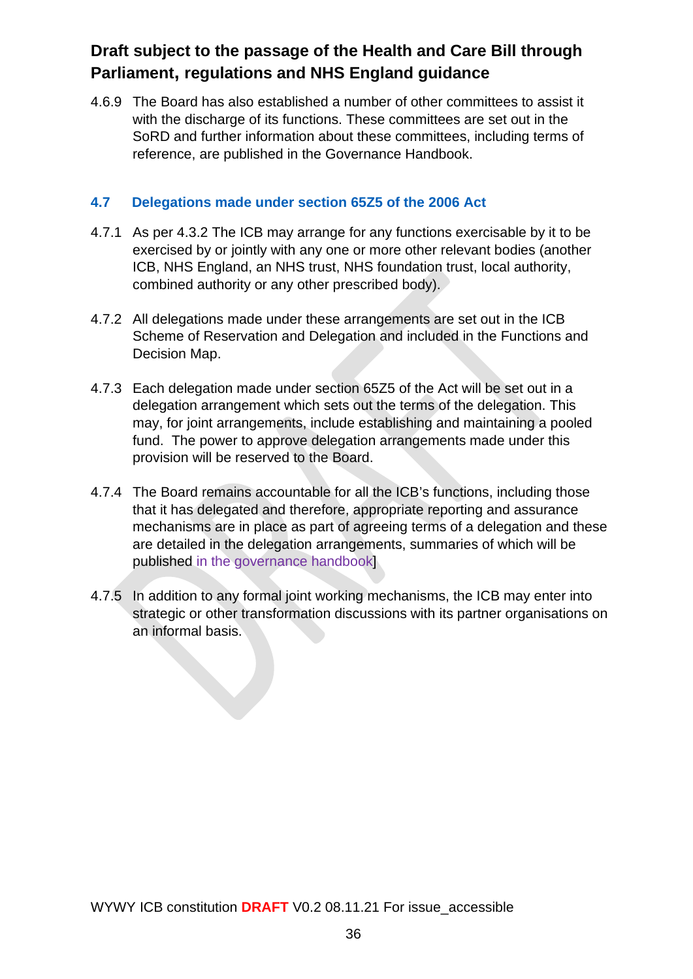4.6.9 The Board has also established a number of other committees to assist it with the discharge of its functions. These committees are set out in the SoRD and further information about these committees, including terms of reference, are published in the Governance Handbook.

#### **4.7 Delegations made under section 65Z5 of the 2006 Act**

- 4.7.1 As per 4.3.2 The ICB may arrange for any functions exercisable by it to be exercised by or jointly with any one or more other relevant bodies (another ICB, NHS England, an NHS trust, NHS foundation trust, local authority, combined authority or any other prescribed body).
- 4.7.2 All delegations made under these arrangements are set out in the ICB Scheme of Reservation and Delegation and included in the Functions and Decision Map.
- 4.7.3 Each delegation made under section 65Z5 of the Act will be set out in a delegation arrangement which sets out the terms of the delegation. This may, for joint arrangements, include establishing and maintaining a pooled fund. The power to approve delegation arrangements made under this provision will be reserved to the Board.
- 4.7.4 The Board remains accountable for all the ICB's functions, including those that it has delegated and therefore, appropriate reporting and assurance mechanisms are in place as part of agreeing terms of a delegation and these are detailed in the delegation arrangements, summaries of which will be published in the governance handbook]
- 4.7.5 In addition to any formal joint working mechanisms, the ICB may enter into strategic or other transformation discussions with its partner organisations on an informal basis.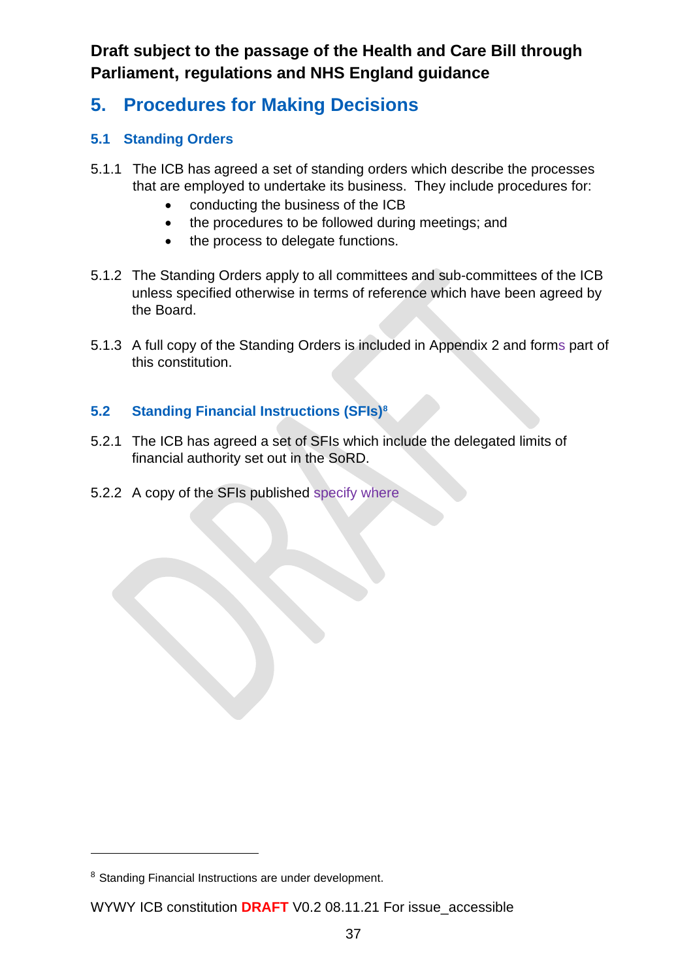# **5. Procedures for Making Decisions**

### **5.1 Standing Orders**

- 5.1.1 The ICB has agreed a set of standing orders which describe the processes that are employed to undertake its business. They include procedures for:
	- conducting the business of the ICB
	- the procedures to be followed during meetings; and
	- the process to delegate functions.
- 5.1.2 The Standing Orders apply to all committees and sub-committees of the ICB unless specified otherwise in terms of reference which have been agreed by the Board.
- 5.1.3 A full copy of the Standing Orders is included in Appendix 2 and forms part of this constitution.

### **5.2 Standing Financial Instructions (SFIs)[8](#page-41-0)**

- 5.2.1 The ICB has agreed a set of SFIs which include the delegated limits of financial authority set out in the SoRD.
- 5.2.2 A copy of the SFIs published specify where

<span id="page-41-0"></span><sup>&</sup>lt;sup>8</sup> Standing Financial Instructions are under development.

WYWY ICB constitution **DRAFT** V0.2 08.11.21 For issue\_accessible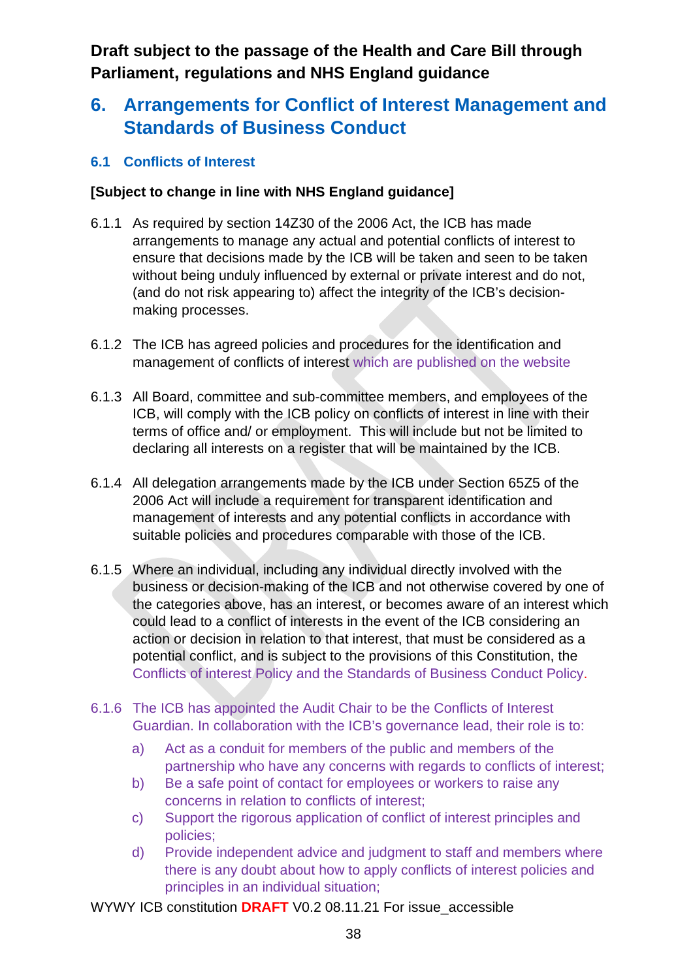# **6. Arrangements for Conflict of Interest Management and Standards of Business Conduct**

#### **6.1 Conflicts of Interest**

#### **[Subject to change in line with NHS England guidance]**

- 6.1.1 As required by section 14Z30 of the 2006 Act, the ICB has made arrangements to manage any actual and potential conflicts of interest to ensure that decisions made by the ICB will be taken and seen to be taken without being unduly influenced by external or private interest and do not, (and do not risk appearing to) affect the integrity of the ICB's decisionmaking processes.
- 6.1.2 The ICB has agreed policies and procedures for the identification and management of conflicts of interest which are published on the website
- 6.1.3 All Board, committee and sub-committee members, and employees of the ICB, will comply with the ICB policy on conflicts of interest in line with their terms of office and/ or employment. This will include but not be limited to declaring all interests on a register that will be maintained by the ICB.
- 6.1.4 All delegation arrangements made by the ICB under Section 65Z5 of the 2006 Act will include a requirement for transparent identification and management of interests and any potential conflicts in accordance with suitable policies and procedures comparable with those of the ICB.
- 6.1.5 Where an individual, including any individual directly involved with the business or decision-making of the ICB and not otherwise covered by one of the categories above, has an interest, or becomes aware of an interest which could lead to a conflict of interests in the event of the ICB considering an action or decision in relation to that interest, that must be considered as a potential conflict, and is subject to the provisions of this Constitution, the Conflicts of interest Policy and the Standards of Business Conduct Policy.
- 6.1.6 The ICB has appointed the Audit Chair to be the Conflicts of Interest Guardian. In collaboration with the ICB's governance lead, their role is to:
	- a) Act as a conduit for members of the public and members of the partnership who have any concerns with regards to conflicts of interest;
	- b) Be a safe point of contact for employees or workers to raise any concerns in relation to conflicts of interest;
	- c) Support the rigorous application of conflict of interest principles and policies;
	- d) Provide independent advice and judgment to staff and members where there is any doubt about how to apply conflicts of interest policies and principles in an individual situation;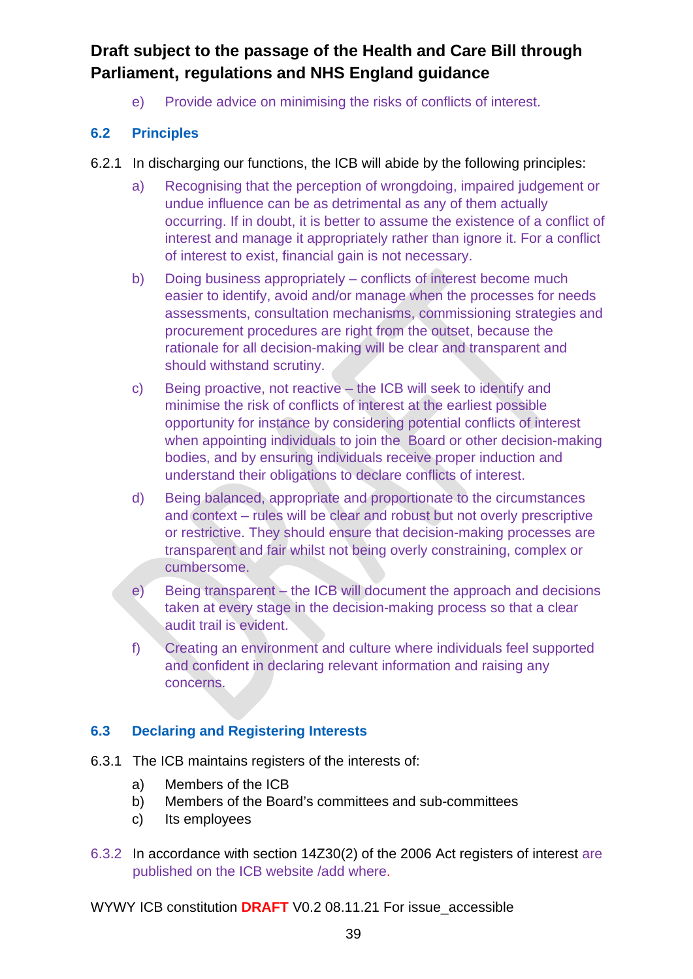e) Provide advice on minimising the risks of conflicts of interest.

#### **6.2 Principles**

- 6.2.1 In discharging our functions, the ICB will abide by the following principles:
	- a) Recognising that the perception of wrongdoing, impaired judgement or undue influence can be as detrimental as any of them actually occurring. If in doubt, it is better to assume the existence of a conflict of interest and manage it appropriately rather than ignore it. For a conflict of interest to exist, financial gain is not necessary.
	- b) Doing business appropriately conflicts of interest become much easier to identify, avoid and/or manage when the processes for needs assessments, consultation mechanisms, commissioning strategies and procurement procedures are right from the outset, because the rationale for all decision-making will be clear and transparent and should withstand scrutiny.
	- c) Being proactive, not reactive the ICB will seek to identify and minimise the risk of conflicts of interest at the earliest possible opportunity for instance by considering potential conflicts of interest when appointing individuals to join the Board or other decision-making bodies, and by ensuring individuals receive proper induction and understand their obligations to declare conflicts of interest.
	- d) Being balanced, appropriate and proportionate to the circumstances and context – rules will be clear and robust but not overly prescriptive or restrictive. They should ensure that decision-making processes are transparent and fair whilst not being overly constraining, complex or cumbersome.
	- e) Being transparent the ICB will document the approach and decisions taken at every stage in the decision-making process so that a clear audit trail is evident.
	- f) Creating an environment and culture where individuals feel supported and confident in declaring relevant information and raising any concerns.

#### **6.3 Declaring and Registering Interests**

- 6.3.1 The ICB maintains registers of the interests of:
	- a) Members of the ICB
	- b) Members of the Board's committees and sub-committees
	- c) Its employees
- 6.3.2 In accordance with section 14Z30(2) of the 2006 Act registers of interest are published on the ICB website /add where.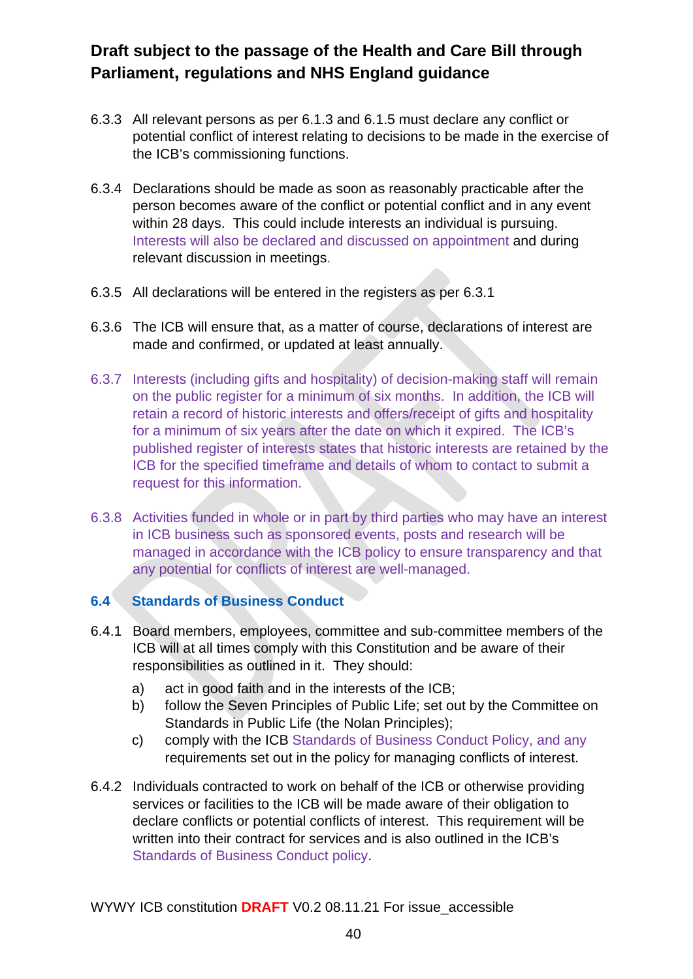- 6.3.3 All relevant persons as per 6.1.3 and 6.1.5 must declare any conflict or potential conflict of interest relating to decisions to be made in the exercise of the ICB's commissioning functions.
- 6.3.4 Declarations should be made as soon as reasonably practicable after the person becomes aware of the conflict or potential conflict and in any event within 28 days. This could include interests an individual is pursuing. Interests will also be declared and discussed on appointment and during relevant discussion in meetings.
- 6.3.5 All declarations will be entered in the registers as per 6.3.1
- 6.3.6 The ICB will ensure that, as a matter of course, declarations of interest are made and confirmed, or updated at least annually.
- 6.3.7 Interests (including gifts and hospitality) of decision-making staff will remain on the public register for a minimum of six months. In addition, the ICB will retain a record of historic interests and offers/receipt of gifts and hospitality for a minimum of six years after the date on which it expired. The ICB's published register of interests states that historic interests are retained by the ICB for the specified timeframe and details of whom to contact to submit a request for this information.
- 6.3.8 Activities funded in whole or in part by third parties who may have an interest in ICB business such as sponsored events, posts and research will be managed in accordance with the ICB policy to ensure transparency and that any potential for conflicts of interest are well-managed.

### **6.4 Standards of Business Conduct**

- 6.4.1 Board members, employees, committee and sub-committee members of the ICB will at all times comply with this Constitution and be aware of their responsibilities as outlined in it. They should:
	- a) act in good faith and in the interests of the ICB;
	- b) follow the Seven Principles of Public Life; set out by the Committee on Standards in Public Life (the Nolan Principles);
	- c) comply with the ICB Standards of Business Conduct Policy, and any requirements set out in the policy for managing conflicts of interest.
- 6.4.2 Individuals contracted to work on behalf of the ICB or otherwise providing services or facilities to the ICB will be made aware of their obligation to declare conflicts or potential conflicts of interest. This requirement will be written into their contract for services and is also outlined in the ICB's Standards of Business Conduct policy.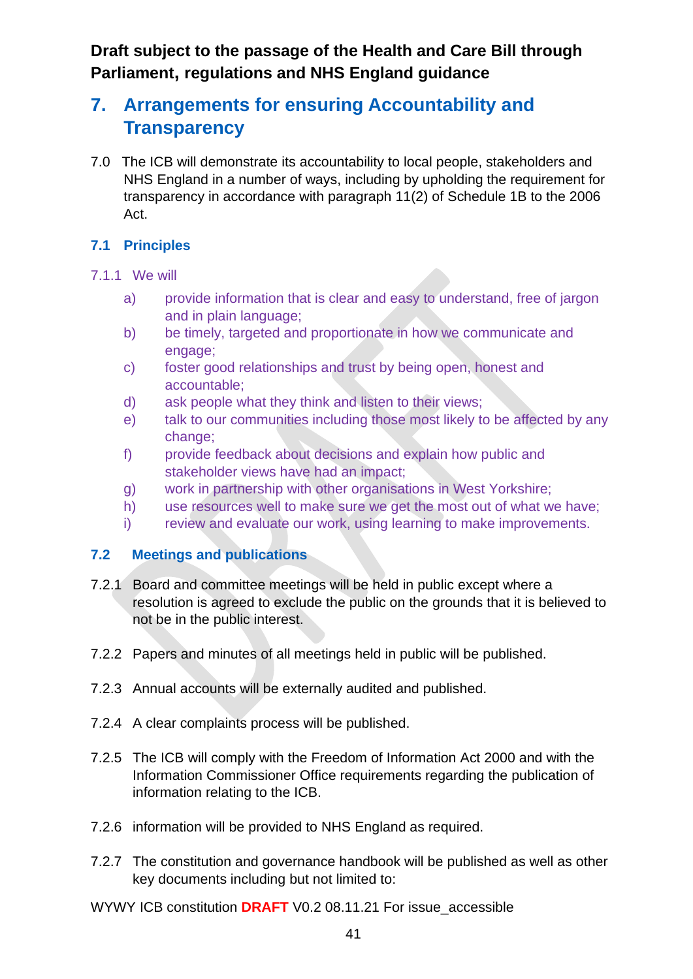# **7. Arrangements for ensuring Accountability and Transparency**

7.0 The ICB will demonstrate its accountability to local people, stakeholders and NHS England in a number of ways, including by upholding the requirement for transparency in accordance with paragraph 11(2) of Schedule 1B to the 2006 Act.

#### **7.1 Principles**

#### 7.1.1 We will

- a) provide information that is clear and easy to understand, free of jargon and in plain language;
- b) be timely, targeted and proportionate in how we communicate and engage:
- c) foster good relationships and trust by being open, honest and accountable;
- d) ask people what they think and listen to their views;
- e) talk to our communities including those most likely to be affected by any change;
- f) provide feedback about decisions and explain how public and stakeholder views have had an impact;
- g) work in partnership with other organisations in West Yorkshire;
- h) use resources well to make sure we get the most out of what we have;
- i) review and evaluate our work, using learning to make improvements.

#### **7.2 Meetings and publications**

- 7.2.1 Board and committee meetings will be held in public except where a resolution is agreed to exclude the public on the grounds that it is believed to not be in the public interest.
- 7.2.2 Papers and minutes of all meetings held in public will be published.
- 7.2.3 Annual accounts will be externally audited and published.
- 7.2.4 A clear complaints process will be published.
- 7.2.5 The ICB will comply with the Freedom of Information Act 2000 and with the Information Commissioner Office requirements regarding the publication of information relating to the ICB.
- 7.2.6 information will be provided to NHS England as required.
- 7.2.7 The constitution and governance handbook will be published as well as other key documents including but not limited to:
- WYWY ICB constitution **DRAFT** V0.2 08.11.21 For issue\_accessible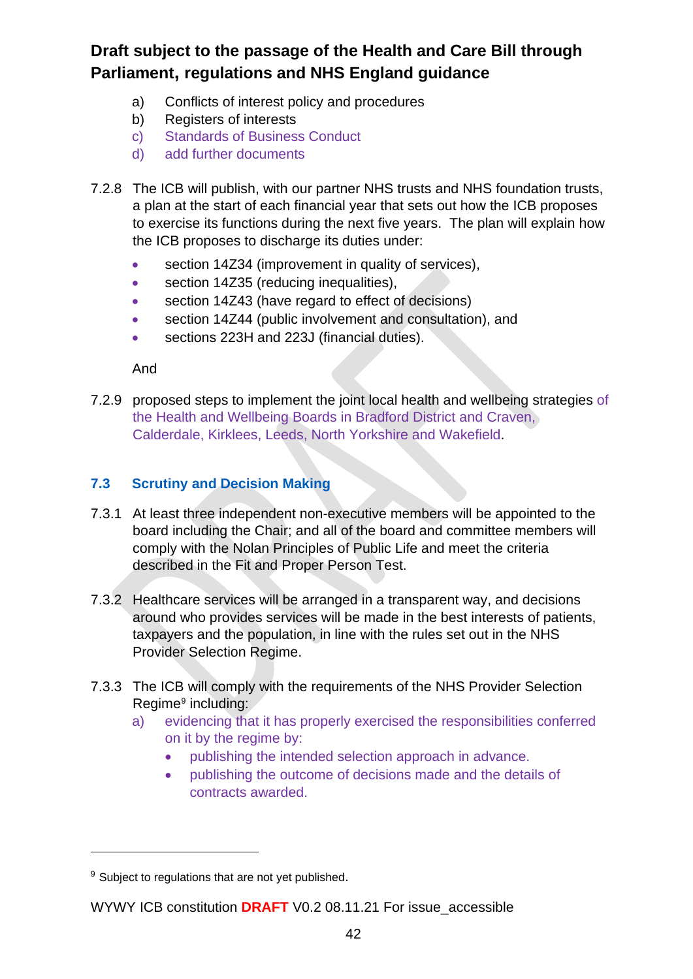- a) Conflicts of interest policy and procedures
- b) Registers of interests
- c) Standards of Business Conduct
- d) add further documents
- 7.2.8 The ICB will publish, with our partner NHS trusts and NHS foundation trusts, a plan at the start of each financial year that sets out how the ICB proposes to exercise its functions during the next five years. The plan will explain how the ICB proposes to discharge its duties under:
	- section 14Z34 (improvement in quality of services),
	- section 14Z35 (reducing inequalities),
	- section 14Z43 (have regard to effect of decisions)
	- section 14Z44 (public involvement and consultation), and
	- sections 223H and 223J (financial duties).

And

7.2.9 proposed steps to implement the joint local health and wellbeing strategies of the Health and Wellbeing Boards in Bradford District and Craven, Calderdale, Kirklees, Leeds, North Yorkshire and Wakefield.

#### **7.3 Scrutiny and Decision Making**

- 7.3.1 At least three independent non-executive members will be appointed to the board including the Chair; and all of the board and committee members will comply with the Nolan Principles of Public Life and meet the criteria described in the Fit and Proper Person Test.
- 7.3.2 Healthcare services will be arranged in a transparent way, and decisions around who provides services will be made in the best interests of patients, taxpayers and the population, in line with the rules set out in the NHS Provider Selection Regime.
- 7.3.3 The ICB will comply with the requirements of the NHS Provider Selection Regime<sup>[9](#page-46-0)</sup> including:
	- a) evidencing that it has properly exercised the responsibilities conferred on it by the regime by:
		- publishing the intended selection approach in advance.
		- publishing the outcome of decisions made and the details of contracts awarded.

<span id="page-46-0"></span><sup>&</sup>lt;sup>9</sup> Subject to regulations that are not yet published.

WYWY ICB constitution **DRAFT** V0.2 08.11.21 For issue\_accessible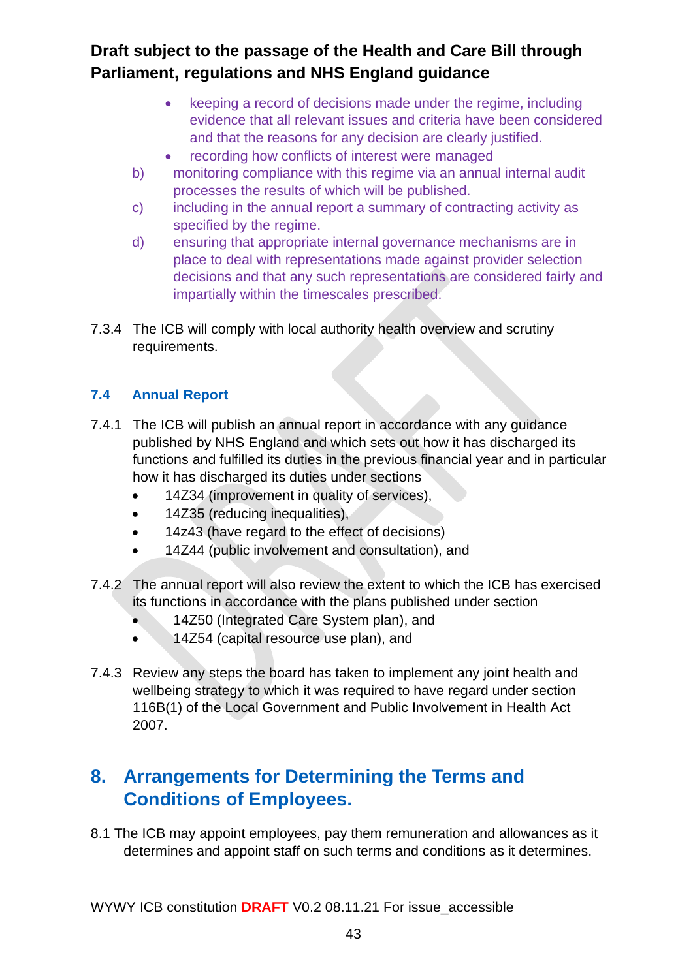- keeping a record of decisions made under the regime, including evidence that all relevant issues and criteria have been considered and that the reasons for any decision are clearly justified.
- recording how conflicts of interest were managed
- b) monitoring compliance with this regime via an annual internal audit processes the results of which will be published.
- c) including in the annual report a summary of contracting activity as specified by the regime.
- d) ensuring that appropriate internal governance mechanisms are in place to deal with representations made against provider selection decisions and that any such representations are considered fairly and impartially within the timescales prescribed.
- 7.3.4 The ICB will comply with local authority health overview and scrutiny requirements.

### **7.4 Annual Report**

- 7.4.1 The ICB will publish an annual report in accordance with any guidance published by NHS England and which sets out how it has discharged its functions and fulfilled its duties in the previous financial year and in particular how it has discharged its duties under sections
	- 14Z34 (improvement in quality of services),
	- 14Z35 (reducing inequalities),
	- 14z43 (have regard to the effect of decisions)
	- 14Z44 (public involvement and consultation), and
- 7.4.2 The annual report will also review the extent to which the ICB has exercised its functions in accordance with the plans published under section
	- 14Z50 (Integrated Care System plan), and
	- 14Z54 (capital resource use plan), and
- 7.4.3 Review any steps the board has taken to implement any joint health and wellbeing strategy to which it was required to have regard under section 116B(1) of the Local Government and Public Involvement in Health Act 2007.

# **8. Arrangements for Determining the Terms and Conditions of Employees.**

8.1 The ICB may appoint employees, pay them remuneration and allowances as it determines and appoint staff on such terms and conditions as it determines.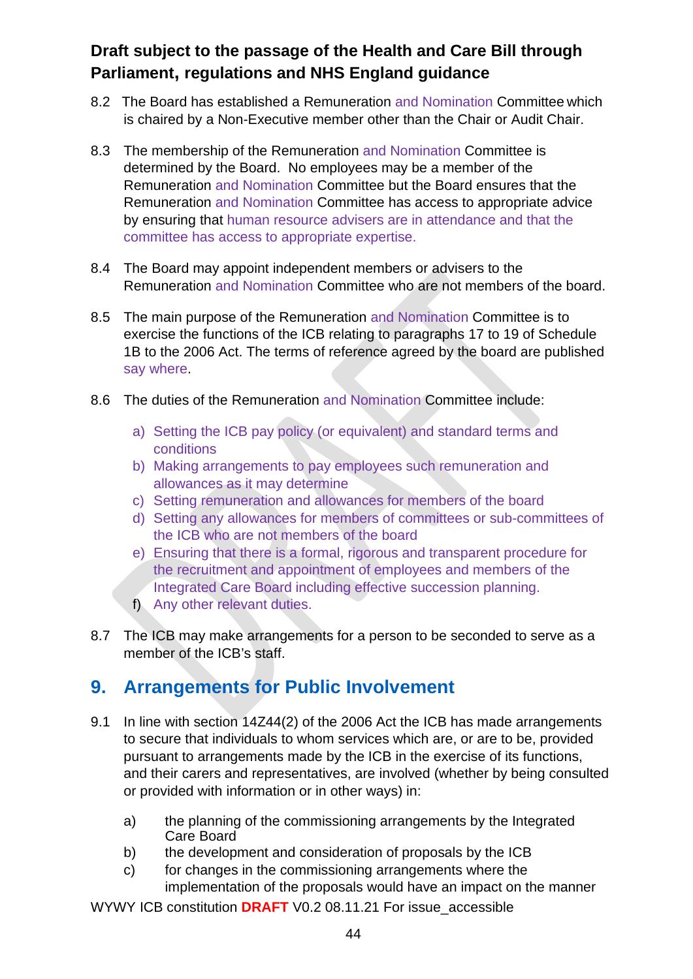- 8.2 The Board has established a Remuneration and Nomination Committee which is chaired by a Non-Executive member other than the Chair or Audit Chair.
- 8.3 The membership of the Remuneration and Nomination Committee is determined by the Board. No employees may be a member of the Remuneration and Nomination Committee but the Board ensures that the Remuneration and Nomination Committee has access to appropriate advice by ensuring that human resource advisers are in attendance and that the committee has access to appropriate expertise.
- 8.4 The Board may appoint independent members or advisers to the Remuneration and Nomination Committee who are not members of the board.
- 8.5 The main purpose of the Remuneration and Nomination Committee is to exercise the functions of the ICB relating to paragraphs 17 to 19 of Schedule 1B to the 2006 Act. The terms of reference agreed by the board are published say where.
- 8.6 The duties of the Remuneration and Nomination Committee include:
	- a) Setting the ICB pay policy (or equivalent) and standard terms and conditions
	- b) Making arrangements to pay employees such remuneration and allowances as it may determine
	- c) Setting remuneration and allowances for members of the board
	- d) Setting any allowances for members of committees or sub-committees of the ICB who are not members of the board
	- e) Ensuring that there is a formal, rigorous and transparent procedure for the recruitment and appointment of employees and members of the Integrated Care Board including effective succession planning.
	- f) Any other relevant duties.
- 8.7 The ICB may make arrangements for a person to be seconded to serve as a member of the ICB's staff.

# **9. Arrangements for Public Involvement**

- 9.1 In line with section 14Z44(2) of the 2006 Act the ICB has made arrangements to secure that individuals to whom services which are, or are to be, provided pursuant to arrangements made by the ICB in the exercise of its functions, and their carers and representatives, are involved (whether by being consulted or provided with information or in other ways) in:
	- a) the planning of the commissioning arrangements by the Integrated Care Board
	- b) the development and consideration of proposals by the ICB
	- c) for changes in the commissioning arrangements where the implementation of the proposals would have an impact on the manner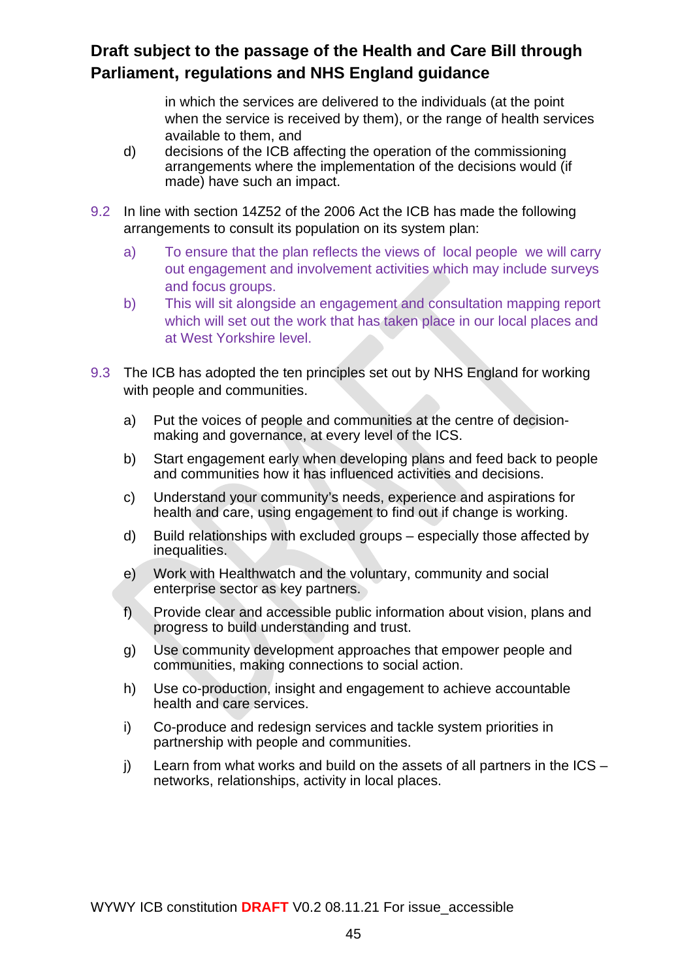in which the services are delivered to the individuals (at the point when the service is received by them), or the range of health services available to them, and

- d) decisions of the ICB affecting the operation of the commissioning arrangements where the implementation of the decisions would (if made) have such an impact.
- 9.2 In line with section 14Z52 of the 2006 Act the ICB has made the following arrangements to consult its population on its system plan:
	- a) To ensure that the plan reflects the views of local people we will carry out engagement and involvement activities which may include surveys and focus groups.
	- b) This will sit alongside an engagement and consultation mapping report which will set out the work that has taken place in our local places and at West Yorkshire level.
- 9.3 The ICB has adopted the ten principles set out by NHS England for working with people and communities.
	- a) Put the voices of people and communities at the centre of decisionmaking and governance, at every level of the ICS.
	- b) Start engagement early when developing plans and feed back to people and communities how it has influenced activities and decisions.
	- c) Understand your community's needs, experience and aspirations for health and care, using engagement to find out if change is working.
	- d) Build relationships with excluded groups especially those affected by inequalities.
	- e) Work with Healthwatch and the voluntary, community and social enterprise sector as key partners.
	- f) Provide clear and accessible public information about vision, plans and progress to build understanding and trust.
	- g) Use community development approaches that empower people and communities, making connections to social action.
	- h) Use co-production, insight and engagement to achieve accountable health and care services.
	- i) Co-produce and redesign services and tackle system priorities in partnership with people and communities.
	- j) Learn from what works and build on the assets of all partners in the ICS networks, relationships, activity in local places.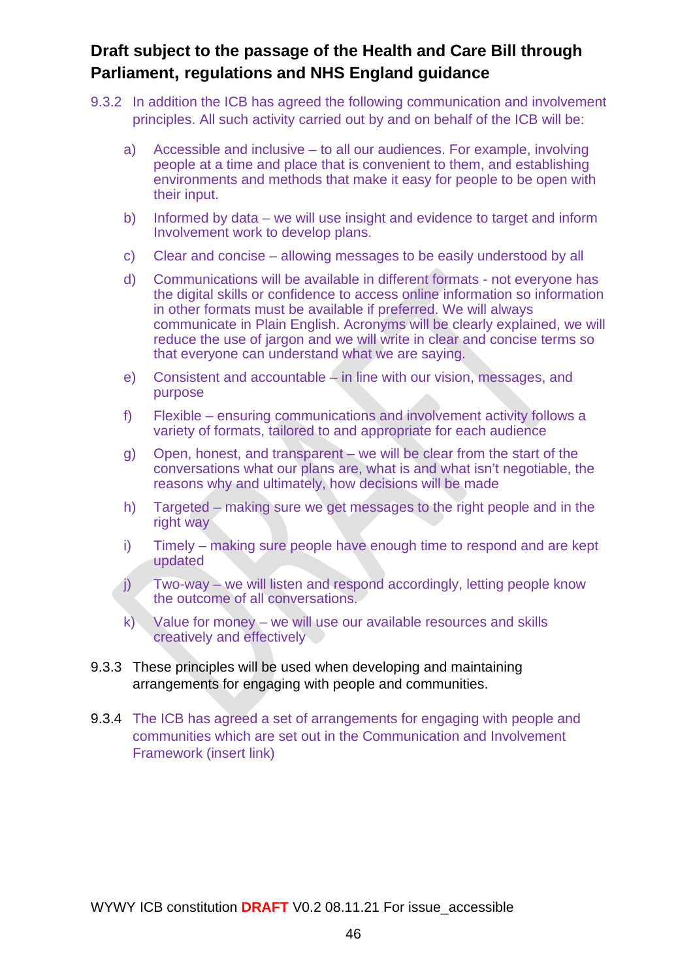- 9.3.2 In addition the ICB has agreed the following communication and involvement principles. All such activity carried out by and on behalf of the ICB will be:
	- a) Accessible and inclusive to all our audiences. For example, involving people at a time and place that is convenient to them, and establishing environments and methods that make it easy for people to be open with their input.
	- b) Informed by data we will use insight and evidence to target and inform Involvement work to develop plans.
	- c) Clear and concise allowing messages to be easily understood by all
	- d) Communications will be available in different formats not everyone has the digital skills or confidence to access online information so information in other formats must be available if preferred. We will always communicate in Plain English. Acronyms will be clearly explained, we will reduce the use of jargon and we will write in clear and concise terms so that everyone can understand what we are saying.
	- e) Consistent and accountable in line with our vision, messages, and purpose
	- f) Flexible ensuring communications and involvement activity follows a variety of formats, tailored to and appropriate for each audience
	- g) Open, honest, and transparent we will be clear from the start of the conversations what our plans are, what is and what isn't negotiable, the reasons why and ultimately, how decisions will be made
	- h) Targeted making sure we get messages to the right people and in the right way
	- i) Timely making sure people have enough time to respond and are kept updated
	- j) Two-way we will listen and respond accordingly, letting people know the outcome of all conversations.
	- k) Value for money we will use our available resources and skills creatively and effectively
- 9.3.3 These principles will be used when developing and maintaining arrangements for engaging with people and communities.
- 9.3.4 The ICB has agreed a set of arrangements for engaging with people and communities which are set out in the Communication and Involvement Framework (insert link)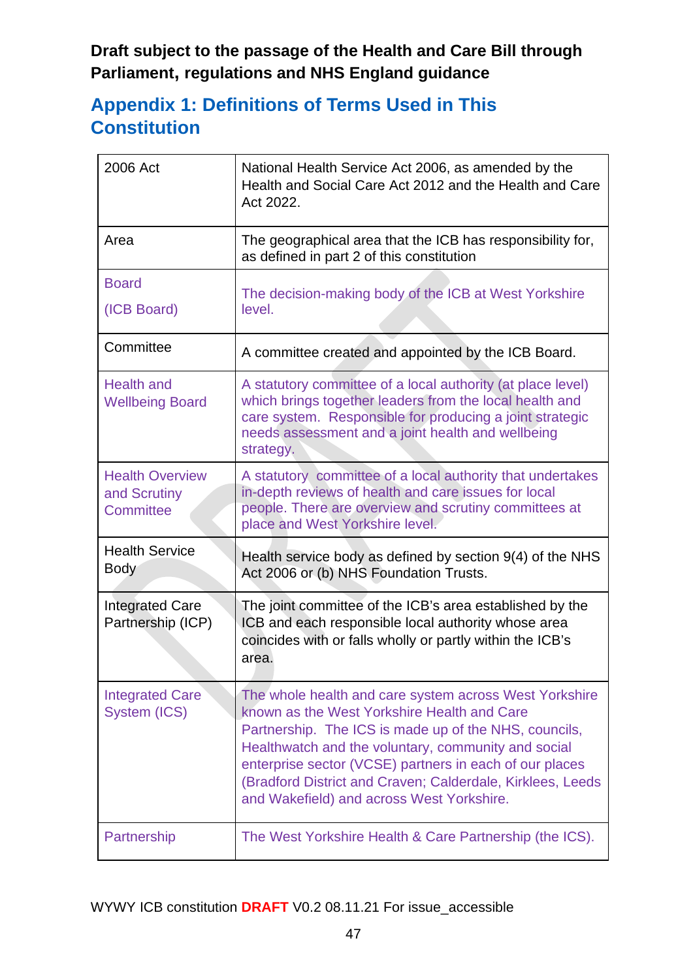# **Appendix 1: Definitions of Terms Used in This Constitution**

| 2006 Act                                            | National Health Service Act 2006, as amended by the<br>Health and Social Care Act 2012 and the Health and Care<br>Act 2022.                                                                                                                                                                                                                                                                 |
|-----------------------------------------------------|---------------------------------------------------------------------------------------------------------------------------------------------------------------------------------------------------------------------------------------------------------------------------------------------------------------------------------------------------------------------------------------------|
| Area                                                | The geographical area that the ICB has responsibility for,<br>as defined in part 2 of this constitution                                                                                                                                                                                                                                                                                     |
| <b>Board</b><br>(ICB Board)                         | The decision-making body of the ICB at West Yorkshire<br>level.                                                                                                                                                                                                                                                                                                                             |
| Committee                                           | A committee created and appointed by the ICB Board.                                                                                                                                                                                                                                                                                                                                         |
| <b>Health and</b><br><b>Wellbeing Board</b>         | A statutory committee of a local authority (at place level)<br>which brings together leaders from the local health and<br>care system. Responsible for producing a joint strategic<br>needs assessment and a joint health and wellbeing<br>strategy.                                                                                                                                        |
| <b>Health Overview</b><br>and Scrutiny<br>Committee | A statutory committee of a local authority that undertakes<br>in-depth reviews of health and care issues for local<br>people. There are overview and scrutiny committees at<br>place and West Yorkshire level.                                                                                                                                                                              |
| <b>Health Service</b><br><b>Body</b>                | Health service body as defined by section 9(4) of the NHS<br>Act 2006 or (b) NHS Foundation Trusts.                                                                                                                                                                                                                                                                                         |
| <b>Integrated Care</b><br>Partnership (ICP)         | The joint committee of the ICB's area established by the<br>ICB and each responsible local authority whose area<br>coincides with or falls wholly or partly within the ICB's<br>area.                                                                                                                                                                                                       |
| <b>Integrated Care</b><br>System (ICS)              | The whole health and care system across West Yorkshire<br>known as the West Yorkshire Health and Care<br>Partnership. The ICS is made up of the NHS, councils,<br>Healthwatch and the voluntary, community and social<br>enterprise sector (VCSE) partners in each of our places<br>(Bradford District and Craven; Calderdale, Kirklees, Leeds<br>and Wakefield) and across West Yorkshire. |
| Partnership                                         | The West Yorkshire Health & Care Partnership (the ICS).                                                                                                                                                                                                                                                                                                                                     |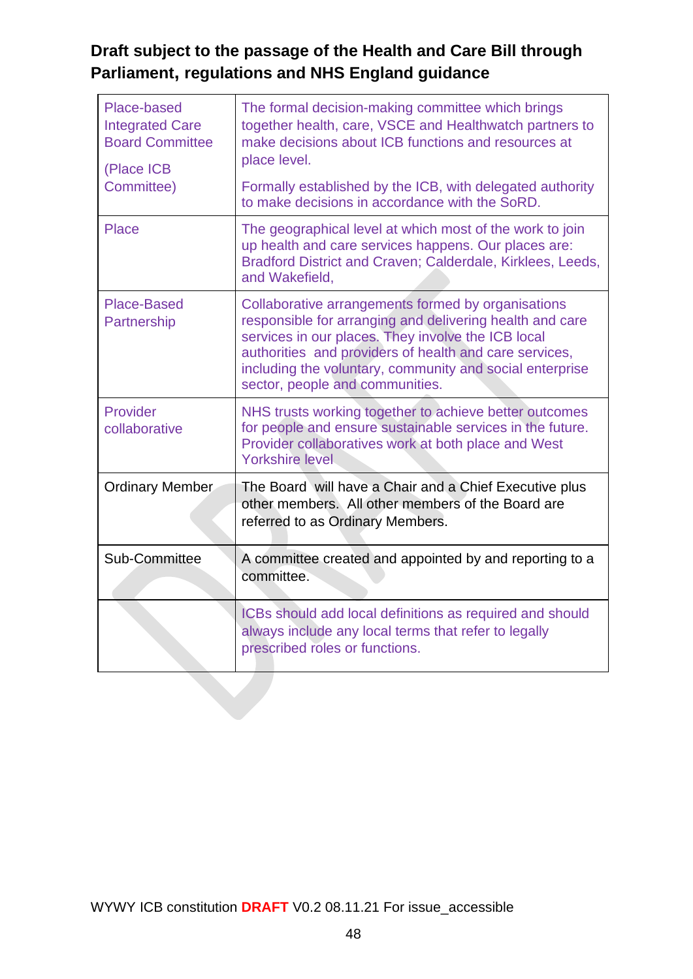| Place-based<br><b>Integrated Care</b><br><b>Board Committee</b><br>(Place ICB<br>Committee) | The formal decision-making committee which brings<br>together health, care, VSCE and Healthwatch partners to<br>make decisions about ICB functions and resources at<br>place level.<br>Formally established by the ICB, with delegated authority<br>to make decisions in accordance with the SoRD.                            |
|---------------------------------------------------------------------------------------------|-------------------------------------------------------------------------------------------------------------------------------------------------------------------------------------------------------------------------------------------------------------------------------------------------------------------------------|
| <b>Place</b>                                                                                | The geographical level at which most of the work to join<br>up health and care services happens. Our places are:<br>Bradford District and Craven; Calderdale, Kirklees, Leeds,<br>and Wakefield,                                                                                                                              |
| <b>Place-Based</b><br>Partnership                                                           | Collaborative arrangements formed by organisations<br>responsible for arranging and delivering health and care<br>services in our places. They involve the ICB local<br>authorities and providers of health and care services,<br>including the voluntary, community and social enterprise<br>sector, people and communities. |
| Provider<br>collaborative                                                                   | NHS trusts working together to achieve better outcomes<br>for people and ensure sustainable services in the future.<br>Provider collaboratives work at both place and West<br><b>Yorkshire level</b>                                                                                                                          |
| <b>Ordinary Member</b>                                                                      | The Board will have a Chair and a Chief Executive plus<br>other members. All other members of the Board are<br>referred to as Ordinary Members.                                                                                                                                                                               |
| Sub-Committee                                                                               | A committee created and appointed by and reporting to a<br>committee.                                                                                                                                                                                                                                                         |
|                                                                                             | ICBs should add local definitions as required and should<br>always include any local terms that refer to legally<br>prescribed roles or functions.                                                                                                                                                                            |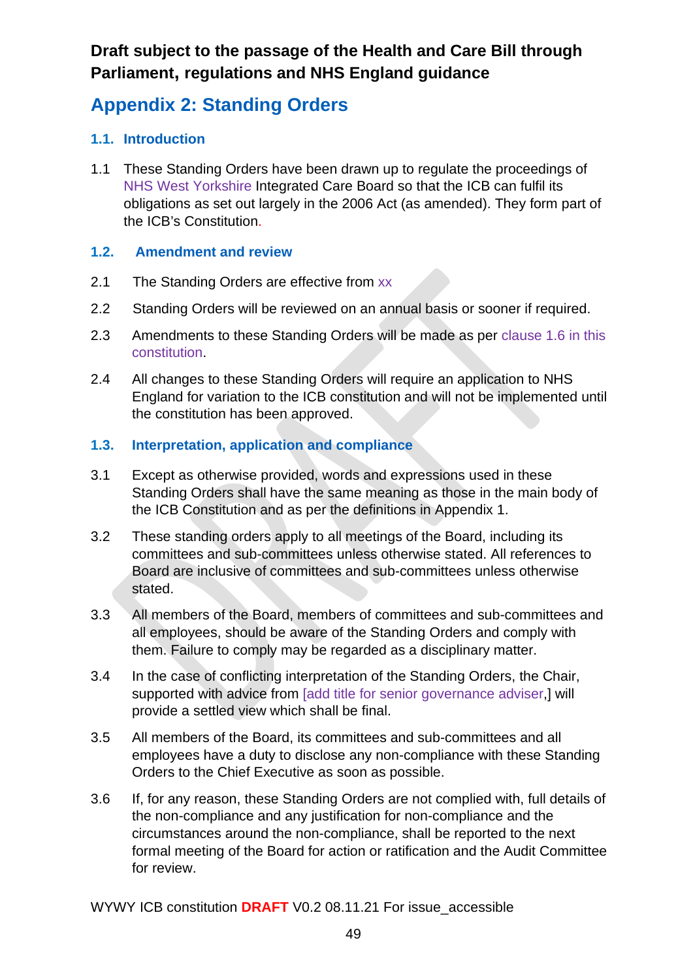# **Appendix 2: Standing Orders**

### **1.1. Introduction**

1.1 These Standing Orders have been drawn up to regulate the proceedings of NHS West Yorkshire Integrated Care Board so that the ICB can fulfil its obligations as set out largely in the 2006 Act (as amended). They form part of the ICB's Constitution.

### **1.2. Amendment and review**

- 2.1 The Standing Orders are effective from xx
- 2.2 Standing Orders will be reviewed on an annual basis or sooner if required.
- 2.3 Amendments to these Standing Orders will be made as per clause 1.6 in this constitution.
- 2.4 All changes to these Standing Orders will require an application to NHS England for variation to the ICB constitution and will not be implemented until the constitution has been approved.

### **1.3. Interpretation, application and compliance**

- 3.1 Except as otherwise provided, words and expressions used in these Standing Orders shall have the same meaning as those in the main body of the ICB Constitution and as per the definitions in Appendix 1.
- 3.2 These standing orders apply to all meetings of the Board, including its committees and sub-committees unless otherwise stated. All references to Board are inclusive of committees and sub-committees unless otherwise stated.
- 3.3 All members of the Board, members of committees and sub-committees and all employees, should be aware of the Standing Orders and comply with them. Failure to comply may be regarded as a disciplinary matter.
- 3.4 In the case of conflicting interpretation of the Standing Orders, the Chair, supported with advice from **[add title for senior governance adviser**,] will provide a settled view which shall be final.
- 3.5 All members of the Board, its committees and sub-committees and all employees have a duty to disclose any non-compliance with these Standing Orders to the Chief Executive as soon as possible.
- 3.6 If, for any reason, these Standing Orders are not complied with, full details of the non-compliance and any justification for non-compliance and the circumstances around the non-compliance, shall be reported to the next formal meeting of the Board for action or ratification and the Audit Committee for review.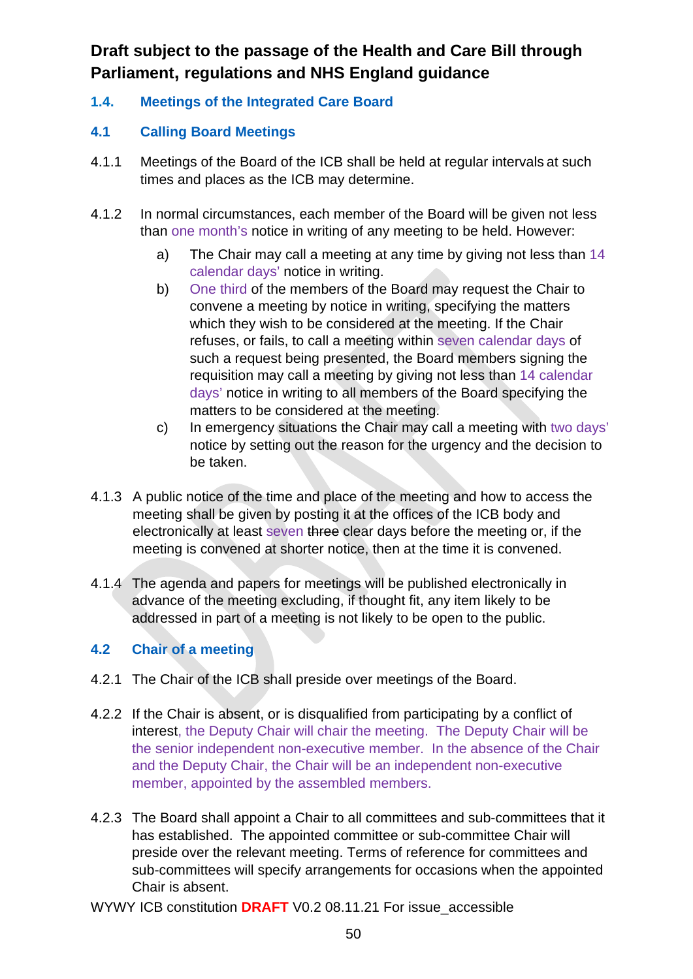**1.4. Meetings of the Integrated Care Board**

### **4.1 Calling Board Meetings**

- 4.1.1 Meetings of the Board of the ICB shall be held at regular intervals at such times and places as the ICB may determine.
- 4.1.2 In normal circumstances, each member of the Board will be given not less than one month's notice in writing of any meeting to be held. However:
	- a) The Chair may call a meeting at any time by giving not less than 14 calendar days' notice in writing.
	- b) One third of the members of the Board may request the Chair to convene a meeting by notice in writing, specifying the matters which they wish to be considered at the meeting. If the Chair refuses, or fails, to call a meeting within seven calendar days of such a request being presented, the Board members signing the requisition may call a meeting by giving not less than 14 calendar days' notice in writing to all members of the Board specifying the matters to be considered at the meeting.
	- c) In emergency situations the Chair may call a meeting with two days' notice by setting out the reason for the urgency and the decision to be taken.
- 4.1.3 A public notice of the time and place of the meeting and how to access the meeting shall be given by posting it at the offices of the ICB body and electronically at least seven three clear days before the meeting or, if the meeting is convened at shorter notice, then at the time it is convened.
- 4.1.4 The agenda and papers for meetings will be published electronically in advance of the meeting excluding, if thought fit, any item likely to be addressed in part of a meeting is not likely to be open to the public.

#### **4.2 Chair of a meeting**

- 4.2.1 The Chair of the ICB shall preside over meetings of the Board.
- 4.2.2 If the Chair is absent, or is disqualified from participating by a conflict of interest, the Deputy Chair will chair the meeting. The Deputy Chair will be the senior independent non-executive member. In the absence of the Chair and the Deputy Chair, the Chair will be an independent non-executive member, appointed by the assembled members.
- 4.2.3 The Board shall appoint a Chair to all committees and sub-committees that it has established. The appointed committee or sub-committee Chair will preside over the relevant meeting. Terms of reference for committees and sub-committees will specify arrangements for occasions when the appointed Chair is absent.
- WYWY ICB constitution **DRAFT** V0.2 08.11.21 For issue\_accessible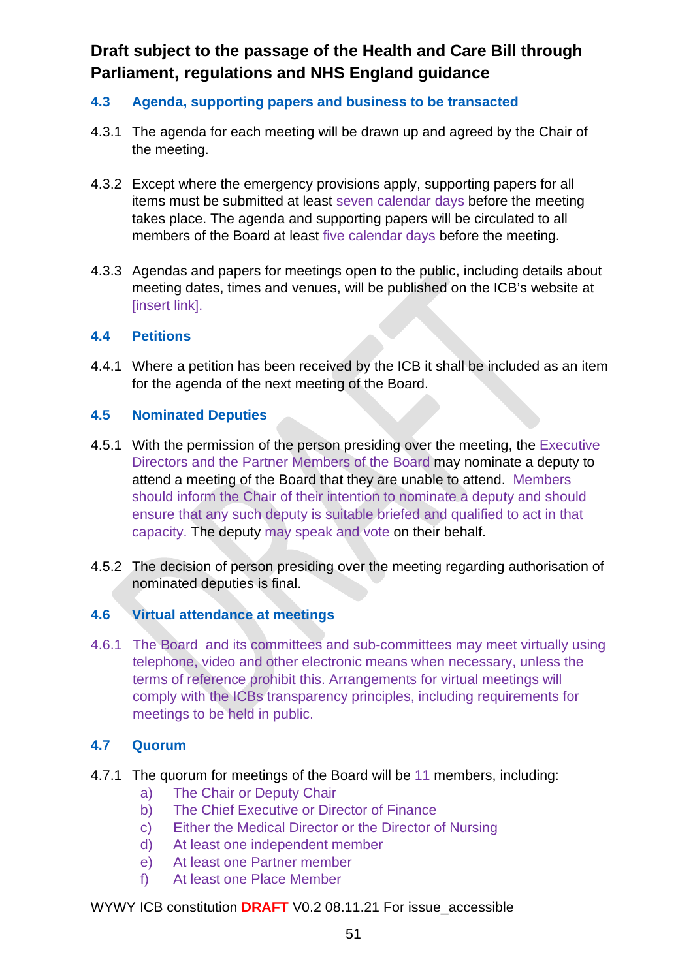#### **4.3 Agenda, supporting papers and business to be transacted**

- 4.3.1 The agenda for each meeting will be drawn up and agreed by the Chair of the meeting.
- 4.3.2 Except where the emergency provisions apply, supporting papers for all items must be submitted at least seven calendar days before the meeting takes place. The agenda and supporting papers will be circulated to all members of the Board at least five calendar days before the meeting.
- 4.3.3 Agendas and papers for meetings open to the public, including details about meeting dates, times and venues, will be published on the ICB's website at [insert link].

#### **4.4 Petitions**

4.4.1 Where a petition has been received by the ICB it shall be included as an item for the agenda of the next meeting of the Board.

#### **4.5 Nominated Deputies**

- 4.5.1 With the permission of the person presiding over the meeting, the Executive Directors and the Partner Members of the Board may nominate a deputy to attend a meeting of the Board that they are unable to attend. Members should inform the Chair of their intention to nominate a deputy and should ensure that any such deputy is suitable briefed and qualified to act in that capacity. The deputy may speak and vote on their behalf.
- 4.5.2 The decision of person presiding over the meeting regarding authorisation of nominated deputies is final.

#### **4.6 Virtual attendance at meetings**

4.6.1 The Board and its committees and sub-committees may meet virtually using telephone, video and other electronic means when necessary, unless the terms of reference prohibit this. Arrangements for virtual meetings will comply with the ICBs transparency principles, including requirements for meetings to be held in public.

#### **4.7 Quorum**

- 4.7.1 The quorum for meetings of the Board will be 11 members, including:
	- a) The Chair or Deputy Chair
	- b) The Chief Executive or Director of Finance
	- c) Either the Medical Director or the Director of Nursing
	- d) At least one independent member
	- e) At least one Partner member
	- f) At least one Place Member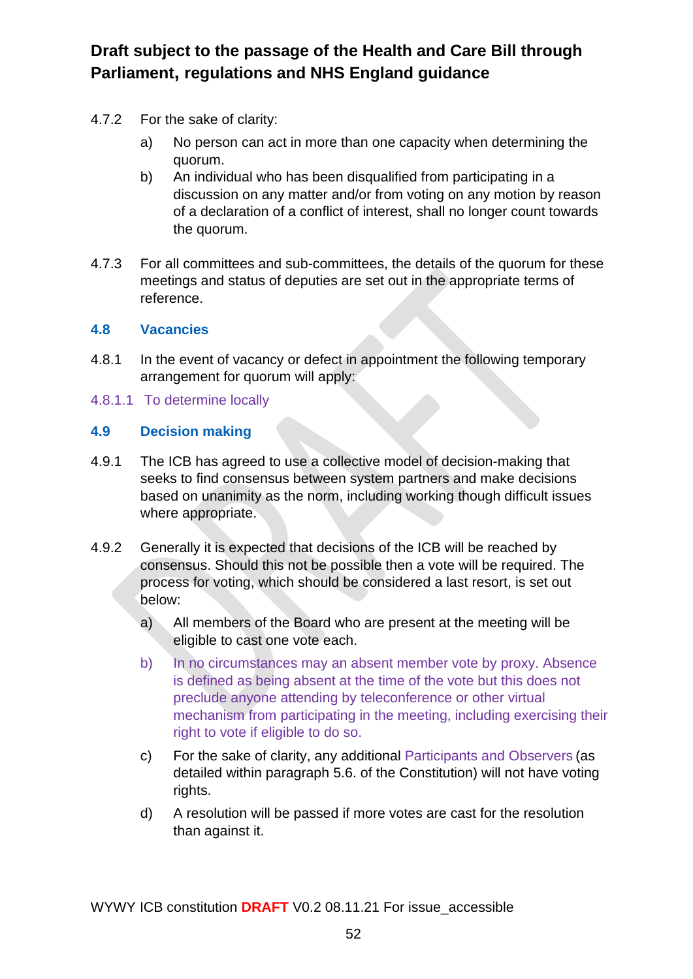- 4.7.2 For the sake of clarity:
	- a) No person can act in more than one capacity when determining the quorum.
	- b) An individual who has been disqualified from participating in a discussion on any matter and/or from voting on any motion by reason of a declaration of a conflict of interest, shall no longer count towards the quorum.
- 4.7.3 For all committees and sub-committees, the details of the quorum for these meetings and status of deputies are set out in the appropriate terms of reference.

#### **4.8 Vacancies**

- 4.8.1 In the event of vacancy or defect in appointment the following temporary arrangement for quorum will apply:
- 4.8.1.1 To determine locally

### **4.9 Decision making**

- 4.9.1 The ICB has agreed to use a collective model of decision-making that seeks to find consensus between system partners and make decisions based on unanimity as the norm, including working though difficult issues where appropriate.
- 4.9.2 Generally it is expected that decisions of the ICB will be reached by consensus. Should this not be possible then a vote will be required. The process for voting, which should be considered a last resort, is set out below:
	- a) All members of the Board who are present at the meeting will be eligible to cast one vote each.
	- b) In no circumstances may an absent member vote by proxy. Absence is defined as being absent at the time of the vote but this does not preclude anyone attending by teleconference or other virtual mechanism from participating in the meeting, including exercising their right to vote if eligible to do so.
	- c) For the sake of clarity, any additional Participants and Observers (as detailed within paragraph 5.6. of the Constitution) will not have voting rights.
	- d) A resolution will be passed if more votes are cast for the resolution than against it.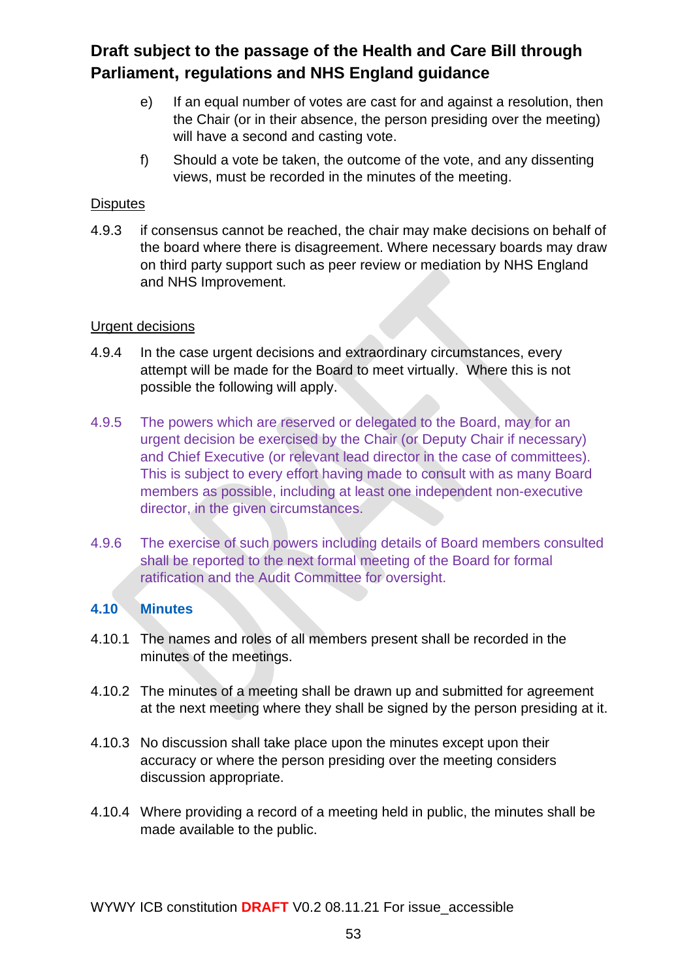- e) If an equal number of votes are cast for and against a resolution, then the Chair (or in their absence, the person presiding over the meeting) will have a second and casting vote.
- f) Should a vote be taken, the outcome of the vote, and any dissenting views, must be recorded in the minutes of the meeting.

#### **Disputes**

4.9.3 if consensus cannot be reached, the chair may make decisions on behalf of the board where there is disagreement. Where necessary boards may draw on third party support such as peer review or mediation by NHS England and NHS Improvement.

#### Urgent decisions

- 4.9.4 In the case urgent decisions and extraordinary circumstances, every attempt will be made for the Board to meet virtually. Where this is not possible the following will apply.
- 4.9.5 The powers which are reserved or delegated to the Board, may for an urgent decision be exercised by the Chair (or Deputy Chair if necessary) and Chief Executive (or relevant lead director in the case of committees). This is subject to every effort having made to consult with as many Board members as possible, including at least one independent non-executive director, in the given circumstances.
- 4.9.6 The exercise of such powers including details of Board members consulted shall be reported to the next formal meeting of the Board for formal ratification and the Audit Committee for oversight.

#### **4.10 Minutes**

- 4.10.1 The names and roles of all members present shall be recorded in the minutes of the meetings.
- 4.10.2 The minutes of a meeting shall be drawn up and submitted for agreement at the next meeting where they shall be signed by the person presiding at it.
- 4.10.3 No discussion shall take place upon the minutes except upon their accuracy or where the person presiding over the meeting considers discussion appropriate.
- 4.10.4 Where providing a record of a meeting held in public, the minutes shall be made available to the public.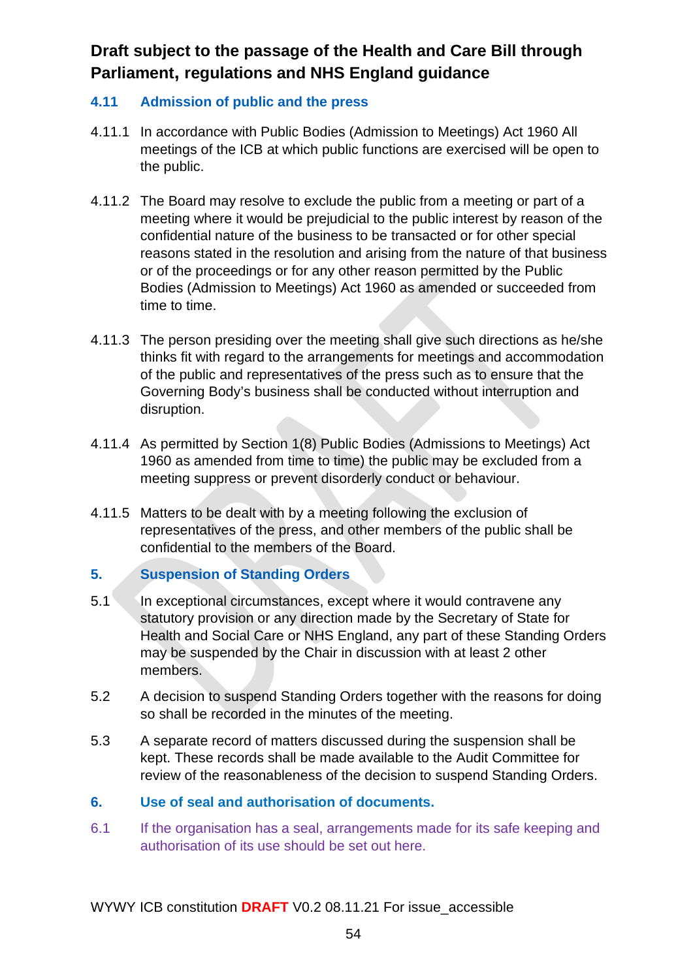#### **4.11 Admission of public and the press**

- 4.11.1 In accordance with Public Bodies (Admission to Meetings) Act 1960 All meetings of the ICB at which public functions are exercised will be open to the public.
- 4.11.2 The Board may resolve to exclude the public from a meeting or part of a meeting where it would be prejudicial to the public interest by reason of the confidential nature of the business to be transacted or for other special reasons stated in the resolution and arising from the nature of that business or of the proceedings or for any other reason permitted by the Public Bodies (Admission to Meetings) Act 1960 as amended or succeeded from time to time.
- 4.11.3 The person presiding over the meeting shall give such directions as he/she thinks fit with regard to the arrangements for meetings and accommodation of the public and representatives of the press such as to ensure that the Governing Body's business shall be conducted without interruption and disruption.
- 4.11.4 As permitted by Section 1(8) Public Bodies (Admissions to Meetings) Act 1960 as amended from time to time) the public may be excluded from a meeting suppress or prevent disorderly conduct or behaviour.
- 4.11.5 Matters to be dealt with by a meeting following the exclusion of representatives of the press, and other members of the public shall be confidential to the members of the Board.

#### **5. Suspension of Standing Orders**

- 5.1 In exceptional circumstances, except where it would contravene any statutory provision or any direction made by the Secretary of State for Health and Social Care or NHS England, any part of these Standing Orders may be suspended by the Chair in discussion with at least 2 other members.
- 5.2 A decision to suspend Standing Orders together with the reasons for doing so shall be recorded in the minutes of the meeting.
- 5.3 A separate record of matters discussed during the suspension shall be kept. These records shall be made available to the Audit Committee for review of the reasonableness of the decision to suspend Standing Orders.

#### <span id="page-58-0"></span>**6. Use of seal and authorisation of documents.**

6.1 If the organisation has a seal, arrangements made for its safe keeping and authorisation of its use should be set out here.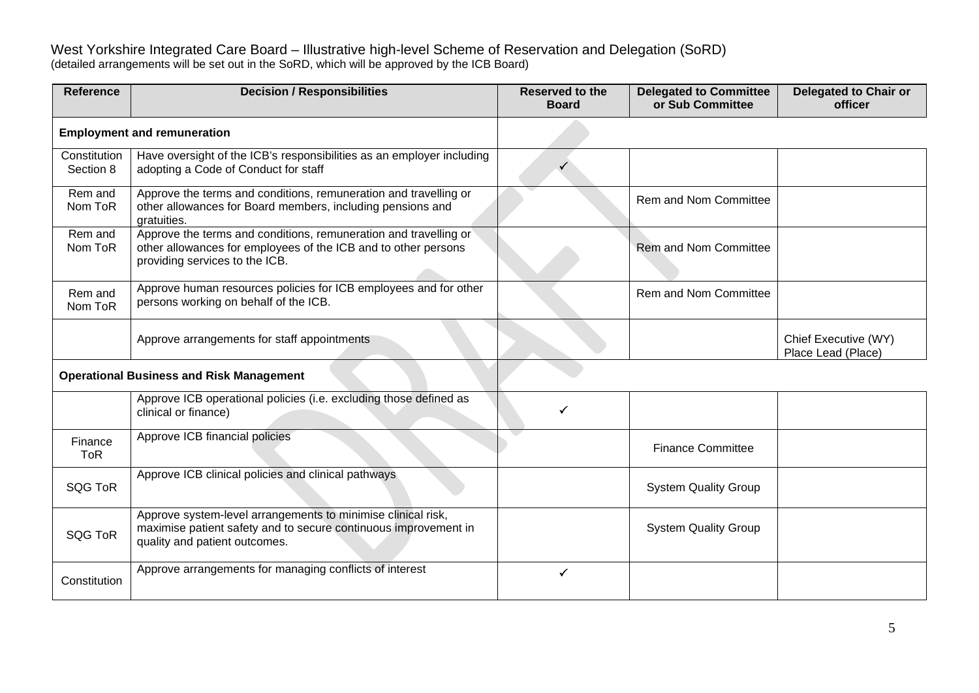West Yorkshire Integrated Care Board – Illustrative high-level Scheme of Reservation and Delegation (SoRD) (detailed arrangements will be set out in the SoRD, which will be approved by the ICB Board)

| <b>Reference</b>          | <b>Decision / Responsibilities</b>                                                                                                                                   | <b>Reserved to the</b><br><b>Board</b> | <b>Delegated to Committee</b><br>or Sub Committee | <b>Delegated to Chair or</b><br>officer    |
|---------------------------|----------------------------------------------------------------------------------------------------------------------------------------------------------------------|----------------------------------------|---------------------------------------------------|--------------------------------------------|
|                           | <b>Employment and remuneration</b>                                                                                                                                   |                                        |                                                   |                                            |
| Constitution<br>Section 8 | Have oversight of the ICB's responsibilities as an employer including<br>adopting a Code of Conduct for staff                                                        |                                        |                                                   |                                            |
| Rem and<br>Nom ToR        | Approve the terms and conditions, remuneration and travelling or<br>other allowances for Board members, including pensions and<br>gratuities.                        |                                        | Rem and Nom Committee                             |                                            |
| Rem and<br>Nom ToR        | Approve the terms and conditions, remuneration and travelling or<br>other allowances for employees of the ICB and to other persons<br>providing services to the ICB. |                                        | <b>Rem and Nom Committee</b>                      |                                            |
| Rem and<br>Nom ToR        | Approve human resources policies for ICB employees and for other<br>persons working on behalf of the ICB.                                                            |                                        | <b>Rem and Nom Committee</b>                      |                                            |
|                           | Approve arrangements for staff appointments                                                                                                                          |                                        |                                                   | Chief Executive (WY)<br>Place Lead (Place) |
|                           | <b>Operational Business and Risk Management</b>                                                                                                                      |                                        |                                                   |                                            |
|                           | Approve ICB operational policies (i.e. excluding those defined as<br>clinical or finance)                                                                            |                                        |                                                   |                                            |
| Finance<br><b>ToR</b>     | Approve ICB financial policies                                                                                                                                       |                                        | <b>Finance Committee</b>                          |                                            |
| <b>SQG ToR</b>            | Approve ICB clinical policies and clinical pathways                                                                                                                  |                                        | <b>System Quality Group</b>                       |                                            |
| <b>SQG ToR</b>            | Approve system-level arrangements to minimise clinical risk,<br>maximise patient safety and to secure continuous improvement in<br>quality and patient outcomes.     |                                        | <b>System Quality Group</b>                       |                                            |
| Constitution              | Approve arrangements for managing conflicts of interest                                                                                                              | ✓                                      |                                                   |                                            |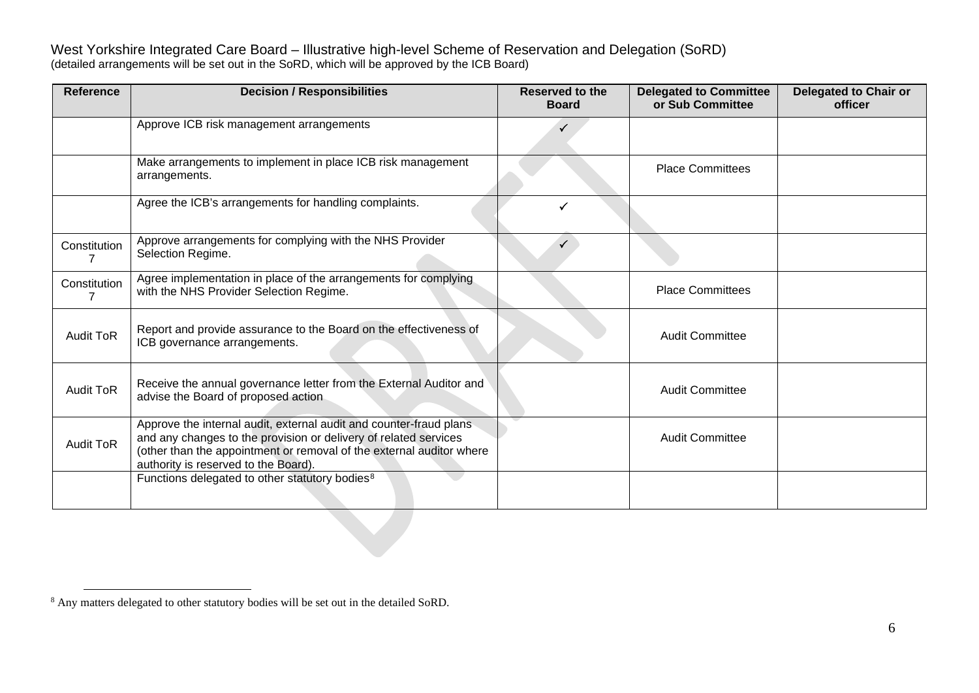<span id="page-64-0"></span>West Yorkshire Integrated Care Board – Illustrative high-level Scheme of Reservation and Delegation (SoRD) (detailed arrangements will be set out in the SoRD, which will be approved by the ICB Board)

| <b>Reference</b> | <b>Decision / Responsibilities</b>                                                                                                                                                                                                                     | <b>Reserved to the</b><br><b>Board</b> | <b>Delegated to Committee</b><br>or Sub Committee | Delegated to Chair or<br>officer |
|------------------|--------------------------------------------------------------------------------------------------------------------------------------------------------------------------------------------------------------------------------------------------------|----------------------------------------|---------------------------------------------------|----------------------------------|
|                  | Approve ICB risk management arrangements                                                                                                                                                                                                               |                                        |                                                   |                                  |
|                  | Make arrangements to implement in place ICB risk management<br>arrangements.                                                                                                                                                                           |                                        | <b>Place Committees</b>                           |                                  |
|                  | Agree the ICB's arrangements for handling complaints.                                                                                                                                                                                                  |                                        |                                                   |                                  |
| Constitution     | Approve arrangements for complying with the NHS Provider<br>Selection Regime.                                                                                                                                                                          |                                        |                                                   |                                  |
| Constitution     | Agree implementation in place of the arrangements for complying<br>with the NHS Provider Selection Regime.                                                                                                                                             |                                        | <b>Place Committees</b>                           |                                  |
| <b>Audit ToR</b> | Report and provide assurance to the Board on the effectiveness of<br>ICB governance arrangements.                                                                                                                                                      |                                        | <b>Audit Committee</b>                            |                                  |
| <b>Audit ToR</b> | Receive the annual governance letter from the External Auditor and<br>advise the Board of proposed action                                                                                                                                              |                                        | <b>Audit Committee</b>                            |                                  |
| <b>Audit ToR</b> | Approve the internal audit, external audit and counter-fraud plans<br>and any changes to the provision or delivery of related services<br>(other than the appointment or removal of the external auditor where<br>authority is reserved to the Board). |                                        | <b>Audit Committee</b>                            |                                  |
|                  | Functions delegated to other statutory bodies <sup>8</sup>                                                                                                                                                                                             |                                        |                                                   |                                  |

<sup>8</sup> Any matters delegated to other statutory bodies will be set out in the detailed SoRD.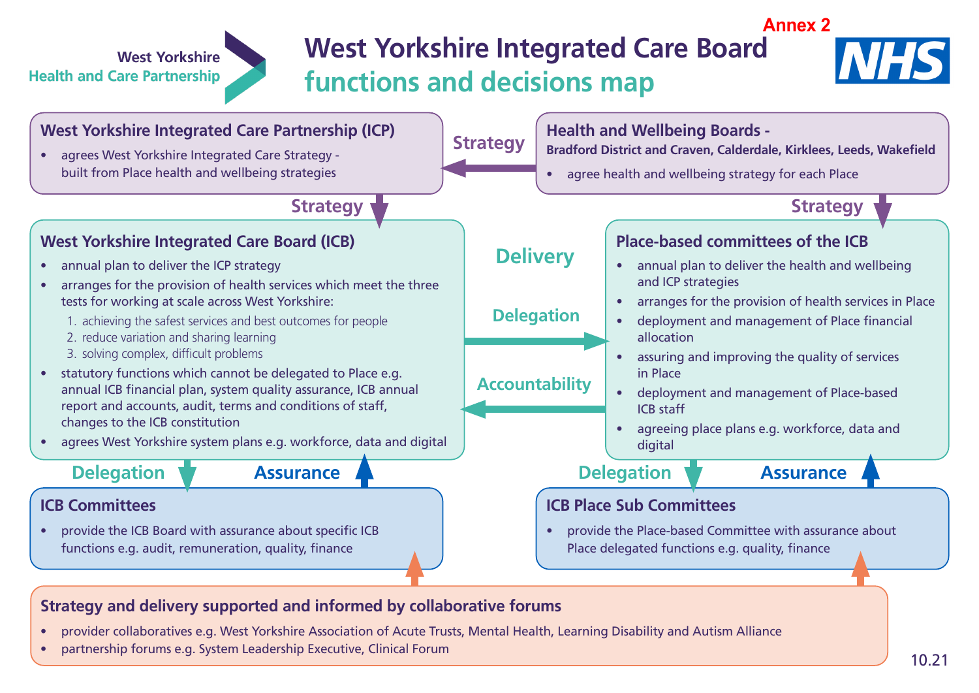# **West Yorkshire Integrated Care Board functions and decisions map**





### **Strategy and delivery supported and informed by collaborative forums**

- provider collaboratives e.g. West Yorkshire Association of Acute Trusts, Mental Health, Learning Disability and Autism Alliance
- partnership forums e.g. System Leadership Executive, Clinical Forum

**West Yorkshire** 

**Health and Care Partnership**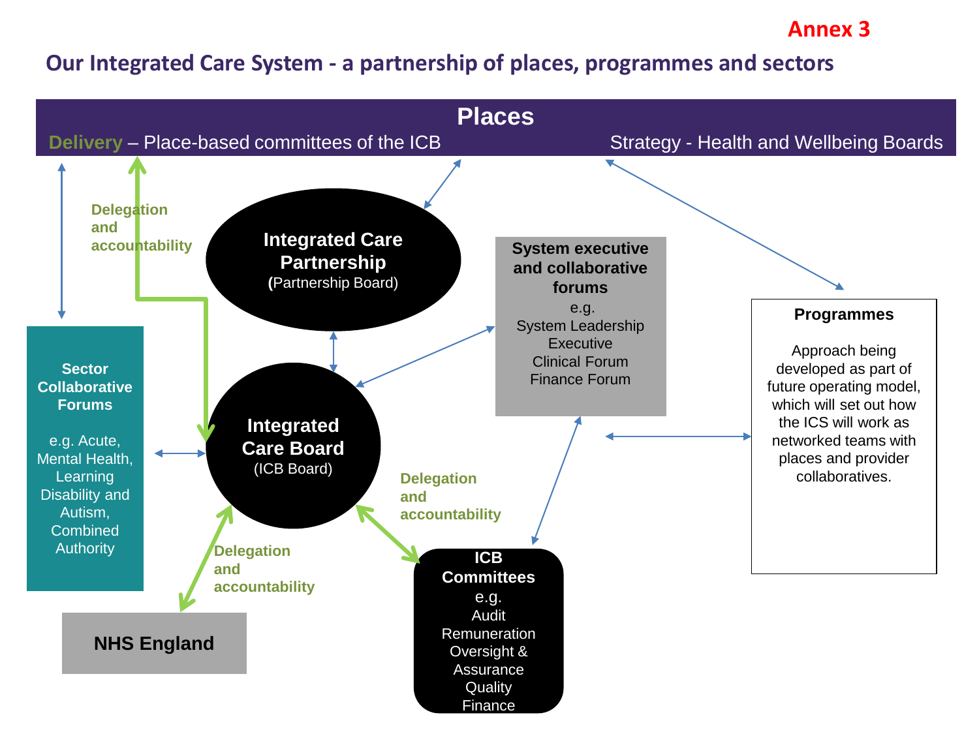# **Annex 3**

# **Our Integrated Care System - a partnership of places, programmes and sectors**

![](_page_66_Figure_2.jpeg)